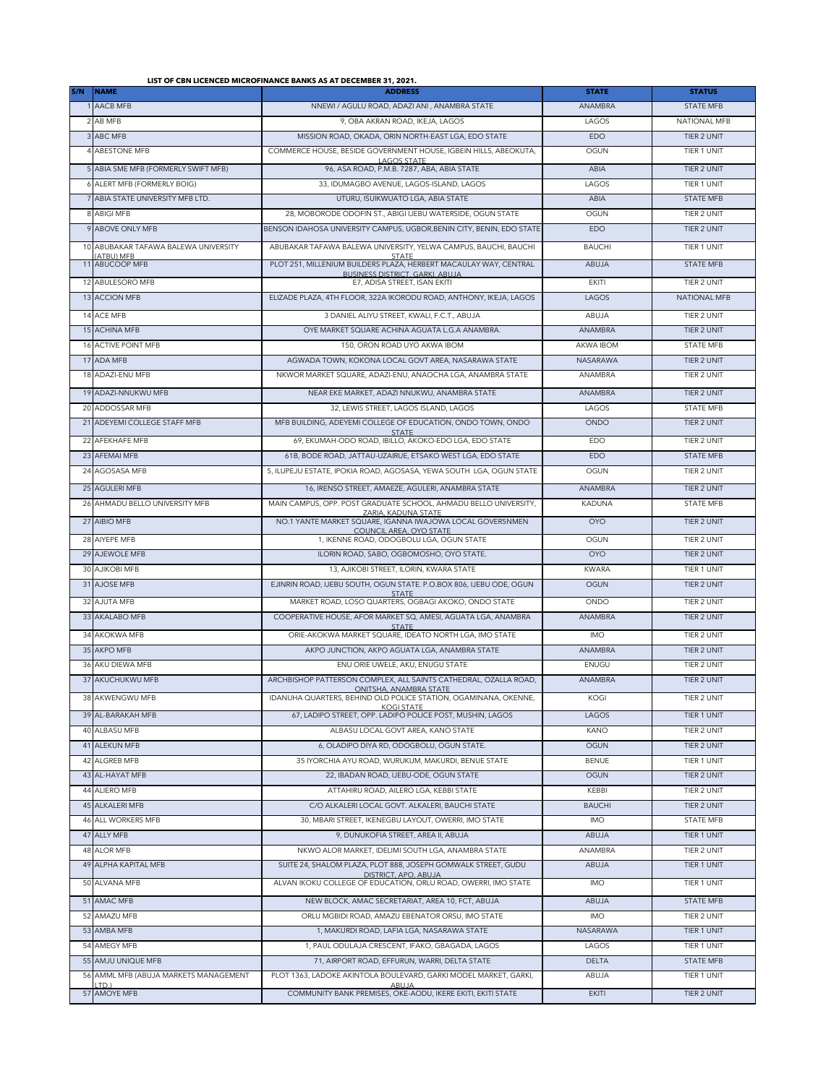## **LIST OF CBN LICENCED MICROFINANCE BANKS AS AT DECEMBER 31, 2021.**

| S/N | <b>NAME</b>                                  | <b>ADDRESS</b>                                                                                       | <b>STATE</b>    | <b>STATUS</b>       |
|-----|----------------------------------------------|------------------------------------------------------------------------------------------------------|-----------------|---------------------|
|     | AACB MFB                                     | NNEWI / AGULU ROAD, ADAZI ANI, ANAMBRA STATE                                                         | <b>ANAMBRA</b>  | <b>STATE MFB</b>    |
|     | 2 AB MFB                                     | 9, OBA AKRAN ROAD, IKEJA, LAGOS                                                                      | LAGOS           | <b>NATIONAL MFB</b> |
|     | 3 ABC MFB                                    | MISSION ROAD, OKADA, ORIN NORTH-EAST LGA, EDO STATE                                                  | EDO             | <b>TIER 2 UNIT</b>  |
|     | 4 ABESTONE MFB                               | COMMERCE HOUSE, BESIDE GOVERNMENT HOUSE, IGBEIN HILLS, ABEOKUTA,                                     | OGUN            | TIER 1 UNIT         |
|     | 5 ABIA SME MFB (FORMERLY SWIFT MFB)          | LAGOS STATE<br>96, ASA ROAD, P.M.B. 7287, ABA, ABIA STATE                                            | ABIA            | TIER 2 UNIT         |
|     | 6 ALERT MFB (FORMERLY BOIG)                  | 33, IDUMAGBO AVENUE, LAGOS-ISLAND, LAGOS                                                             | LAGOS           | TIFR 1 UNIT         |
|     | 7 ABIA STATE UNIVERSITY MFB LTD.             | UTURU, ISUIKWUATO LGA, ABIA STATE                                                                    | ABIA            | <b>STATE MFB</b>    |
|     | 8 ABIGI MFB                                  | 28, MOBORODE ODOFIN ST., ABIGI IJEBU WATERSIDE, OGUN STATE                                           | OGUN            | TIER 2 UNIT         |
|     | 9 ABOVE ONLY MFB                             | BENSON IDAHOSA UNIVERSITY CAMPUS, UGBOR BENIN CITY, BENIN, EDO STATE                                 | EDO             | TIER 2 UNIT         |
|     | 10 ABUBAKAR TAFAWA BALEWA UNIVERSITY         | ABUBAKAR TAFAWA BALEWA UNIVERSITY, YELWA CAMPUS, BAUCHI, BAUCHI                                      | <b>BAUCHI</b>   | TIER 1 UNIT         |
|     | (ATBU) MFB                                   | <b>STATE</b>                                                                                         |                 |                     |
|     | 11 ABUCOOP MFB                               | PLOT 251, MILLENIUM BUILDERS PLAZA, HERBERT MACAULAY WAY, CENTRAL<br>BUSINESS DISTRICT, GARKI, ABUJA | ABUJA           | <b>STATE MFB</b>    |
|     | 12 ABULESORO MFB                             | E7. ADISA STREET. ISAN EKITI                                                                         | <b>EKITI</b>    | TIER 2 UNIT         |
|     | 13 ACCION MFB                                | ELIZADE PLAZA, 4TH FLOOR, 322A IKORODU ROAD, ANTHONY, IKEJA, LAGOS                                   | LAGOS           | <b>NATIONAL MFB</b> |
|     | 14 ACE MFB                                   | 3 DANIEL ALIYU STREET, KWALI, F.C.T., ABUJA                                                          | ABUJA           | TIER 2 UNIT         |
|     | 15 ACHINA MFB                                | OYE MARKET SQUARE ACHINA AGUATA L.G.A ANAMBRA.                                                       | ANAMBRA         | TIER 2 UNIT         |
|     | 16 ACTIVE POINT MFB                          | 150, ORON ROAD UYO AKWA IBOM                                                                         | AKWA IBOM       | <b>STATE MFB</b>    |
|     | 17 ADA MFB                                   | AGWADA TOWN, KOKONA LOCAL GOVT AREA, NASARAWA STATE                                                  | <b>NASARAWA</b> | TIER 2 UNIT         |
|     | 18 ADAZI-ENU MFB                             | NKWOR MARKET SQUARE, ADAZI-ENU, ANAOCHA LGA, ANAMBRA STATE                                           | ANAMBRA         | TIER 2 UNIT         |
|     | 19 ADAZI-NNUKWU MFB                          | NEAR EKE MARKET, ADAZI NNUKWU, ANAMBRA STATE                                                         | ANAMBRA         | TIER 2 UNIT         |
|     | 20 ADDOSSAR MEB                              | 32. LEWIS STREET. LAGOS ISLAND. LAGOS                                                                | LAGOS           | <b>STATE MFB</b>    |
|     | 21 ADEYEMI COLLEGE STAFF MFB                 | MFB BUILDING, ADEYEMI COLLEGE OF EDUCATION, ONDO TOWN, ONDO                                          | ONDO            | <b>TIER 2 UNIT</b>  |
|     |                                              | <b>STATE</b>                                                                                         |                 |                     |
|     | 22 AFFKHAFF MFB                              | 69, EKUMAH-ODO ROAD, IBILLO, AKOKO-EDO LGA, EDO STATE                                                | EDO             | TIFR 2 UNIT         |
|     | 23 AFEMAI MFB                                | 61B, BODE ROAD, JATTAU-UZAIRUE, ETSAKO WEST LGA, EDO STATE                                           | EDO             | <b>STATE MFB</b>    |
|     | 24 AGOSASA MFB                               | 5, ILUPEJU ESTATE, IPOKIA ROAD, AGOSASA, YEWA SOUTH LGA, OGUN STATE                                  | <b>OGUN</b>     | TIER 2 UNIT         |
|     | 25 AGULERI MFB                               | 16, IRENSO STREET, AMAEZE, AGULERI, ANAMBRA STATE                                                    | ANAMBRA         | TIER 2 UNIT         |
|     | 26 AHMADU BELLO UNIVERSITY MFB               | MAIN CAMPUS, OPP. POST GRADUATE SCHOOL, AHMADU BELLO UNIVERSITY,<br>ZARIA, KADUNA STATE              | <b>KADUNA</b>   | <b>STATE MFB</b>    |
|     | 27 AIBIO MFB                                 | NO.1 YANTE MARKET SQUARE, IGANNA IWAJOWA LOCAL GOVER5NMEN                                            | <b>OYO</b>      | TIER 2 UNIT         |
|     | 28 AIYEPE MFB                                | COUNCIL AREA, OYO STATE<br>1, IKENNE ROAD, ODOGBOLU LGA, OGUN STATE                                  | OGUN            | TIER 2 UNIT         |
|     | 29 AJEWOLE MFB                               | ILORIN ROAD, SABO, OGBOMOSHO, OYO STATE.                                                             | <b>OYO</b>      | TIER 2 UNIT         |
|     | 30 AJIKOBI MFB                               | 13, AJIKOBI STREET, ILORIN, KWARA STATE                                                              | <b>KWARA</b>    | TIER 1 UNIT         |
|     | 31 AJOSE MFB                                 | EJINRIN ROAD, IJEBU SOUTH, OGUN STATE. P.O.BOX 806, IJEBU ODE, OGUN                                  | OGUN            | TIER 2 UNIT         |
|     | 32 AJUTA MFB                                 | <b>STATE</b><br>MARKET ROAD, LOSO QUARTERS, OGBAGI AKOKO, ONDO STATE                                 | ONDO            | TIER 2 UNIT         |
|     | 33 AKALABO MFB                               | COOPERATIVE HOUSE, AFOR MARKET SQ, AMESI, AGUATA LGA, ANAMBRA                                        | <b>ANAMBRA</b>  | TIER 2 UNIT         |
|     |                                              | <b>STATE</b>                                                                                         |                 |                     |
|     | 34 AKOKWA MFB                                | ORIE-AKOKWA MARKET SQUARE, IDEATO NORTH LGA, IMO STATE                                               | <b>IMO</b>      | TIER 2 UNIT         |
|     | 35 AKPO MFB                                  | AKPO JUNCTION, AKPO AGUATA LGA, ANAMBRA STATE                                                        | <b>ANAMBRA</b>  | TIER 2 UNIT         |
|     | 36 AKU DIEWA MFB                             | ENU ORIE UWELE, AKU, ENUGU STATE                                                                     | ENUGU           | TIER 2 UNIT         |
|     | 37 AKUCHUKWU MFB                             | ARCHBISHOP PATTERSON COMPLEX, ALL SAINTS CATHEDRAL, OZALLA ROAD,<br>ONITSHA, ANAMBRA STATE           | ANAMBRA         | TIER 2 UNIT         |
|     | 38 AKWENGWU MFB                              | IDANUHA QUARTERS, BEHIND OLD POLICE STATION, OGAMINANA, OKENNE,<br><b>KOGI STATE</b>                 | KOGI            | TIER 2 UNIT         |
|     | 39 AL-BARAKAH MFB                            | 67, LADIPO STREET, OPP. LADIPO POLICE POST, MUSHIN, LAGOS                                            | LAGOS           | TIER 1 UNIT         |
|     | 40 ALBASU MFB                                | ALBASU LOCAL GOVT AREA, KANO STATE                                                                   | <b>KANO</b>     | TIER 2 UNIT         |
|     | 41 ALEKUN MFB                                | 6, OLADIPO DIYA RD, ODOGBOLU, OGUN STATE.                                                            | OGUN            | TIER 2 UNIT         |
|     | 42 ALGREB MFB                                | 35 IYORCHIA AYU ROAD, WURUKUM, MAKURDI, BENUE STATE                                                  | <b>BENUE</b>    | TIER 1 UNIT         |
|     | 43 AL-HAYAT MFB                              | 22, IBADAN ROAD, IJEBU-ODE, OGUN STATE                                                               | <b>OGUN</b>     | TIER 2 UNIT         |
|     | 44 ALIERO MFB                                | ATTAHIRU ROAD, AILERO LGA, KEBBI STATE                                                               | KEBBI           | TIER 2 UNIT         |
|     | 45 ALKALERI MFB                              | C/O ALKALERI LOCAL GOVT. ALKALERI, BAUCHI STATE                                                      | <b>BAUCHI</b>   | TIER 2 UNIT         |
|     | 46 ALL WORKERS MFB                           | 30, MBARI STREET, IKENEGBU LAYOUT, OWERRI, IMO STATE                                                 | <b>IMO</b>      | STATE MFB           |
|     | 47 ALLY MFB                                  | 9, DUNUKOFIA STREET, AREA II, ABUJA                                                                  | ABUJA           | TIER 1 UNIT         |
|     | 48 ALOR MFB                                  | NKWO ALOR MARKET, IDELIMI SOUTH LGA, ANAMBRA STATE                                                   | ANAMBRA         | TIER 2 UNIT         |
|     | 49 ALPHA KAPITAL MFB                         | SUITE 24, SHALOM PLAZA, PLOT 888, JOSEPH GOMWALK STREET, GUDU                                        | ABUJA           | TIER 1 UNIT         |
|     | 50 ALVANA MFB                                | DISTRICT, APO, ABUJA<br>ALVAN IKOKU COLLEGE OF EDUCATION, ORLU ROAD, OWERRI, IMO STATE               | <b>IMO</b>      | TIER 1 UNIT         |
|     |                                              |                                                                                                      |                 |                     |
|     | 51 AMAC MFB                                  | NEW BLOCK, AMAC SECRETARIAT, AREA 10, FCT, ABUJA                                                     | ABUJA           | <b>STATE MFB</b>    |
|     | 52 AMAZU MFB                                 | ORLU MGBIDI ROAD, AMAZU EBENATOR ORSU, IMO STATE                                                     | IMO             | TIER 2 UNIT         |
|     | 53 AMBA MFB                                  | 1, MAKURDI ROAD, LAFIA LGA, NASARAWA STATE                                                           | NASARAWA        | TIER 1 UNIT         |
|     | 54 AMEGY MFB                                 | 1, PAUL ODULAJA CRESCENT, IFAKO, GBAGADA, LAGOS                                                      | LAGOS           | TIER 1 UNIT         |
|     | 55 AMJU UNIQUE MFB                           | 71, AIRPORT ROAD, EFFURUN, WARRI, DELTA STATE                                                        | <b>DELTA</b>    | <b>STATE MFB</b>    |
|     | 56 AMML MFB (ABUJA MARKETS MANAGEMENT<br>TD. | PLOT 1363, LADOKE AKINTOLA BOULEVARD, GARKI MODEL MARKET, GARKI,<br>ABUJA                            | ABUJA           | <b>TIER 1 UNIT</b>  |
|     | 57 AMOYE MFB                                 | COMMUNITY BANK PREMISES, OKE-AODU, IKERE EKITI, EKITI STATE                                          | <b>EKITI</b>    | TIER 2 UNIT         |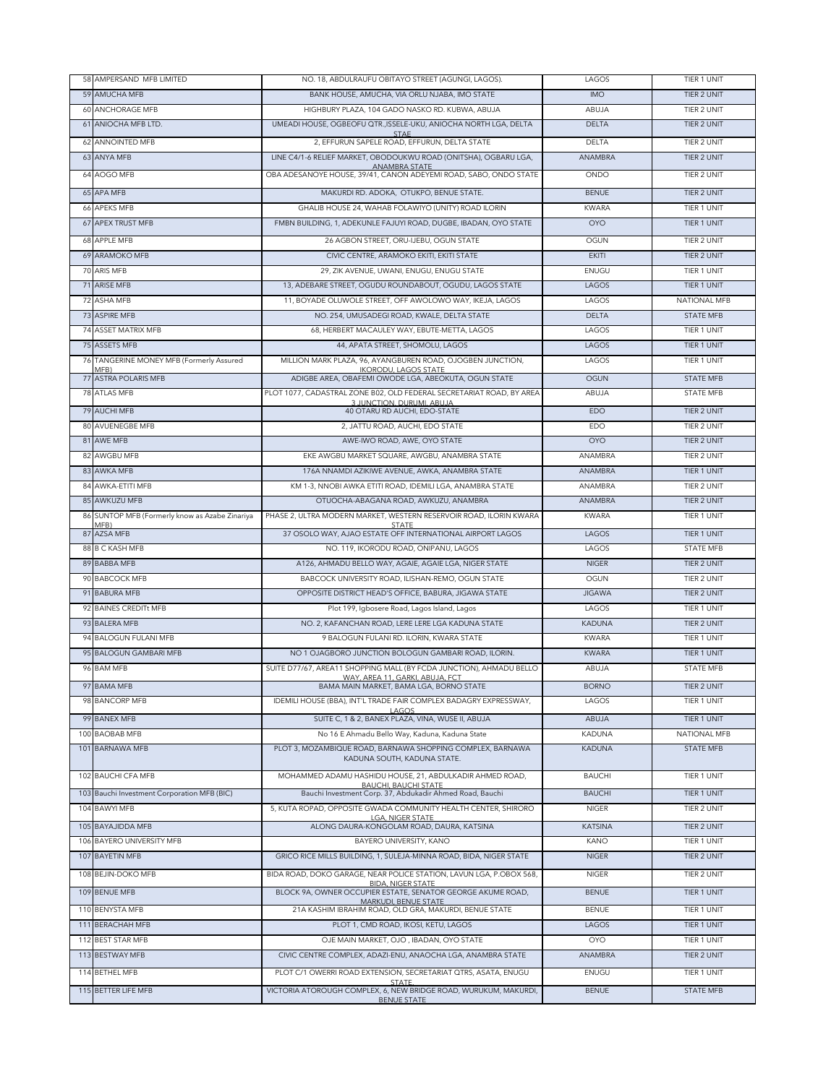|    | 58 AMPERSAND MFB LIMITED                      | NO. 18, ABDULRAUFU OBITAYO STREET (AGUNGI, LAGOS).                                                              | LAGOS          | TIER 1 UNIT        |
|----|-----------------------------------------------|-----------------------------------------------------------------------------------------------------------------|----------------|--------------------|
|    | 59 AMUCHA MFB                                 | BANK HOUSE, AMUCHA, VIA ORLU NJABA, IMO STATE                                                                   | <b>IMO</b>     | TIER 2 UNIT        |
|    | 60 ANCHORAGE MFB                              | HIGHBURY PLAZA, 104 GADO NASKO RD. KUBWA, ABUJA                                                                 | ABUJA          | TIER 2 UNIT        |
|    | 61 ANIOCHA MFB LTD.                           | UMEADI HOUSE, OGBEOFU QTR., ISSELE-UKU, ANIOCHA NORTH LGA, DELTA                                                | <b>DELTA</b>   | TIER 2 UNIT        |
|    | 62 ANNOINTED MFB                              | STAE<br>2, EFFURUN SAPELE ROAD, EFFURUN, DELTA STATE                                                            | <b>DELTA</b>   | TIER 2 UNIT        |
|    | 63 ANYA MFB                                   | LINE C4/1-6 RELIEF MARKET, OBODOUKWU ROAD (ONITSHA), OGBARU LGA,                                                | ANAMBRA        | TIER 2 UNIT        |
|    | 64 AOGO MFB                                   | ANAMBRA STATE<br>OBA ADESANOYE HOUSE, 39/41, CANON ADEYEMI ROAD, SABO, ONDO STATE                               | ONDO           | TIER 2 UNIT        |
|    |                                               |                                                                                                                 |                |                    |
|    | 65 APA MFB                                    | MAKURDI RD. ADOKA, OTUKPO, BENUE STATE.                                                                         | <b>BENUE</b>   | TIER 2 UNIT        |
|    | 66 APEKS MFB                                  | GHALIB HOUSE 24, WAHAB FOLAWIYO (UNITY) ROAD ILORIN                                                             | <b>KWARA</b>   | TIER 1 UNIT        |
|    | 67 APEX TRUST MFB                             | FMBN BUILDING, 1, ADEKUNLE FAJUYI ROAD, DUGBE, IBADAN, OYO STATE                                                | <b>OYO</b>     | TIER 1 UNIT        |
|    | 68 APPLE MFB                                  | 26 AGBON STREET, ORU-IJEBU, OGUN STATE                                                                          | OGUN           | TIER 2 UNIT        |
|    | 69 ARAMOKO MFB                                | CIVIC CENTRE, ARAMOKO EKITI, EKITI STATE                                                                        | <b>EKITI</b>   | TIER 2 UNIT        |
|    | 70 ARIS MFB                                   | 29, ZIK AVENUE, UWANI, ENUGU, ENUGU STATE                                                                       | ENUGU          | TIER 1 UNIT        |
| 71 | <b>ARISE MFB</b>                              | 13, ADEBARE STREET, OGUDU ROUNDABOUT, OGUDU, LAGOS STATE                                                        | LAGOS          | TIER 1 UNIT        |
| 72 | ASHA MFB                                      | 11, BOYADE OLUWOLE STREET, OFF AWOLOWO WAY, IKEJA, LAGOS                                                        | LAGOS          | NATIONAL MFB       |
|    | 73 ASPIRE MFB                                 | NO. 254, UMUSADEGI ROAD, KWALE, DELTA STATE                                                                     | <b>DELTA</b>   | <b>STATE MFB</b>   |
|    | 74 ASSET MATRIX MFB                           | 68, HERBERT MACAULEY WAY, EBUTE-METTA, LAGOS                                                                    | LAGOS          | TIER 1 UNIT        |
|    | 75 ASSETS MFB                                 | 44, APATA STREET, SHOMOLU, LAGOS                                                                                | LAGOS          | TIER 1 UNIT        |
| 76 | TANGERINE MONEY MFB (Formerly Assured<br>MFB) | MILLION MARK PLAZA, 96, AYANGBUREN ROAD, OJOGBEN JUNCTION,<br><b>IKORODU, LAGOS STATE</b>                       | LAGOS          | TIER 1 UNIT        |
|    | 77 ASTRA POLARIS MFB                          | ADIGBE AREA, OBAFEMI OWODE LGA, ABEOKUTA, OGUN STATE                                                            | <b>OGUN</b>    | <b>STATE MFB</b>   |
|    | 78 ATLAS MFB                                  | PLOT 1077, CADASTRAL ZONE B02, OLD FEDERAL SECRETARIAT ROAD, BY AREA                                            | ABUJA          | STATE MFB          |
|    | 79 AUCHI MFB                                  | 3 JUNCTION, DURUMI, ABUJA<br>40 OTARU RD AUCHI, EDO-STATE                                                       | <b>EDO</b>     | TIER 2 UNIT        |
|    | 80 AVUENEGBE MFB                              | 2, JATTU ROAD, AUCHI, EDO STATE                                                                                 | EDO            | TIER 2 UNIT        |
|    | 81 AWE MFB                                    | AWE-IWO ROAD, AWE, OYO STATE                                                                                    | <b>OYO</b>     | <b>TIER 2 UNIT</b> |
| 82 | AWGBU MFB                                     | EKE AWGBU MARKET SQUARE, AWGBU, ANAMBRA STATE                                                                   | ANAMBRA        | TIER 2 UNIT        |
|    | 83 AWKA MFB                                   | 176A NNAMDI AZIKIWE AVENUE, AWKA, ANAMBRA STATE                                                                 | ANAMBRA        | TIER 1 UNIT        |
|    | 84 AWKA-ETITI MFB                             | KM 1-3, NNOBI AWKA ETITI ROAD, IDEMILI LGA, ANAMBRA STATE                                                       | ANAMBRA        | TIER 2 UNIT        |
|    | 85 AWKUZU MFB                                 | OTUOCHA-ABAGANA ROAD, AWKUZU, ANAMBRA                                                                           | ANAMBRA        | TIER 2 UNIT        |
| 86 | SUNTOP MFB (Formerly know as Azabe Zinariya   | PHASE 2, ULTRA MODERN MARKET, WESTERN RESERVOIR ROAD, ILORIN KWARA                                              | <b>KWARA</b>   | TIER 1 UNIT        |
|    | MFR)<br>87 AZSA MFB                           | <b>STATE</b><br>37 OSOLO WAY, AJAO ESTATE OFF INTERNATIONAL AIRPORT LAGOS                                       | LAGOS          | <b>TIER 1 UNIT</b> |
|    | 88 B C KASH MFB                               | NO. 119, IKORODU ROAD, ONIPANU, LAGOS                                                                           | LAGOS          | <b>STATE MFB</b>   |
|    | 89 BABBA MFB                                  | A126, AHMADU BELLO WAY, AGAIE, AGAIE LGA, NIGER STATE                                                           | <b>NIGER</b>   | TIER 2 UNIT        |
|    | 90 BABCOCK MFB                                | BABCOCK UNIVERSITY ROAD, ILISHAN-REMO, OGUN STATE                                                               | OGUN           | TIER 2 UNIT        |
|    | 91 BABURA MFB                                 | OPPOSITE DISTRICT HEAD'S OFFICE, BABURA, JIGAWA STATE                                                           | <b>JIGAWA</b>  | TIER 2 UNIT        |
|    | 92 BAINES CREDITt MFB                         | Plot 199, Igbosere Road, Lagos Island, Lagos                                                                    | LAGOS          | TIER 1 UNIT        |
|    | 93 BALERA MFB                                 | NO. 2, KAFANCHAN ROAD, LERE LERE LGA KADUNA STATE                                                               | <b>KADUNA</b>  | TIER 2 UNIT        |
|    | 94 BALOGUN FULANI MFB                         | 9 BALOGUN FULANI RD. ILORIN, KWARA STATE                                                                        | <b>KWARA</b>   | TIER 1 UNIT        |
|    | 95 BALOGUN GAMBARI MFB                        | NO 1 OJAGBORO JUNCTION BOLOGUN GAMBARI ROAD, ILORIN.                                                            | <b>KWARA</b>   | TIER 1 UNIT        |
|    | 96 BAM MFB                                    | SUITE D77/67, AREA11 SHOPPING MALL (BY FCDA JUNCTION), AHMADU BELLO                                             | ABUJA          | STATE MFB          |
|    |                                               | WAY, AREA 11, GARKI, ABUJA, FCT                                                                                 |                |                    |
|    | 97 BAMA MFB                                   | BAMA MAIN MARKET, BAMA LGA, BORNO STATE                                                                         | <b>BORNO</b>   | TIER 2 UNIT        |
|    | 98 BANCORP MFB                                | IDEMILI HOUSE (BBA), INT'L TRADE FAIR COMPLEX BADAGRY EXPRESSWAY,<br>AGOS                                       | LAGOS          | TIER 1 UNIT        |
|    | 99 BANEX MFB                                  | SUITE C, 1 & 2, BANEX PLAZA, VINA, WUSE II, ABUJA                                                               | ABUJA          | TIER 1 UNIT        |
|    | 100 BAOBAB MFB                                | No 16 E Ahmadu Bello Way, Kaduna, Kaduna State                                                                  | KADUNA         | NATIONAL MFB       |
|    | 101 BARNAWA MFB                               | PLOT 3, MOZAMBIQUE ROAD, BARNAWA SHOPPING COMPLEX, BARNAWA<br>KADUNA SOUTH, KADUNA STATE.                       | <b>KADUNA</b>  | <b>STATE MFB</b>   |
|    | 102 BAUCHI CFA MFB                            | MOHAMMED ADAMU HASHIDU HOUSE, 21, ABDULKADIR AHMED ROAD,<br><b>BAUCHI, BAUCHI STATE</b>                         | <b>BAUCHI</b>  | <b>TIER 1 UNIT</b> |
|    | 103 Bauchi Investment Corporation MFB (BIC)   | Bauchi Investment Corp. 37, Abdukadir Ahmed Road, Bauchi                                                        | <b>BAUCHI</b>  | TIER 1 UNIT        |
|    | 104 BAWYI MFB                                 | 5. KUTA ROPAD, OPPOSITE GWADA COMMUNITY HEALTH CENTER, SHIRORO<br>LGA, NIGER STATE                              | <b>NIGER</b>   | TIER 2 UNIT        |
|    | 105 BAYAJIDDA MFB                             | ALONG DAURA-KONGOLAM ROAD, DAURA, KATSINA                                                                       | <b>KATSINA</b> | TIER 2 UNIT        |
|    | 106 BAYERO UNIVERSITY MFB                     | BAYERO UNIVERSITY, KANO                                                                                         | KANO           | TIER 1 UNIT        |
|    | 107 BAYETIN MFB                               | GRICO RICE MILLS BUILDING, 1, SULEJA-MINNA ROAD, BIDA, NIGER STATE                                              | <b>NIGER</b>   | TIER 2 UNIT        |
|    | 108 BEJIN-DOKO MFB                            | BIDA ROAD, DOKO GARAGE, NEAR POLICE STATION, LAVUN LGA, P.OBOX 568,                                             | <b>NIGER</b>   | TIER 2 UNIT        |
|    | 109 BENUE MFB                                 | <b>BIDA, NIGER STATE</b><br>BLOCK 9A, OWNER OCCUPIER ESTATE, SENATOR GEORGE AKUME ROAD,<br>MARKUDI, BENUE STATE | <b>BENUE</b>   | TIER 1 UNIT        |
|    | 110 BENYSTA MFB                               | 21A KASHIM IBRAHIM ROAD, OLD GRA, MAKURDI, BENUE STATE                                                          | <b>BENUE</b>   | TIER 1 UNIT        |
|    | 111 BERACHAH MFB                              | PLOT 1, CMD ROAD, IKOSI, KETU, LAGOS                                                                            | LAGOS          | TIER 1 UNIT        |
|    | 112 BEST STAR MFB                             | OJE MAIN MARKET, OJO, IBADAN, OYO STATE                                                                         | <b>OYO</b>     | TIER 1 UNIT        |
|    | 113 BESTWAY MFB                               | CIVIC CENTRE COMPLEX, ADAZI-ENU, ANAOCHA LGA, ANAMBRA STATE                                                     | ANAMBRA        | TIER 2 UNIT        |
|    | 114 BETHEL MFB                                | PLOT C/1 OWERRI ROAD EXTENSION, SECRETARIAT QTRS, ASATA, ENUGU                                                  | ENUGU          | TIER 1 UNIT        |
|    | 115 BETTER LIFE MFB                           | STATE.<br>VICTORIA ATOROUGH COMPLEX, 6, NEW BRIDGE ROAD, WURUKUM, MAKURDI,<br><b>BENUE STATE</b>                | <b>BENUE</b>   | STATE MFB          |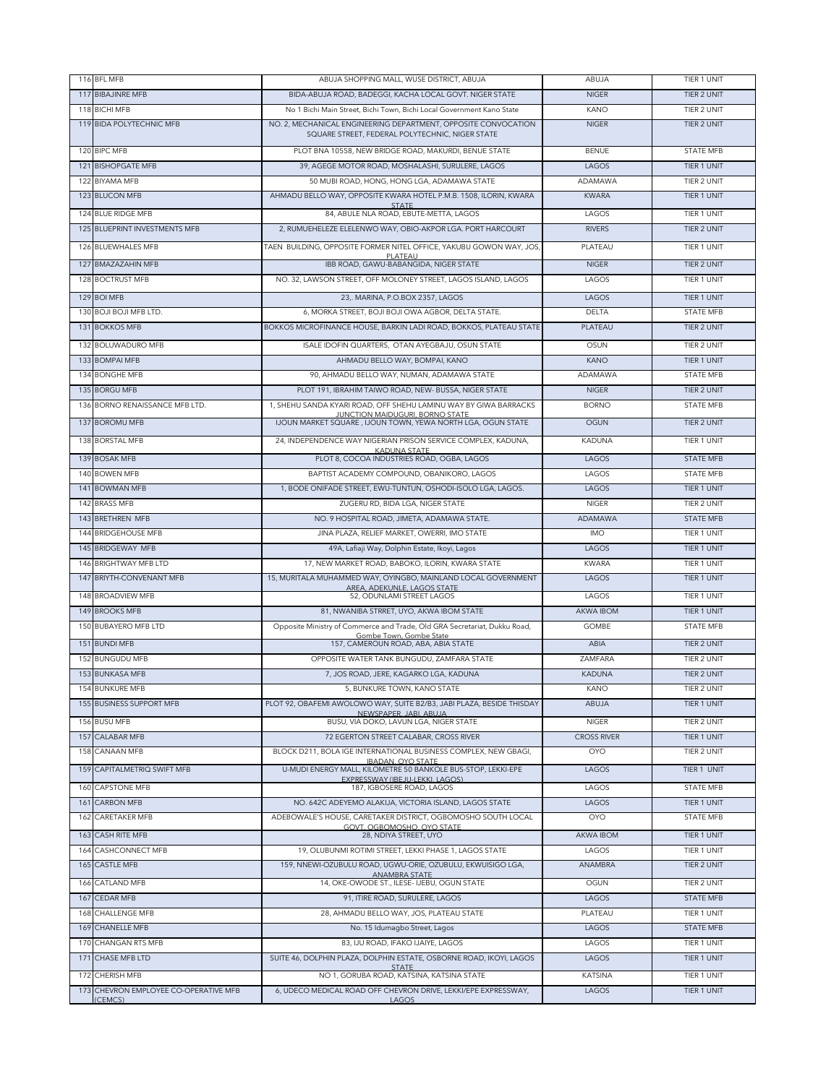|     | 116 BFL MFB                                      | ABUJA SHOPPING MALL, WUSE DISTRICT, ABUJA                                                                         | ABUJA              | TIER 1 UNIT        |
|-----|--------------------------------------------------|-------------------------------------------------------------------------------------------------------------------|--------------------|--------------------|
|     | 117 BIBAJINRE MFB                                | BIDA-ABUJA ROAD, BADEGGI, KACHA LOCAL GOVT. NIGER STATE                                                           | <b>NIGER</b>       | TIER 2 UNIT        |
|     | 118 BICHI MFB                                    | No 1 Bichi Main Street, Bichi Town, Bichi Local Government Kano State                                             | KANO               | TIER 2 UNIT        |
|     | 119 BIDA POI YTECHNIC MEB                        | NO. 2, MECHANICAL ENGINEERING DEPARTMENT, OPPOSITE CONVOCATION<br>SQUARE STREET, FEDERAL POLYTECHNIC, NIGER STATE | <b>NIGER</b>       | <b>TIER 2 UNIT</b> |
|     | 120 BIPC MFB                                     | PLOT BNA 10558, NEW BRIDGE ROAD, MAKURDI, BENUE STATE                                                             | <b>BENUE</b>       | <b>STATE MFB</b>   |
|     | 121 BISHOPGATE MFB                               | 39, AGEGE MOTOR ROAD, MOSHALASHI, SURULERE, LAGOS                                                                 | LAGOS              | TIER 1 UNIT        |
|     | 122 BIYAMA MFB                                   | 50 MUBI ROAD, HONG, HONG LGA, ADAMAWA STATE                                                                       | ADAMAWA            | TIER 2 UNIT        |
|     | 123 BLUCON MFB                                   | AHMADU BELLO WAY, OPPOSITE KWARA HOTEL P.M.B. 1508, ILORIN, KWARA                                                 | <b>KWARA</b>       | TIER 1 UNIT        |
|     | 124 BLUE RIDGE MFB                               | <b>STATE</b><br>84, ABULE NLA ROAD, EBUTE-METTA, LAGOS                                                            | LAGOS              | TIFR 1 UNIT        |
|     | 125 BLUEPRINT INVESTMENTS MFB                    | 2. RUMUEHELEZE ELELENWO WAY, OBIO-AKPOR LGA, PORT HARCOURT                                                        | <b>RIVERS</b>      | TIER 2 UNIT        |
|     |                                                  |                                                                                                                   |                    |                    |
|     | 126 BLUEWHALES MFB                               | TAEN BUILDING, OPPOSITE FORMER NITEL OFFICE, YAKUBU GOWON WAY, JOS,<br>PLATEAU                                    | PLATEAU            | TIER 1 UNIT        |
|     | 127 BMAZAZAHIN MFB                               | IBB ROAD, GAWU-BABANGIDA, NIGER STATE                                                                             | <b>NIGER</b>       | TIER 2 UNIT        |
|     | 128 BOCTRUST MFB                                 | NO. 32, LAWSON STREET, OFF MOLONEY STREET, LAGOS ISLAND, LAGOS                                                    | LAGOS              | TIER 1 UNIT        |
|     | 129 BOI MFB                                      | 23, MARINA, P.O.BOX 2357, LAGOS                                                                                   | LAGOS              | TIER 1 UNIT        |
|     | 130 BOJI BOJI MFB LTD.                           | 6, MORKA STREET, BOJI BOJI OWA AGBOR, DELTA STATE.                                                                | <b>DELTA</b>       | <b>STATE MFB</b>   |
|     | 131 BOKKOS MFB                                   | BOKKOS MICROFINANCE HOUSE, BARKIN LADI ROAD, BOKKOS, PLATEAU STATE                                                | PLATEAU            | TIER 2 UNIT        |
|     | 132 BOLUWADURO MFB                               | ISALE IDOFIN QUARTERS. OTAN AYEGBAJU, OSUN STATE                                                                  | OSUN               | TIER 2 UNIT        |
|     | 133 BOMPAI MFB                                   | AHMADU BELLO WAY, BOMPAI, KANO                                                                                    | <b>KANO</b>        | TIER 1 UNIT        |
| 134 | <b>BONGHE MFB</b>                                | 90, AHMADU BELLO WAY, NUMAN, ADAMAWA STATE                                                                        | ADAMAWA            | <b>STATE MFB</b>   |
|     | 135 BORGU MFB                                    | PLOT 191, IBRAHIM TAIWO ROAD, NEW- BUSSA, NIGER STATE                                                             | <b>NIGER</b>       | <b>TIER 2 UNIT</b> |
|     | 136 BORNO RENAISSANCE MFB LTD.                   | 1, SHEHU SANDA KYARI ROAD, OFF SHEHU LAMINU WAY BY GIWA BARRACKS                                                  | <b>BORNO</b>       | <b>STATE MFB</b>   |
|     |                                                  | JUNCTION MAIDUGURI, BORNO STATE                                                                                   |                    |                    |
|     | 137 BOROMU MFB                                   | IJOUN MARKET SQUARE, IJOUN TOWN, YEWA NORTH LGA, OGUN STATE                                                       | <b>OGUN</b>        | <b>TIER 2 UNIT</b> |
| 138 | <b>BORSTAL MFB</b>                               | 24, INDEPENDENCE WAY NIGERIAN PRISON SERVICE COMPLEX, KADUNA,<br>KADUNA STATE                                     | <b>KADUNA</b>      | TIER 1 UNIT        |
|     | 139 BOSAK MFB                                    | PLOT 8, COCOA INDUSTRIES ROAD, OGBA, LAGOS                                                                        | LAGOS              | <b>STATE MFB</b>   |
| 140 | <b>BOWEN MFB</b>                                 | BAPTIST ACADEMY COMPOUND, OBANIKORO, LAGOS                                                                        | LAGOS              | <b>STATE MFB</b>   |
| 141 | <b>BOWMAN MFB</b>                                | 1, BODE ONIFADE STREET, EWU-TUNTUN, OSHODI-ISOLO LGA, LAGOS.                                                      | LAGOS              | TIER 1 UNIT        |
| 142 | <b>BRASS MFB</b>                                 | ZUGERU RD, BIDA LGA, NIGER STATE                                                                                  | <b>NIGER</b>       | TIER 2 UNIT        |
|     | 143 BRETHREN MFB                                 | NO. 9 HOSPITAL ROAD, JIMETA, ADAMAWA STATE.                                                                       | ADAMAWA            | <b>STATE MFB</b>   |
|     | 144 BRIDGEHOUSE MFB                              | JINA PLAZA, RELIEF MARKET, OWERRI, IMO STATE                                                                      | <b>IMO</b>         | TIER 1 UNIT        |
|     | 145 BRIDGEWAY MFB                                | 49A, Lafiaji Way, Dolphin Estate, Ikoyi, Lagos                                                                    | LAGOS              | TIER 1 UNIT        |
| 146 | BRIGHTWAY MFB LTD                                | 17, NEW MARKET ROAD, BABOKO, ILORIN, KWARA STATE                                                                  | <b>KWARA</b>       | TIER 1 UNIT        |
| 147 | BRIYTH-CONVENANT MFB                             | 15, MURITALA MUHAMMED WAY, OYINGBO, MAINLAND LOCAL GOVERNMENT                                                     | LAGOS              | TIER 1 UNIT        |
| 148 | <b>BROADVIEW MFB</b>                             | AREA, ADEKUNLE, LAGOS STATE<br>52, ODUNLAMI STREET LAGOS                                                          | LAGOS              | TIER 1 UNIT        |
| 149 | <b>BROOKS MFB</b>                                | 81, NWANIBA STRRET, UYO, AKWA IBOM STATE                                                                          | <b>AKWA IBOM</b>   | TIER 1 UNIT        |
| 150 | <b>BUBAYERO MFB LTD</b>                          | Opposite Ministry of Commerce and Trade, Old GRA Secretariat, Dukku Road,                                         | <b>GOMBE</b>       | <b>STATE MFB</b>   |
|     | 151 BUNDI MFB                                    | Gombe Town, Gombe State<br>157, CAMEROUN ROAD, ABA, ABIA STATE                                                    | ABIA               | TIER 2 UNIT        |
| 152 | <b>BUNGUDU MFB</b>                               | OPPOSITE WATER TANK BUNGUDU, ZAMFARA STATE                                                                        | ZAMFARA            | TIER 2 UNIT        |
|     | <b>153 BUNKASA MFB</b>                           | 7, JOS ROAD, JERE, KAGARKO LGA, KADUNA                                                                            | <b>KADUNA</b>      | TIER 2 UNIT        |
|     |                                                  |                                                                                                                   |                    |                    |
|     | 154 BUNKURE MFB                                  | 5, BUNKURE TOWN, KANO STATE                                                                                       | KANO               | TIER 2 UNIT        |
|     | 155 BUSINESS SUPPORT MFB                         | PLOT 92, OBAFEMI AWOLOWO WAY, SUITE B2/B3, JABI PLAZA, BESIDE THISDAY<br>NEWSPAPER, JABI, ABUJA                   | ABUJA              | TIER 1 UNIT        |
|     | 156 BUSU MFB                                     | BUSU, VIA DOKO, LAVUN LGA, NIGER STATE                                                                            | NIGER              | TIER 2 UNIT        |
|     | 157 CALABAR MFB                                  | 72 EGERTON STREET CALABAR, CROSS RIVER                                                                            | <b>CROSS RIVER</b> | TIER 1 UNIT        |
|     | 158 CANAAN MFB                                   | BLOCK D211, BOLA IGE INTERNATIONAL BUSINESS COMPLEX, NEW GBAGI,<br><b>IBADAN, OYO STATE</b>                       | <b>OYO</b>         | TIER 2 UNIT        |
|     | 159 CAPITALMETRIQ SWIFT MFB                      | U-MUDI ENERGY MALL, KILOMETRE 50 BANKOLE BUS-STOP, LEKKI-EPE<br>EXPRESSWAY (IBEJU-LEKKI, LAGOS)                   | LAGOS              | TIER 1 UNIT        |
| 160 | CAPSTONE MFB                                     | 187, IGBOSERE ROAD, LAGOS                                                                                         | LAGOS              | <b>STATE MFB</b>   |
| 161 | <b>CARBON MFB</b>                                | NO. 642C ADEYEMO ALAKIJA, VICTORIA ISLAND, LAGOS STATE                                                            | LAGOS              | TIER 1 UNIT        |
| 162 | CARETAKER MFB                                    | ADEBOWALE'S HOUSE, CARETAKER DISTRICT, OGBOMOSHO SOUTH LOCAL                                                      | <b>OYO</b>         | <b>STATE MFB</b>   |
| 163 | CASH RITE MFB                                    | GOVT, OGBOMOSHO, OYO STATE<br>28, NDIYA STREET, UYO                                                               | AKWA IBOM          | TIER 1 UNIT        |
| 164 | CASHCONNECT MFB                                  | 19, OLUBUNMI ROTIMI STREET, LEKKI PHASE 1, LAGOS STATE                                                            | LAGOS              | TIER 1 UNIT        |
| 165 | <b>CASTLE MFB</b>                                | 159, NNEWI-OZUBULU ROAD, UGWU-ORIE, OZUBULU, EKWUISIGO LGA,                                                       | ANAMBRA            | TIER 2 UNIT        |
| 166 | CATLAND MFB                                      | <b>ANAMBRA STATE</b><br>14, OKE-OWODE ST., ILESE- IJEBU, OGUN STATE                                               | OGUN               | TIER 2 UNIT        |
| 167 | CEDAR MFB                                        | 91, ITIRE ROAD, SURULERE, LAGOS                                                                                   | LAGOS              | <b>STATE MFB</b>   |
| 168 | CHALLENGE MFB                                    | 28, AHMADU BELLO WAY, JOS, PLATEAU STATE                                                                          | PLATEAU            | TIER 1 UNIT        |
| 169 | <b>CHANELLE MFB</b>                              | No. 15 Idumagbo Street, Lagos                                                                                     | LAGOS              | <b>STATE MFB</b>   |
| 170 | CHANGAN RTS MFB                                  | 83, IJU ROAD, IFAKO IJAIYE, LAGOS                                                                                 | LAGOS              | TIER 1 UNIT        |
| 171 | CHASE MFB LTD                                    | SUITE 46, DOLPHIN PLAZA, DOLPHIN ESTATE, OSBORNE ROAD, IKOYI, LAGOS                                               | LAGOS              | TIER 1 UNIT        |
|     |                                                  | <b>STATE</b>                                                                                                      |                    |                    |
|     | 172 CHERISH MFB                                  | NO 1, GORUBA ROAD, KATSINA, KATSINA STATE                                                                         | <b>KATSINA</b>     | TIER 1 UNIT        |
|     | 173 CHEVRON EMPLOYEE CO-OPERATIVE MFB<br>(CEMCS) | 6, UDECO MEDICAL ROAD OFF CHEVRON DRIVE, LEKKI/EPE EXPRESSWAY,<br>LAGOS                                           | LAGOS              | TIER 1 UNIT        |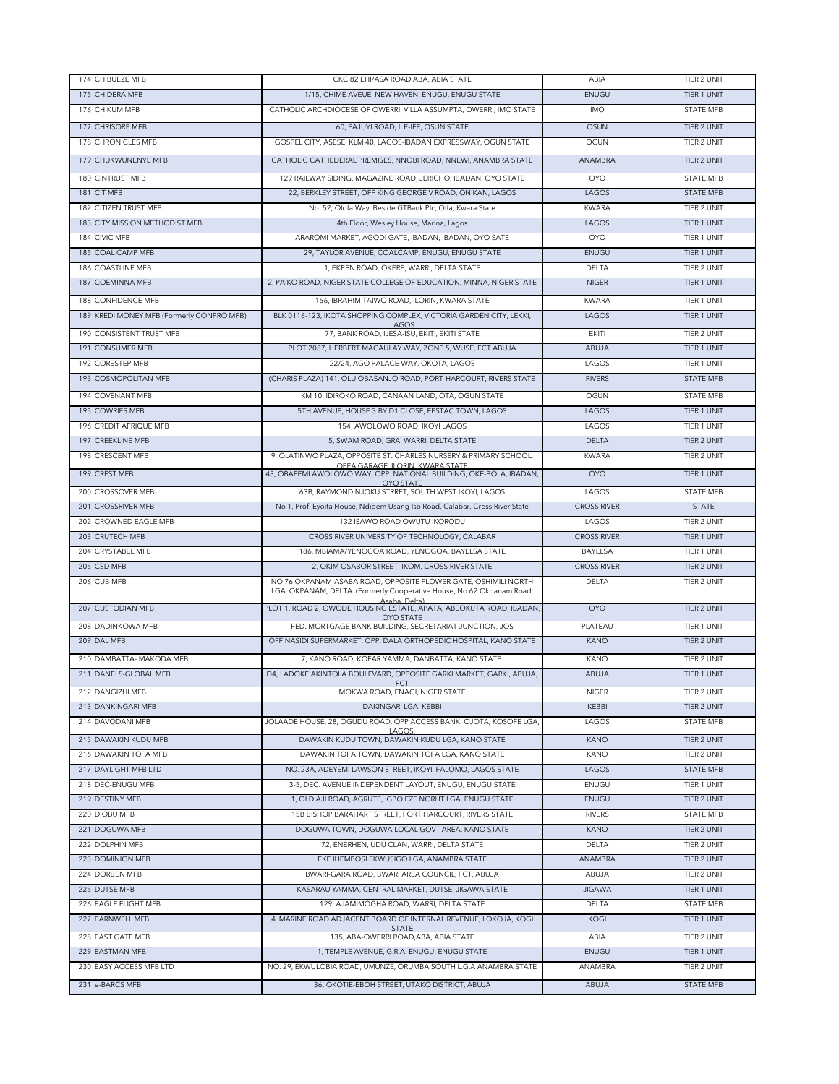|     | 174 CHIBUEZE MFB                          | CKC 82 EHI/ASA ROAD ABA, ABIA STATE                                                                                                                     | ABIA               | TIER 2 UNIT        |
|-----|-------------------------------------------|---------------------------------------------------------------------------------------------------------------------------------------------------------|--------------------|--------------------|
|     | 175 CHIDERA MEB                           | 1/15, CHIME AVEUE, NEW HAVEN, ENUGU, ENUGU STATE                                                                                                        | <b>ENUGU</b>       | TIER 1 UNIT        |
|     | 176 CHIKUM MFB                            | CATHOLIC ARCHDIOCESE OF OWERRI, VILLA ASSUMPTA, OWERRI, IMO STATE                                                                                       | <b>IMO</b>         | <b>STATE MFB</b>   |
|     | 177 CHRISORE MFB                          | 60, FAJUYI ROAD, ILE-IFE, OSUN STATE                                                                                                                    | <b>OSUN</b>        | TIER 2 UNIT        |
|     | 178 CHRONICLES MFB                        | GOSPEL CITY, ASESE, KLM 40, LAGOS-IBADAN EXPRESSWAY, OGUN STATE                                                                                         | OGUN               | <b>TIER 2 UNIT</b> |
|     | 179 CHUKWUNENYE MFB                       | CATHOLIC CATHEDERAL PREMISES, NNOBI ROAD, NNEWI, ANAMBRA STATE                                                                                          | <b>ANAMBRA</b>     | TIER 2 UNIT        |
|     | 180 CINTRUST MFB                          | 129 RAILWAY SIDING, MAGAZINE ROAD, JERICHO, IBADAN, OYO STATE                                                                                           | <b>OYO</b>         | <b>STATE MFB</b>   |
|     | 181 CIT MFB                               | 22, BERKLEY STREET, OFF KING GEORGE V ROAD, ONIKAN, LAGOS                                                                                               | LAGOS              | <b>STATE MFB</b>   |
| 182 | <b>CITIZEN TRUST MFB</b>                  | No. 52, Olofa Way, Beside GTBank Plc, Offa, Kwara State                                                                                                 | <b>KWARA</b>       | TIER 2 UNIT        |
|     | 183 CITY MISSION METHODIST MFB            | 4th Floor, Wesley House, Marina, Lagos.                                                                                                                 | LAGOS              | TIER 1 UNIT        |
| 184 | <b>CIVIC MFB</b>                          | ARAROMI MARKET, AGODI GATE, IBADAN, IBADAN, OYO SATE                                                                                                    | <b>OYO</b>         | TIER 1 UNIT        |
|     | 185 COAL CAMP MFB                         | 29, TAYLOR AVENUE, COALCAMP, ENUGU, ENUGU STATE                                                                                                         | ENUGU              | TIER 1 UNIT        |
| 186 | <b>COASTLINE MFB</b>                      | 1, EKPEN ROAD, OKERE, WARRI, DELTA STATE                                                                                                                | DELTA              | TIER 2 UNIT        |
| 187 | <b>COEMINNA MFB</b>                       | 2, PAIKO ROAD, NIGER STATE COLLEGE OF EDUCATION, MINNA, NIGER STATE                                                                                     | <b>NIGER</b>       | TIER 1 UNIT        |
| 188 | <b>CONFIDENCE MFB</b>                     | 156, IBRAHIM TAIWO ROAD, ILORIN, KWARA STATE                                                                                                            | <b>KWARA</b>       | TIER 1 UNIT        |
|     | 189 KREDI MONEY MFB (Formerly CONPRO MFB) | BLK 0116-123, IKOTA SHOPPING COMPLEX, VICTORIA GARDEN CITY, LEKKI,                                                                                      | LAGOS              | TIER 1 UNIT        |
|     |                                           | LAGOS                                                                                                                                                   |                    |                    |
| 190 | <b>CONSISTENT TRUST MFB</b>               | 77, BANK ROAD, IJESA-ISU, EKITI, EKITI STATE                                                                                                            | <b>EKITI</b>       | TIER 2 UNIT        |
| 191 | <b>CONSUMER MFB</b>                       | PLOT 2087, HERBERT MACAULAY WAY, ZONE 5, WUSE, FCT ABUJA                                                                                                | ABUJA              | TIER 1 UNIT        |
|     | 192 CORESTEP MFB                          | 22/24, AGO PALACE WAY, OKOTA, LAGOS                                                                                                                     | LAGOS              | TIER 1 UNIT        |
|     | 193 COSMOPOLITAN MFB                      | (CHARIS PLAZA) 141, OLU OBASANJO ROAD, PORT-HARCOURT, RIVERS STATE                                                                                      | <b>RIVERS</b>      | <b>STATE MFB</b>   |
| 194 | <b>COVENANT MFB</b>                       | KM 10, IDIROKO ROAD, CANAAN LAND, OTA, OGUN STATE                                                                                                       | OGUN               | <b>STATE MFB</b>   |
|     | 195 COWRIES MFB                           | 5TH AVENUE, HOUSE 3 BY D1 CLOSE, FESTAC TOWN, LAGOS                                                                                                     | LAGOS              | TIER 1 UNIT        |
| 196 | CREDIT AFRIQUE MFB                        | 154, AWOLOWO ROAD, IKOYI LAGOS                                                                                                                          | LAGOS              | TIER 1 UNIT        |
|     | 197 CREEKLINE MFB                         | 5. SWAM ROAD, GRA, WARRI, DELTA STATE                                                                                                                   | <b>DELTA</b>       | TIER 2 UNIT        |
| 198 | CRESCENT MFB                              | 9, OLATINWO PLAZA, OPPOSITE ST. CHARLES NURSERY & PRIMARY SCHOOL,<br>OFFA GARAGE, ILORIN, KWARA STATE                                                   | <b>KWARA</b>       | TIER 2 UNIT        |
|     | 199 CREST MFB                             | 43, OBAFEMI AWOLOWO WAY, OPP. NATIONAL BUILDING, OKE-BOLA, IBADAN,<br><b>OYO STATE</b>                                                                  | <b>OYO</b>         | TIER 1 UNIT        |
|     | 200 CROSSOVER MFB                         | 63B, RAYMOND NJOKU STRRET, SOUTH WEST IKOYI, LAGOS                                                                                                      | LAGOS              | <b>STATE MFB</b>   |
|     | 201 CROSSRIVER MFB                        | No 1, Prof. Eyoita House, Ndidem Usang Iso Road, Calabar, Cross River State                                                                             | <b>CROSS RIVER</b> | <b>STATE</b>       |
| 202 | CROWNED EAGLE MFB                         | 132 ISAWO ROAD OWUTU IKORODU                                                                                                                            | LAGOS              | TIER 2 UNIT        |
| 203 | <b>CRUTECH MFB</b>                        | CROSS RIVER UNIVERSITY OF TECHNOLOGY, CALABAR                                                                                                           | <b>CROSS RIVER</b> | TIER 1 UNIT        |
| 204 | CRYSTABEL MFB                             | 186, MBIAMA/YENOGOA ROAD, YENOGOA, BAYELSA STATE                                                                                                        | BAYELSA            | TIER 1 UNIT        |
|     | 205 CSD MFB                               | 2, OKIM OSABOR STREET, IKOM, CROSS RIVER STATE                                                                                                          | <b>CROSS RIVER</b> | TIER 2 UNIT        |
|     | 206 CUB MFB                               | NO 76 OKPANAM-ASABA ROAD, OPPOSITE FLOWER GATE, OSHIMILI NORTH<br>LGA, OKPANAM, DELTA (Formerly Cooperative House, No 62 Okpanam Road,<br>Asaba, Delta) | <b>DELTA</b>       | TIER 2 UNIT        |
|     | 207 CUSTODIAN MFB                         | PLOT 1, ROAD 2, OWODE HOUSING ESTATE, APATA, ABEOKUTA ROAD, IBADAN<br><b>OYO STATE</b>                                                                  | <b>OYO</b>         | TIER 2 UNIT        |
|     | 208 DADINKOWA MFB                         | FED. MORTGAGE BANK BUILDING, SECRETARIAT JUNCTION, JOS                                                                                                  | PLATEAU            | TIER 1 UNIT        |
|     | 209 DAL MFB                               | OFF NASIDI SUPERMARKET, OPP. DALA ORTHOPEDIC HOSPITAL, KANO STATE                                                                                       | <b>KANO</b>        | TIER 2 UNIT        |
|     | 210 DAMBATTA- MAKODA MFB                  | 7, KANO ROAD, KOFAR YAMMA, DANBATTA, KANO STATE.                                                                                                        | KANO               | TIER 2 UNIT        |
|     | 211 DANELS-GLOBAL MFB                     | D4, LADOKE AKINTOLA BOULEVARD, OPPOSITE GARKI MARKET, GARKI, ABUJA,                                                                                     | <b>ABUJA</b>       | <b>TIFR 1 UNIT</b> |
|     | 212 DANGIZHI MFB                          | <b>FCT</b><br>MOKWA ROAD, ENAGI, NIGER STATE                                                                                                            | <b>NIGER</b>       | TIER 2 UNIT        |
|     | 213 DANKINGARI MFB                        | DAKINGARI LGA. KEBBI                                                                                                                                    | KEBBI              | TIER 2 UNIT        |
|     | 214 DAVODANI MFB                          | JOLAADE HOUSE, 28, OGUDU ROAD, OPP ACCESS BANK, OJOTA, KOSOFE LGA                                                                                       | LAGOS              | STATE MFB          |
|     | 215 DAWAKIN KUDU MFB                      | LAGOS.<br>DAWAKIN KUDU TOWN, DAWAKIN KUDU LGA, KANO STATE                                                                                               | <b>KANO</b>        | TIER 2 UNIT        |
|     | 216 DAWAKIN TOFA MFB                      | DAWAKIN TOFA TOWN, DAWAKIN TOFA LGA, KANO STATE                                                                                                         | KANO               | TIER 2 UNIT        |
|     | 217 DAYLIGHT MFB LTD                      | NO. 23A. ADEYEMI LAWSON STREET. IKOYI, FALOMO, LAGOS STATE                                                                                              | LAGOS              | <b>STATE MFB</b>   |
|     | 218 DEC-ENUGU MFB                         | 3-5, DEC. AVENUE INDEPENDENT LAYOUT, ENUGU, ENUGU STATE                                                                                                 | ENUGU              | TIER 1 UNIT        |
|     | 219 DESTINY MFB                           | 1, OLD AJI ROAD, AGRUTE, IGBO EZE NORHT LGA, ENUGU STATE                                                                                                | ENUGU              | TIER 2 UNIT        |
|     | 220 DIOBU MFB                             | 15B BISHOP BARAHART STREET, PORT HARCOURT, RIVERS STATE                                                                                                 | <b>RIVERS</b>      | STATE MFB          |
|     | 221 DOGUWA MFB                            | DOGUWA TOWN, DOGUWA LOCAL GOVT AREA, KANO STATE                                                                                                         | <b>KANO</b>        | TIER 2 UNIT        |
|     | 222 DOLPHIN MFB                           | 72, ENERHEN, UDU CLAN, WARRI, DELTA STATE                                                                                                               | DELTA              | TIER 2 UNIT        |
|     | 223 DOMINION MFB                          | EKE IHEMBOSI EKWUSIGO LGA, ANAMBRA STATE                                                                                                                | ANAMBRA            | <b>TIER 2 UNIT</b> |
|     | 224 DORBEN MFB                            | BWARI-GARA ROAD, BWARI AREA COUNCIL, FCT, ABUJA                                                                                                         | ABUJA              | TIER 2 UNIT        |
|     | 225 DUTSE MFB                             | KASARAU YAMMA, CENTRAL MARKET, DUTSE, JIGAWA STATE                                                                                                      | <b>JIGAWA</b>      | TIER 1 UNIT        |
|     | 226 EAGLE FLIGHT MFB                      | 129, AJAMIMOGHA ROAD, WARRI, DELTA STATE                                                                                                                | DELTA              | STATE MFB          |
|     | 227 EARNWELL MFB                          | 4, MARINE ROAD ADJACENT BOARD OF INTERNAL REVENUE, LOKOJA, KOGI                                                                                         | KOGI               | TIER 1 UNIT        |
|     | 228 EAST GATE MFB                         | 135, ABA-OWERRI ROAD, ABA, ABIA STATE                                                                                                                   | ABIA               | TIER 2 UNIT        |
|     | 229 EASTMAN MFB                           | 1, TEMPLE AVENUE, G.R.A. ENUGU, ENUGU STATE                                                                                                             | ENUGU              | TIER 1 UNIT        |
|     | 230 EASY ACCESS MFB LTD                   | NO. 29, EKWULOBIA ROAD, UMUNZE, ORUMBA SOUTH L.G.A ANAMBRA STATE                                                                                        | ANAMBRA            | TIER 2 UNIT        |
|     | 231 e-BARCS MFB                           | 36, OKOTIE-EBOH STREET, UTAKO DISTRICT, ABUJA                                                                                                           | ABUJA              | <b>STATE MFB</b>   |
|     |                                           |                                                                                                                                                         |                    |                    |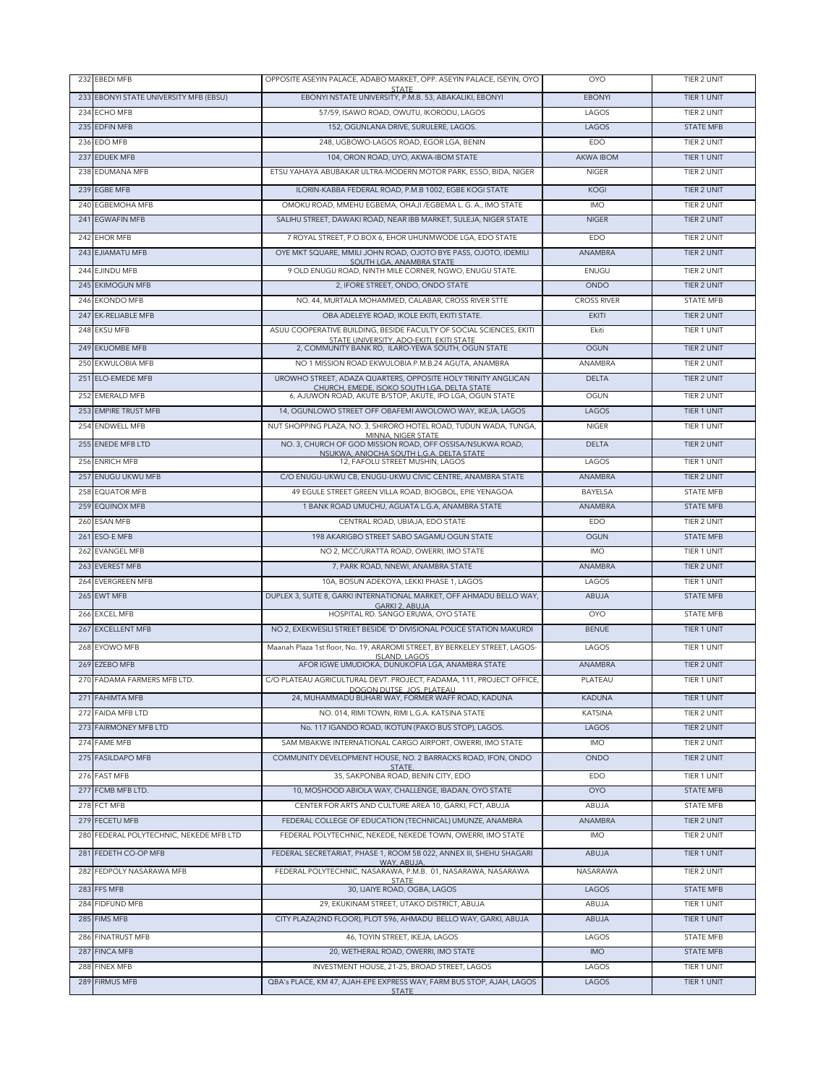| 232 EBEDI MFB                           | OPPOSITE ASEYIN PALACE, ADABO MARKET, OPP. ASEYIN PALACE, ISEYIN, OYO                                   | <b>OYO</b>               | TIER 2 UNIT                |
|-----------------------------------------|---------------------------------------------------------------------------------------------------------|--------------------------|----------------------------|
| 233 EBONYI STATE UNIVERSITY MFB (EBSU)  | <b>STATE</b><br>EBONYI NSTATE UNIVERSITY, P.M.B. 53, ABAKALIKI, EBONYI                                  | <b>EBONYI</b>            | TIER 1 UNIT                |
| 234 ECHO MFB                            | 57/59, ISAWO ROAD, OWUTU, IKORODU, LAGOS                                                                | LAGOS                    | TIER 2 UNIT                |
| 235 EDFIN MFB                           | 152, OGUNLANA DRIVE, SURULERE, LAGOS.                                                                   | LAGOS                    | <b>STATE MFB</b>           |
| 236 EDO MFB                             | 248, UGBOWO-LAGOS ROAD, EGOR LGA, BENIN                                                                 | EDO                      | TIER 2 UNIT                |
| 237 EDUEK MFB                           | 104, ORON ROAD, UYO, AKWA-IBOM STATE                                                                    | <b>AKWA IBOM</b>         | TIER 1 UNIT                |
| 238 EDUMANA MFB                         | ETSU YAHAYA ABUBAKAR ULTRA-MODERN MOTOR PARK, ESSO, BIDA, NIGER                                         | <b>NIGER</b>             | TIER 2 UNIT                |
| 239 EGBE MFB                            | ILORIN-KABBA FEDERAL ROAD, P.M.B 1002, EGBE KOGI STATE                                                  | <b>KOGI</b>              | TIER 2 UNIT                |
| 240 EGBEMOHA MFB                        | OMOKU ROAD, MMEHU EGBEMA, OHAJI / EGBEMA L. G. A., IMO STATE                                            | <b>IMO</b>               | TIER 2 UNIT                |
| 241 EGWAFIN MFB                         | SALIHU STREET, DAWAKI ROAD, NEAR IBB MARKET, SULEJA, NIGER STATE                                        | <b>NIGER</b>             | TIER 2 UNIT                |
| 242 EHOR MFB                            | 7 ROYAL STREET, P.O.BOX 6, EHOR UHUNMWODE LGA, EDO STATE                                                | EDO                      | TIER 2 UNIT                |
| 243 EJIAMATU MFB                        | OYE MKT SQUARE, MMILI JOHN ROAD, OJOTO BYE PASS, OJOTO, IDEMILI                                         | <b>ANAMBRA</b>           | TIER 2 UNIT                |
| 244 EJINDU MFB                          | SOUTH LGA, ANAMBRA STATE<br>9 OLD ENUGU ROAD, NINTH MILE CORNER, NGWO, ENUGU STATE.                     | ENUGU                    | TIER 2 UNIT                |
| 245 EKIMOGUN MFB                        | 2, IFORE STREET, ONDO, ONDO STATE                                                                       | ONDO                     | TIER 2 UNIT                |
| 246 EKONDO MFB                          | NO. 44, MURTALA MOHAMMED, CALABAR, CROSS RIVER STTE                                                     | <b>CROSS RIVER</b>       | <b>STATE MFB</b>           |
| 247 EK-RELIABLE MFB                     | OBA ADELEYE ROAD, IKOLE EKITI, EKITI STATE.                                                             | <b>EKITI</b>             | TIER 2 UNIT                |
| 248 EKSU MFB                            | ASUU COOPERATIVE BUILDING, BESIDE FACULTY OF SOCIAL SCIENCES, EKITI                                     | Ekiti                    | TIER 1 UNIT                |
| 249 EKUOMBE MFB                         | STATE UNIVERSITY, ADO-EKITI, EKITI STATE<br>2, COMMUNITY BANK RD, ILARO-YEWA SOUTH, OGUN STATE          | <b>OGUN</b>              | TIER 2 UNIT                |
| 250 EKWULOBIA MFB                       | NO 1 MISSION ROAD EKWULOBIA P.M.B.24 AGUTA, ANAMBRA                                                     | ANAMBRA                  | TIER 2 UNIT                |
| 251 ELO-EMEDE MFB                       | UROWHO STREET, ADAZA QUARTERS, OPPOSITE HOLY TRINITY ANGLICAN                                           | <b>DELTA</b>             | TIER 2 UNIT                |
| 252 EMERALD MFB                         | CHURCH, EMEDE, ISOKO SOUTH LGA, DELTA STATE<br>6, AJUWON ROAD, AKUTE B/STOP, AKUTE, IFO LGA, OGUN STATE | OGUN                     | TIER 2 UNIT                |
| 253 EMPIRE TRUST MFB                    | 14. OGUNLOWO STREET OFF OBAFEMI AWOLOWO WAY, IKEJA, LAGOS                                               | LAGOS                    | TIER 1 UNIT                |
| 254 ENDWELL MFB                         | NUT SHOPPING PLAZA, NO. 3, SHIRORO HOTEL ROAD, TUDUN WADA, TUNGA,                                       | NIGER                    | <b>TIER 1 UNIT</b>         |
| 255 FNEDE MEB LTD                       | MINNA, NIGER STATE<br>NO. 3, CHURCH OF GOD MISSION ROAD, OFF OSSISA/NSUKWA ROAD,                        | <b>DELTA</b>             | TIER 2 UNIT                |
|                                         | NSUKWA, ANIOCHA SOUTH L.G.A. DELTA STATE                                                                |                          |                            |
| 256 ENRICH MFB<br>257 ENUGU UKWU MFB    | 12. FAFOLU STREET MUSHIN, LAGOS<br>C/O ENUGU-UKWU CB, ENUGU-UKWU CIVIC CENTRE, ANAMBRA STATE            | LAGOS<br>ANAMBRA         | TIER 1 UNIT<br>TIER 2 UNIT |
| 258 EQUATOR MFB                         | 49 EGULE STREET GREEN VILLA ROAD, BIOGBOL, EPIE YENAGOA                                                 | BAYELSA                  | <b>STATE MFB</b>           |
| 259 EQUINOX MFB                         | 1 BANK ROAD UMUCHU, AGUATA L.G.A, ANAMBRA STATE                                                         | ANAMBRA                  | <b>STATE MFB</b>           |
| 260 ESAN MFB                            | CENTRAL ROAD, UBIAJA, EDO STATE                                                                         | EDO                      | TIER 2 UNIT                |
| 261 ESO-E MFB                           | 198 AKARIGBO STREET SABO SAGAMU OGUN STATE                                                              | <b>OGUN</b>              | <b>STATE MFB</b>           |
| 262 EVANGEL MFB                         | NO 2, MCC/URATTA ROAD, OWERRI, IMO STATE                                                                | <b>IMO</b>               | TIER 1 UNIT                |
| 263 EVEREST MFB                         | 7, PARK ROAD, NNEWI, ANAMBRA STATE                                                                      | ANAMBRA                  | TIER 2 UNIT                |
| 264 EVERGREEN MFB                       | 10A, BOSUN ADEKOYA, LEKKI PHASE 1, LAGOS                                                                | LAGOS                    | TIER 1 UNIT                |
| 265 EWT MFB                             | DUPLEX 3, SUITE 8, GARKI INTERNATIONAL MARKET, OFF AHMADU BELLO WAY,                                    | ABUJA                    | <b>STATE MFB</b>           |
| 266 EXCEL MFB                           | GARKI 2, ABUJA<br>HOSPITAL RD. SANGO ERUWA, OYO STATE                                                   | <b>OYO</b>               | <b>STATE MFB</b>           |
| 267 EXCELLENT MFB                       | NO 2, EXEKWESILI STREET BESIDE 'D' DIVISIONAL POLICE STATION MAKURDI                                    | <b>BENUE</b>             | TIER 1 UNIT                |
| 268 EYOWO MFB                           | Maanah Plaza 1st floor, No. 19, ARAROMI STREET, BY BERKELEY STREET, LAGOS-                              | LAGOS                    | TIER 1 UNIT                |
| 269 EZEBO MFB                           | <b>ISLAND, LAGOS</b><br>AFOR IGWE UMUDIOKA, DUNUKOFIA LGA, ANAMBRA STATE                                | ANAMBRA                  | TIER 2 UNIT                |
| 270 FADAMA FARMERS MFB LTD.             | C/O PLATEAU AGRICULTURAL DEVT. PROJECT, FADAMA, 111, PROJECT OFFICE,                                    | PLATEAU                  | TIER 1 UNIT                |
|                                         | DOGON DUTSE, JOS, PLATEAU                                                                               |                          |                            |
| 271 FAHIMTA MFB<br>272 FAIDA MFB LTD    | 24, MUHAMMADU BUHARI WAY, FORMER WAFF ROAD, KADUNA<br>NO. 014, RIMI TOWN, RIMI L.G.A. KATSINA STATE     | <b>KADUNA</b><br>KATSINA | TIER 1 UNIT<br>TIER 2 UNIT |
| 273 FAIRMONEY MFB LTD                   | No. 117 IGANDO ROAD, IKOTUN (PAKO BUS STOP), LAGOS.                                                     | LAGOS                    | TIER 2 UNIT                |
| 274 FAME MFB                            | SAM MBAKWE INTERNATIONAL CARGO AIRPORT, OWERRI, IMO STATE                                               | IMO                      | TIER 2 UNIT                |
| 275 FASILDAPO MFB                       | COMMUNITY DEVELOPMENT HOUSE, NO. 2 BARRACKS ROAD, IFON, ONDO                                            | ONDO                     | TIER 2 UNIT                |
| 276 FAST MFB                            | STATE.<br>35. SAKPONBA ROAD, BENIN CITY, EDO                                                            | EDO                      | TIER 1 UNIT                |
| 277 FCMB MFB LTD.                       | 10, MOSHOOD ABIOLA WAY, CHALLENGE, IBADAN, OYO STATE                                                    | <b>OYO</b>               | <b>STATE MFB</b>           |
| 278 FCT MFB                             | CENTER FOR ARTS AND CULTURE AREA 10, GARKI, FCT, ABUJA                                                  | ABUJA                    | STATE MFB                  |
| 279 FECETU MFB                          | FEDERAL COLLEGE OF EDUCATION (TECHNICAL) UMUNZE, ANAMBRA                                                | ANAMBRA                  | TIER 2 UNIT                |
| 280 FEDERAL POLYTECHNIC, NEKEDE MFB LTD | FEDERAL POLYTECHNIC, NEKEDE, NEKEDE TOWN, OWERRI, IMO STATE                                             | IMO                      | TIER 2 UNIT                |
| 281 FEDETH CO-OP MFB                    | FEDERAL SECRETARIAT, PHASE 1, ROOM 5B 022, ANNEX III, SHEHU SHAGARI                                     | ABUJA                    | TIER 1 UNIT                |
| 282 FEDPOLY NASARAWA MFB                | WAY, ABUJA.<br>FEDERAL POLYTECHNIC, NASARAWA, P.M.B. 01, NASARAWA, NASARAWA                             | NASARAWA                 | TIER 2 UNIT                |
| 283 FFS MFB                             | 30, IJAIYE ROAD, OGBA, LAGOS                                                                            | LAGOS                    | <b>STATE MFB</b>           |
| 284 FIDFUND MFB                         | 29, EKUKINAM STREET, UTAKO DISTRICT, ABUJA                                                              | ABUJA                    | TIER 1 UNIT                |
| 285 FIMS MFB                            | CITY PLAZA(2ND FLOOR), PLOT 596, AHMADU BELLO WAY, GARKI, ABUJA                                         | ABUJA                    | TIER 1 UNIT                |
| 286 FINATRUST MFB                       | 46, TOYIN STREET, IKEJA, LAGOS                                                                          | LAGOS                    | STATE MFB                  |
| 287 FINCA MFB                           | 20, WETHERAL ROAD, OWERRI, IMO STATE                                                                    | IMO                      | <b>STATE MFB</b>           |
| 288 FINEX MFB                           | INVESTMENT HOUSE, 21-25, BROAD STREET, LAGOS                                                            | LAGOS                    | TIER 1 UNIT                |
| 289 FIRMUS MFB                          | QBA's PLACE, KM 47, AJAH-EPE EXPRESS WAY, FARM BUS STOP, AJAH, LAGOS                                    | LAGOS                    | TIER 1 UNIT                |
|                                         | <b>STATE</b>                                                                                            |                          |                            |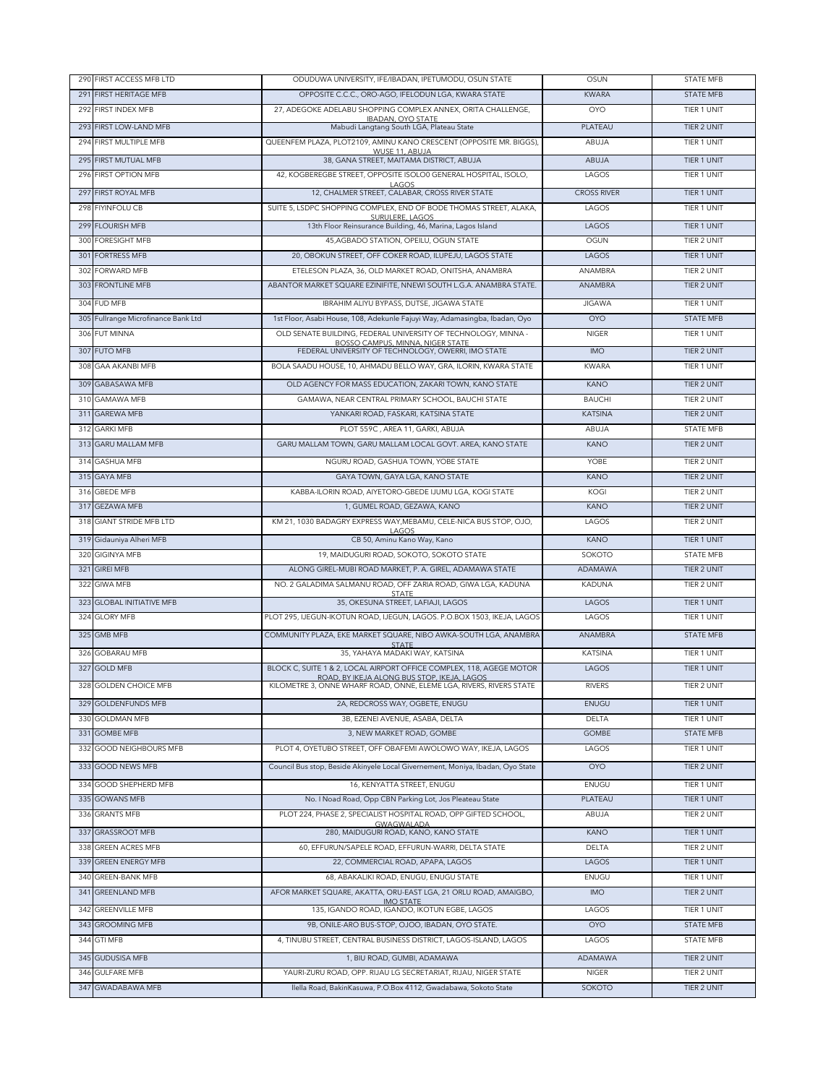|     | 290 FIRST ACCESS MFB LTD            | ODUDUWA UNIVERSITY, IFE/IBADAN, IPETUMODU, OSUN STATE                                     | OSUN                            | <b>STATE MFB</b>           |
|-----|-------------------------------------|-------------------------------------------------------------------------------------------|---------------------------------|----------------------------|
| 291 | <b>FIRST HERITAGE MFB</b>           | OPPOSITE C.C.C., ORO-AGO, IFELODUN LGA, KWARA STATE                                       | <b>KWARA</b>                    | <b>STATE MFB</b>           |
| 292 | FIRST INDEX MFB                     | 27, ADEGOKE ADELABU SHOPPING COMPLEX ANNEX, ORITA CHALLENGE,                              | <b>OYO</b>                      | TIER 1 UNIT                |
|     | 293 FIRST LOW-LAND MFB              | <b>IBADAN, OYO STATE</b><br>Mabudi Langtang South LGA, Plateau State                      | PLATEAU                         | TIER 2 UNIT                |
| 294 | FIRST MULTIPLE MFB                  | QUEENFEM PLAZA, PLOT2109, AMINU KANO CRESCENT (OPPOSITE MR. BIGGS),                       | ABUJA                           | <b>TIER 1 UNIT</b>         |
|     | 295 FIRST MUTUAL MFB                | WUSE 11, ABUJA<br>38, GANA STREET, MAITAMA DISTRICT, ABUJA                                | ABUJA                           | TIER 1 UNIT                |
|     |                                     |                                                                                           |                                 | <b>TIER 1 UNIT</b>         |
| 296 | FIRST OPTION MFB                    | 42, KOGBEREGBE STREET, OPPOSITE ISOLO0 GENERAL HOSPITAL, ISOLO,<br>LAGOS                  | LAGOS                           |                            |
|     | 297 FIRST ROYAL MFB                 | 12, CHALMER STREET, CALABAR, CROSS RIVER STATE                                            | <b>CROSS RIVER</b>              | TIER 1 UNIT                |
| 298 | <b>FIYINFOLU CB</b>                 | SUITE 5, LSDPC SHOPPING COMPLEX, END OF BODE THOMAS STREET, ALAKA,<br>SURULERE, LAGOS     | LAGOS                           | <b>TIER 1 UNIT</b>         |
|     | 299 FLOURISH MFB                    | 13th Floor Reinsurance Building, 46, Marina, Lagos Island                                 | <b>LAGOS</b>                    | TIER 1 UNIT                |
| 300 | <b>FORESIGHT MFB</b>                | 45, AGBADO STATION, OPEILU, OGUN STATE                                                    | <b>OGUN</b>                     | <b>TIER 2 UNIT</b>         |
|     | 301 FORTRESS MFB                    | 20, OBOKUN STREET, OFF COKER ROAD, ILUPEJU, LAGOS STATE                                   | LAGOS                           | TIER 1 UNIT                |
| 302 | <b>FORWARD MFB</b>                  | ETELESON PLAZA, 36, OLD MARKET ROAD, ONITSHA, ANAMBRA                                     | ANAMBRA                         | TIER 2 UNIT                |
|     | 303 FRONTLINE MFB                   | ABANTOR MARKET SQUARE EZINIFITE, NNEWI SOUTH L.G.A. ANAMBRA STATE.                        | ANAMBRA                         | TIER 2 UNIT                |
|     | 304 FUD MFB                         | IBRAHIM ALIYU BYPASS, DUTSE, JIGAWA STATE                                                 | <b>JIGAWA</b>                   | TIER 1 UNIT                |
|     | 305 Fullrange Microfinance Bank Ltd | 1st Floor, Asabi House, 108, Adekunle Fajuyi Way, Adamasingba, Ibadan, Oyo                | <b>OYO</b>                      | <b>STATE MFB</b>           |
|     | 306 FUT MINNA                       | OLD SENATE BUILDING, FEDERAL UNIVERSITY OF TECHNOLOGY, MINNA -                            | <b>NIGER</b>                    | TIER 1 UNIT                |
| 307 | <b>FUTO MFB</b>                     | BOSSO CAMPUS, MINNA, NIGER STATE<br>FEDERAL UNIVERSITY OF TECHNOLOGY, OWERRI, IMO STATE   | <b>IMO</b>                      | TIER 2 UNIT                |
| 308 | <b>GAA AKANBI MFB</b>               | BOLA SAADU HOUSE, 10, AHMADU BELLO WAY, GRA, ILORIN, KWARA STATE                          | <b>KWARA</b>                    | TIER 1 UNIT                |
|     | 309 GABASAWA MFB                    | OLD AGENCY FOR MASS EDUCATION, ZAKARI TOWN, KANO STATE                                    |                                 |                            |
|     |                                     |                                                                                           | <b>KANO</b>                     | TIER 2 UNIT                |
| 311 | 310 GAMAWA MFB<br><b>GAREWA MFB</b> | GAMAWA, NEAR CENTRAL PRIMARY SCHOOL, BAUCHI STATE<br>YANKARI ROAD, FASKARI, KATSINA STATE | <b>BAUCHI</b><br><b>KATSINA</b> | TIER 2 UNIT<br>TIER 2 UNIT |
|     | 312 GARKI MFB                       | PLOT 559C, AREA 11, GARKI, ABUJA                                                          | ABUJA                           | <b>STATE MFB</b>           |
|     | 313 GARU MALLAM MFB                 | GARU MALLAM TOWN, GARU MALLAM LOCAL GOVT. AREA, KANO STATE                                | <b>KANO</b>                     | TIER 2 UNIT                |
|     |                                     |                                                                                           |                                 |                            |
|     | 314 GASHUA MFB                      | NGURU ROAD, GASHUA TOWN, YOBE STATE                                                       | <b>YOBE</b>                     | TIER 2 UNIT                |
|     | 315 GAYA MFB                        | GAYA TOWN, GAYA LGA, KANO STATE                                                           | <b>KANO</b>                     | TIER 2 UNIT                |
|     | 316 GBEDE MFB                       | KABBA-ILORIN ROAD, AIYETORO-GBEDE IJUMU LGA, KOGI STATE                                   | KOGI                            | TIER 2 UNIT                |
|     | 317 GEZAWA MFB                      | 1, GUMEL ROAD, GEZAWA, KANO                                                               | <b>KANO</b>                     | TIER 2 UNIT                |
|     | 318 GIANT STRIDE MFB LTD            | KM 21, 1030 BADAGRY EXPRESS WAY, MEBAMU, CELE-NICA BUS STOP, OJO,<br>LAGOS                | LAGOS                           | TIER 2 UNIT                |
|     | 319 Gidauniya Alheri MFB            | CB 50, Aminu Kano Way, Kano                                                               | <b>KANO</b>                     | TIER 1 UNIT                |
| 320 | <b>GIGINYA MFB</b>                  | 19, MAIDUGURI ROAD, SOKOTO, SOKOTO STATE                                                  | SOKOTO                          | <b>STATE MFB</b>           |
| 321 | <b>GIREI MFB</b>                    | ALONG GIREL-MUBI ROAD MARKET, P. A. GIREL, ADAMAWA STATE                                  | ADAMAWA                         | TIER 2 UNIT                |
| 322 | <b>GIWA MFB</b>                     | NO. 2 GALADIMA SALMANU ROAD, OFF ZARIA ROAD, GIWA LGA, KADUNA                             | <b>KADUNA</b>                   | TIER 2 UNIT                |
| 323 | <b>GLOBAL INITIATIVE MFB</b>        | <b>STATE</b><br>35, OKESUNA STREET, LAFIAJI, LAGOS                                        | LAGOS                           | TIER 1 UNIT                |
| 324 | <b>GLORY MFB</b>                    | PLOT 295. IJEGUN-IKOTUN ROAD, IJEGUN, LAGOS, P.O.BOX 1503, IKEJA, LAGOS                   | LAGOS                           | TIER 1 UNIT                |
|     | 325 GMB MFB                         | COMMUNITY PLAZA, EKE MARKET SQUARE, NIBO AWKA-SOUTH LGA, ANAMBRA                          | ANAMBRA                         | <b>STATE MFB</b>           |
| 326 | <b>GOBARAU MFB</b>                  | <b>STATE</b><br>35, YAHAYA MADAKI WAY, KATSINA                                            | <b>KATSINA</b>                  | TIER 1 UNIT                |
| 327 | <b>GOLD MFB</b>                     | BLOCK C, SUITE 1 & 2, LOCAL AIRPORT OFFICE COMPLEX, 118, AGEGE MOTOR                      | LAGOS                           | TIER 1 UNIT                |
|     |                                     | ROAD, BY IKEJA ALONG BUS STOP, IKEJA, LAGOS                                               |                                 |                            |
|     | 328 GOLDEN CHOICE MFB               | KILOMETRE 3, ONNE WHARF ROAD, ONNE, ELEME LGA, RIVERS, RIVERS STATE                       | <b>RIVERS</b>                   | <b>TIER 2 UNIT</b>         |
|     | 329 GOLDENFUNDS MFB                 | 2A, REDCROSS WAY, OGBETE, ENUGU                                                           | ENUGU                           | TIER 1 UNIT                |
|     | 330 GOLDMAN MFB                     | 3B, EZENEI AVENUE, ASABA, DELTA                                                           | <b>DELTA</b>                    | TIER 1 UNIT                |
|     | 331 GOMBE MFB                       | 3, NEW MARKET ROAD, GOMBE                                                                 | GOMBE                           | <b>STATE MFB</b>           |
|     | 332 GOOD NEIGHBOURS MFB             | PLOT 4, OYETUBO STREET, OFF OBAFEMI AWOLOWO WAY, IKEJA, LAGOS                             | LAGOS                           | TIER 1 UNIT                |
|     | 333 GOOD NEWS MFB                   | Council Bus stop, Beside Akinyele Local Givernement, Moniya, Ibadan, Oyo State            | <b>OYO</b>                      | TIER 2 UNIT                |
|     | 334 GOOD SHEPHERD MFB               | 16, KENYATTA STREET, ENUGU                                                                | ENUGU                           | TIER 1 UNIT                |
| 335 | <b>GOWANS MFB</b>                   | No. I Noad Road, Opp CBN Parking Lot, Jos Pleateau State                                  | PLATEAU                         | TIER 1 UNIT                |
|     | 336 GRANTS MFB                      | PLOT 224, PHASE 2, SPECIALIST HOSPITAL ROAD, OPP GIFTED SCHOOL,                           | ABUJA                           | TIER 2 UNIT                |
| 337 | <b>GRASSROOT MFB</b>                | GWAGWALADA<br>280, MAIDUGURI ROAD, KANO, KANO STATE                                       | <b>KANO</b>                     | TIER 1 UNIT                |
| 338 | <b>GREEN ACRES MFB</b>              | 60, EFFURUN/SAPELE ROAD, EFFURUN-WARRI, DELTA STATE                                       | <b>DELTA</b>                    | TIER 2 UNIT                |
|     | 339 GREEN ENERGY MFB                | 22, COMMERCIAL ROAD, APAPA, LAGOS                                                         | LAGOS                           | TIER 1 UNIT                |
|     | 340 GREEN-BANK MFB                  | 68, ABAKALIKI ROAD, ENUGU, ENUGU STATE                                                    | ENUGU                           | TIER 1 UNIT                |
|     | 341 GREENLAND MFB                   | AFOR MARKET SQUARE, AKATTA, ORU-EAST LGA, 21 ORLU ROAD, AMAIGBO,                          | IMO                             | TIER 2 UNIT                |
|     |                                     | <b>IMO STATE</b>                                                                          |                                 |                            |
|     | 342 GREENVILLE MFB                  | 135, IGANDO ROAD, IGANDO, IKOTUN EGBE, LAGOS                                              | LAGOS                           | TIER 1 UNIT                |
|     | 343 GROOMING MFB                    | 9B, ONILE-ARO BUS-STOP, OJOO, IBADAN, OYO STATE.                                          | <b>OYO</b>                      | <b>STATE MFB</b>           |
|     | 344 GTI MFB                         | 4, TINUBU STREET, CENTRAL BUSINESS DISTRICT, LAGOS-ISLAND, LAGOS                          | LAGOS                           | <b>STATE MFB</b>           |
|     | 345 GUDUSISA MFB                    | 1, BIU ROAD, GUMBI, ADAMAWA                                                               | ADAMAWA                         | TIER 2 UNIT                |
| 346 | <b>GULFARE MFB</b>                  | YAURI-ZURU ROAD, OPP. RIJAU LG SECRETARIAT, RIJAU, NIGER STATE                            | <b>NIGER</b>                    | TIER 2 UNIT                |
|     | 347 GWADABAWA MFB                   | Ilella Road, BakinKasuwa, P.O.Box 4112, Gwadabawa, Sokoto State                           | SOKOTO                          | TIER 2 UNIT                |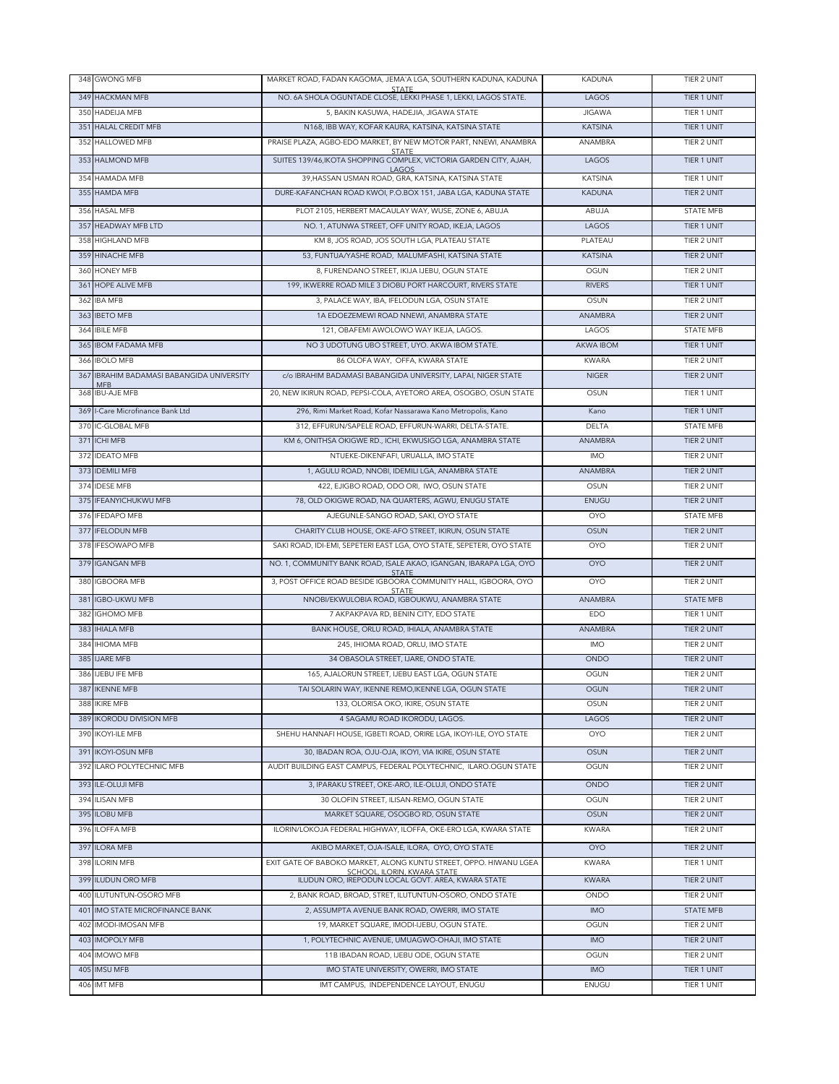|     | 348 GWONG MFB                                              | MARKET ROAD, FADAN KAGOMA, JEMA'A LGA, SOUTHERN KADUNA, KADUNA                                                             | <b>KADUNA</b>              | TIER 2 UNIT                       |
|-----|------------------------------------------------------------|----------------------------------------------------------------------------------------------------------------------------|----------------------------|-----------------------------------|
|     | 349 HACKMAN MFB                                            | STATE<br>NO. 6A SHOLA OGUNTADE CLOSE, LEKKI PHASE 1, LEKKI, LAGOS STATE.                                                   | LAGOS                      | TIER 1 UNIT                       |
|     | 350 HADEIJA MFB                                            | 5, BAKIN KASUWA, HADEJIA, JIGAWA STATE                                                                                     | <b>JIGAWA</b>              | TIER 1 UNIT                       |
|     | 351 HALAL CREDIT MFB                                       | N168, IBB WAY, KOFAR KAURA, KATSINA, KATSINA STATE                                                                         | <b>KATSINA</b>             | TIER 1 UNIT                       |
|     | 352 HALLOWED MFB                                           | PRAISE PLAZA, AGBO-EDO MARKET, BY NEW MOTOR PART, NNEWI, ANAMBRA                                                           | ANAMBRA                    | TIER 2 UNIT                       |
|     | 353 HALMOND MFB                                            | SUITES 139/46, IKOTA SHOPPING COMPLEX, VICTORIA GARDEN CITY, AJAH,                                                         | LAGOS                      | TIER 1 UNIT                       |
|     | 354 HAMADA MFB                                             | LAGOS<br>39, HASSAN USMAN ROAD, GRA, KATSINA, KATSINA STATE                                                                | <b>KATSINA</b>             | TIER 1 UNIT                       |
|     | 355 HAMDA MFB                                              | DURE-KAFANCHAN ROAD KWOI, P.O.BOX 151, JABA LGA, KADUNA STATE                                                              | <b>KADUNA</b>              | TIER 2 UNIT                       |
|     | 356 HASAL MFB                                              | PLOT 2105. HERBERT MACAULAY WAY, WUSE, ZONE 6, ABUJA                                                                       | ABUJA                      | <b>STATE MFB</b>                  |
|     | 357 HEADWAY MFB LTD                                        | NO. 1, ATUNWA STREET, OFF UNITY ROAD, IKEJA, LAGOS                                                                         | LAGOS                      | TIER 1 UNIT                       |
| 358 | <b>HIGHLAND MFB</b>                                        | KM 8, JOS ROAD, JOS SOUTH LGA, PLATEAU STATE                                                                               | PLATEAU                    | TIER 2 UNIT                       |
|     | 359 HINACHE MFB                                            | 53. FUNTUA/YASHE ROAD. MALUMFASHI, KATSINA STATE                                                                           | <b>KATSINA</b>             | TIER 2 UNIT                       |
|     | 360 HONEY MFB                                              | 8, FURENDANO STREET, IKIJA IJEBU, OGUN STATE                                                                               | OGUN                       | TIER 2 UNIT                       |
|     | 361 HOPE ALIVE MFB                                         | 199, IKWERRE ROAD MILE 3 DIOBU PORT HARCOURT, RIVERS STATE                                                                 | <b>RIVERS</b>              | TIER 1 UNIT                       |
| 362 | <b>IBA MFB</b>                                             | 3, PALACE WAY, IBA, IFELODUN LGA, OSUN STATE                                                                               | OSUN                       | TIER 2 UNIT                       |
| 363 | <b>IBETO MFB</b>                                           | 1A EDOEZEMEWI ROAD NNEWI, ANAMBRA STATE                                                                                    | <b>ANAMBRA</b>             | TIER 2 UNIT                       |
| 364 | <b>IBILE MFB</b>                                           | 121, OBAFEMI AWOLOWO WAY IKEJA, LAGOS.                                                                                     | LAGOS                      | STATE MFB                         |
|     | 365 IBOM FADAMA MFB                                        | NO 3 UDOTUNG UBO STREET, UYO. AKWA IBOM STATE.                                                                             | <b>AKWA IBOM</b>           | TIER 1 UNIT                       |
| 366 | <b>IBOLO MFB</b>                                           | 86 OLOFA WAY, OFFA, KWARA STATE                                                                                            | <b>KWARA</b>               | TIER 2 UNIT                       |
| 367 | IBRAHIM BADAMASI BABANGIDA UNIVERSITY<br><b>MFB</b>        | c/o IBRAHIM BADAMASI BABANGIDA UNIVERSITY, LAPAI, NIGER STATE                                                              | <b>NIGER</b>               | TIER 2 UNIT                       |
| 368 | <b>IBU-AJE MFB</b>                                         | 20, NEW IKIRUN ROAD, PEPSI-COLA, AYETORO AREA, OSOGBO, OSUN STATE                                                          | OSUN                       | TIER 1 UNIT                       |
|     | 369 I-Care Microfinance Bank Ltd                           | 296, Rimi Market Road, Kofar Nassarawa Kano Metropolis, Kano                                                               | Kano                       | TIER 1 UNIT                       |
|     | 370 IC-GLOBAL MFB                                          | 312, EFFURUN/SAPELE ROAD, EFFURUN-WARRI, DELTA-STATE.                                                                      | DELTA                      | <b>STATE MFB</b>                  |
|     | 371 ICHI MFB                                               | KM 6, ONITHSA OKIGWE RD., ICHI, EKWUSIGO LGA, ANAMBRA STATE                                                                | ANAMBRA                    | TIER 2 UNIT                       |
| 372 | <b>IDEATO MFB</b>                                          | NTUEKE-DIKENFAFI, URUALLA, IMO STATE                                                                                       | <b>IMO</b>                 | TIER 2 UNIT                       |
| 373 | <b>IDEMILI MFB</b>                                         | 1, AGULU ROAD, NNOBI, IDEMILI LGA, ANAMBRA STATE                                                                           | ANAMBRA                    | TIER 2 UNIT                       |
| 374 | <b>IDESE MFB</b>                                           | 422, EJIGBO ROAD, ODO ORI, IWO, OSUN STATE                                                                                 | OSUN                       | TIER 2 UNIT                       |
|     | 375 IFEANYICHUKWU MFB                                      | 78, OLD OKIGWE ROAD, NA QUARTERS, AGWU, ENUGU STATE                                                                        | ENUGU                      | TIER 2 UNIT                       |
|     | 376 IFEDAPO MFB                                            | AJEGUNLE-SANGO ROAD, SAKI, OYO STATE                                                                                       | <b>OYO</b>                 | <b>STATE MFB</b>                  |
|     | 377 IFELODUN MFB                                           | CHARITY CLUB HOUSE, OKE-AFO STREET, IKIRUN, OSUN STATE                                                                     | <b>OSUN</b>                | TIER 2 UNIT                       |
|     | 378 IFESOWAPO MFB                                          | SAKI ROAD, IDI-EMI, SEPETERI EAST LGA, OYO STATE, SEPETERI, OYO STATE                                                      | <b>OYO</b>                 | TIER 2 UNIT                       |
|     | 379 IGANGAN MFB                                            | NO. 1, COMMUNITY BANK ROAD, ISALE AKAO, IGANGAN, IBARAPA LGA, OYO<br><b>STATE</b>                                          | <b>OYO</b>                 | TIER 2 UNIT                       |
|     | 380 IGBOORA MFB                                            | 3, POST OFFICE ROAD BESIDE IGBOORA COMMUNITY HALL, IGBOORA, OYO<br><b>STATE</b>                                            | <b>OYO</b>                 | TIER 2 UNIT                       |
|     | 381 IGBO-UKWU MFB                                          | NNOBI/EKWULOBIA ROAD, IGBOUKWU, ANAMBRA STATE                                                                              | ANAMBRA                    | <b>STATE MFB</b>                  |
| 382 | <b>IGHOMO MFB</b>                                          | 7 AKPAKPAVA RD, BENIN CITY, EDO STATE                                                                                      | EDO                        | TIER 1 UNIT                       |
|     | 383 IHIALA MFB                                             | BANK HOUSE, ORLU ROAD, IHIALA, ANAMBRA STATE                                                                               | ANAMBRA                    | TIER 2 UNIT                       |
| 384 | <b>IHIOMA MFB</b>                                          | 245, IHIOMA ROAD, ORLU, IMO STATE                                                                                          | <b>IMO</b>                 | TIER 2 UNIT                       |
| 385 | <b>IJARE MFB</b>                                           | 34 OBASOLA STREET, IJARE, ONDO STATE.                                                                                      | ONDO                       | TIER 2 UNIT                       |
| 386 | <b>IJEBU IFE MFB</b>                                       | 165, AJALORUN STREET, IJEBU EAST LGA, OGUN STATE                                                                           | OGUN                       | TIER 2 UNIT                       |
|     | 387 IKENNE MFB                                             | TAI SOLARIN WAY, IKENNE REMO,IKENNE LGA, OGUN STATE                                                                        | <b>OGUN</b>                | TIER 2 UNIT                       |
|     | 388 IKIRE MFB<br>389 IKORODU DIVISION MFB                  | 133, OLORISA OKO, IKIRE, OSUN STATE<br>4 SAGAMU ROAD IKORODU, LAGOS.                                                       | OSUN<br>LAGOS              | TIER 2 UNIT<br>TIER 2 UNIT        |
|     | 390 IKOYI-ILE MFB                                          | SHEHU HANNAFI HOUSE, IGBETI ROAD, ORIRE LGA, IKOYI-ILE, OYO STATE                                                          | <b>OYO</b>                 | TIER 2 UNIT                       |
|     |                                                            |                                                                                                                            |                            |                                   |
|     | 391 IKOYI-OSUN MFB<br>392 ILARO POLYTECHNIC MFB            | 30, IBADAN ROA, OJU-OJA, IKOYI, VIA IKIRE, OSUN STATE<br>AUDIT BUILDING EAST CAMPUS, FEDERAL POLYTECHNIC, ILARO.OGUN STATE | <b>OSUN</b><br>OGUN        | TIER 2 UNIT<br>TIER 2 UNIT        |
|     |                                                            |                                                                                                                            |                            |                                   |
|     | 393 ILE-OLUJI MFB<br><b>ILISAN MFB</b>                     | 3, IPARAKU STREET, OKE-ARO, ILE-OLUJI, ONDO STATE<br>30 OLOFIN STREET, ILISAN-REMO, OGUN STATE                             | ONDO                       | <b>TIER 2 UNIT</b><br>TIER 2 UNIT |
| 394 | 395 ILOBU MFB                                              | MARKET SQUARE, OSOGBO RD, OSUN STATE                                                                                       | OGUN<br><b>OSUN</b>        | <b>TIER 2 UNIT</b>                |
|     | 396 ILOFFA MFB                                             | ILORIN/LOKOJA FEDERAL HIGHWAY, ILOFFA, OKE-ERO LGA, KWARA STATE                                                            | <b>KWARA</b>               | TIER 2 UNIT                       |
|     |                                                            |                                                                                                                            |                            | <b>TIER 2 UNIT</b>                |
|     | 397 ILORA MFB<br>398 ILORIN MFB                            | AKIBO MARKET, OJA-ISALE, ILORA, OYO, OYO STATE<br>EXIT GATE OF BABOKO MARKET, ALONG KUNTU STREET, OPPO. HIWANU LGEA        | <b>OYO</b><br><b>KWARA</b> | TIER 1 UNIT                       |
|     |                                                            | SCHOOL, ILORIN, KWARA STATE                                                                                                |                            |                                   |
|     | 399 ILUDUN ORO MFB                                         | ILUDUN ORO, IREPODUN LOCAL GOVT. AREA, KWARA STATE                                                                         | <b>KWARA</b>               | TIER 2 UNIT                       |
|     | 400 ILUTUNTUN-OSORO MFB                                    | 2, BANK ROAD, BROAD, STRET, ILUTUNTUN-OSORO, ONDO STATE                                                                    | ONDO                       | TIER 2 UNIT                       |
| 402 | 401 IMO STATE MICROFINANCE BANK<br><b>IMODI-IMOSAN MFB</b> | 2, ASSUMPTA AVENUE BANK ROAD, OWERRI, IMO STATE<br>19, MARKET SQUARE, IMODI-IJEBU, OGUN STATE.                             | <b>IMO</b><br>OGUN         | <b>STATE MFB</b><br>TIER 2 UNIT   |
|     | 403 IMOPOLY MFB                                            | 1, POLYTECHNIC AVENUE, UMUAGWO-OHAJI, IMO STATE                                                                            | IMO                        | TIER 2 UNIT                       |
|     | 404 IMOWO MFB                                              | 11B IBADAN ROAD, IJEBU ODE, OGUN STATE                                                                                     | OGUN                       | TIER 2 UNIT                       |
|     | 405 IMSU MFB                                               | IMO STATE UNIVERSITY, OWERRI, IMO STATE                                                                                    | <b>IMO</b>                 | TIER 1 UNIT                       |
|     | 406 IMT MFB                                                | IMT CAMPUS, INDEPENDENCE LAYOUT, ENUGU                                                                                     | ENUGU                      | TIER 1 UNIT                       |
|     |                                                            |                                                                                                                            |                            |                                   |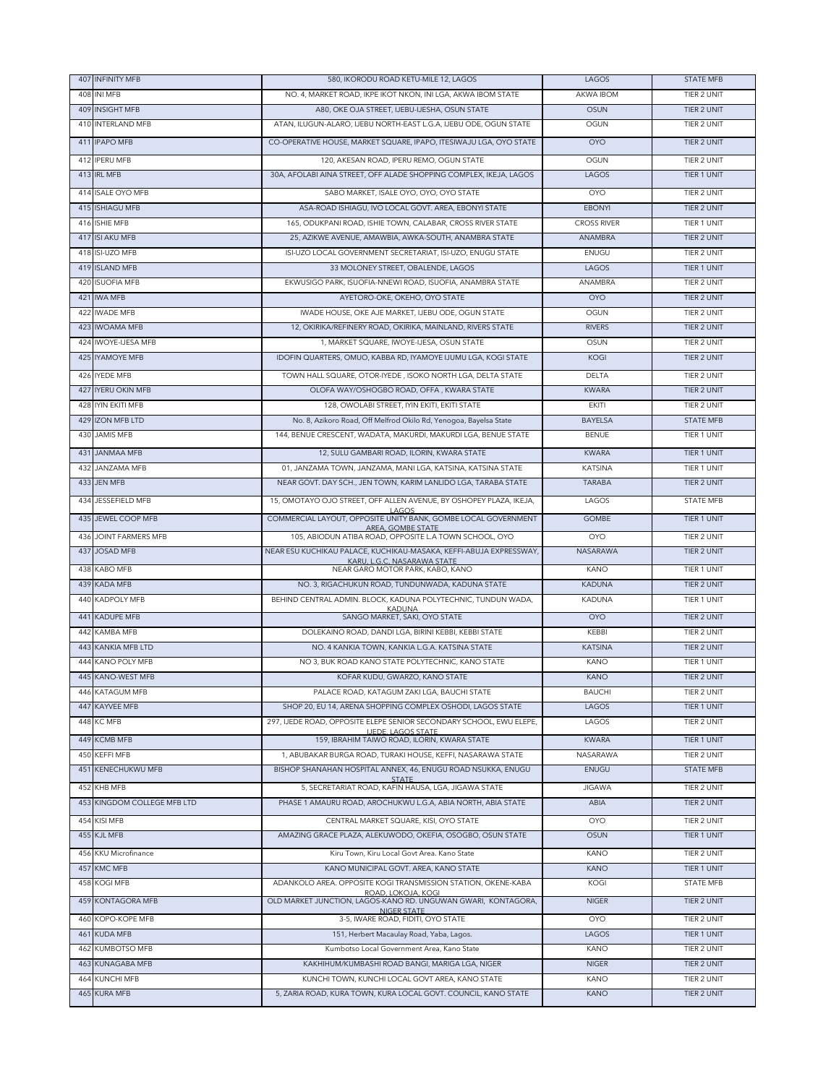| 407 INFINITY MFB               | 580. IKORODU ROAD KETU-MILE 12. LAGOS                                                                                         | LAGOS                           | <b>STATE MFB</b>           |
|--------------------------------|-------------------------------------------------------------------------------------------------------------------------------|---------------------------------|----------------------------|
| 408 INI MFB                    | NO. 4, MARKET ROAD, IKPE IKOT NKON, INI LGA, AKWA IBOM STATE                                                                  | AKWA IBOM                       | TIER 2 UNIT                |
| 409 INSIGHT MFB                | A80, OKE OJA STREET, IJEBU-IJESHA, OSUN STATE                                                                                 | <b>OSUN</b>                     | TIER 2 UNIT                |
| 410 INTERLAND MFB              | ATAN, ILUGUN-ALARO, IJEBU NORTH-EAST L.G.A, IJEBU ODE, OGUN STATE                                                             | <b>OGUN</b>                     | TIER 2 UNIT                |
| 411 IPAPO MFB                  | CO-OPERATIVE HOUSE, MARKET SQUARE, IPAPO, ITESIWAJU LGA, OYO STATE                                                            | OYO                             | TIER 2 UNIT                |
| 412 IPERU MFB                  | 120, AKESAN ROAD, IPERU REMO, OGUN STATE                                                                                      | OGUN                            | TIFR 2 UNIT                |
| 413 IRL MFB                    | 30A, AFOLABI AINA STREET, OFF ALADE SHOPPING COMPLEX, IKEJA, LAGOS                                                            | LAGOS                           | TIER 1 UNIT                |
| 414 ISALE OYO MFB              | SABO MARKET, ISALE OYO, OYO, OYO STATE                                                                                        | <b>OYO</b>                      | TIER 2 UNIT                |
| 415 ISHIAGU MFB                | ASA-ROAD ISHIAGU, IVO LOCAL GOVT. AREA, EBONYI STATE                                                                          | <b>EBONYI</b>                   | <b>TIER 2 UNIT</b>         |
| 416 ISHIE MFB                  | 165, ODUKPANI ROAD, ISHIE TOWN, CALABAR, CROSS RIVER STATE                                                                    | <b>CROSS RIVER</b>              | <b>TIER 1 UNIT</b>         |
| 417 ISI AKU MFB                | 25, AZIKWE AVENUE, AMAWBIA, AWKA-SOUTH, ANAMBRA STATE                                                                         | ANAMBRA                         | TIER 2 UNIT                |
| 418 ISI-UZO MFB                | ISI-UZO LOCAL GOVERNMENT SECRETARIAT, ISI-UZO, ENUGU STATE                                                                    | ENUGU                           | TIER 2 UNIT                |
| 419 ISLAND MFB                 | 33 MOLONEY STREET, OBALENDE, LAGOS                                                                                            | LAGOS                           | TIER 1 UNIT                |
| 420 ISUOFIA MFB                | EKWUSIGO PARK, ISUOFIA-NNEWI ROAD, ISUOFIA, ANAMBRA STATE                                                                     | ANAMBRA                         | TIER 2 UNIT                |
| 421 IWA MFB                    | AYETORO-OKE, OKEHO, OYO STATE                                                                                                 | <b>OYO</b>                      | TIER 2 UNIT                |
| 422 IWADE MFB                  | IWADE HOUSE, OKE AJE MARKET, IJEBU ODE, OGUN STATE                                                                            | OGUN                            | TIER 2 UNIT                |
| 423 IWOAMA MFB                 | 12, OKIRIKA/REFINERY ROAD, OKIRIKA, MAINLAND, RIVERS STATE                                                                    | <b>RIVERS</b>                   | TIER 2 UNIT                |
| 424 IWOYE-IJESA MFB            | 1, MARKET SQUARE, IWOYE-IJESA, OSUN STATE                                                                                     | OSUN                            | TIER 2 UNIT                |
| 425 IYAMOYE MFB                | IDOFIN QUARTERS, OMUO, KABBA RD, IYAMOYE IJUMU LGA, KOGI STATE                                                                | KOGI                            | TIER 2 UNIT                |
| 426 IYEDE MFB                  | TOWN HALL SQUARE, OTOR-IYEDE, ISOKO NORTH LGA, DELTA STATE                                                                    | <b>DELTA</b>                    | <b>TIER 2 UNIT</b>         |
| 427 IYERU OKIN MFB             | OLOFA WAY/OSHOGBO ROAD, OFFA, KWARA STATE                                                                                     | <b>KWARA</b>                    | TIER 2 UNIT                |
| 428 IYIN EKITI MFB             | 128, OWOLABI STREET, IYIN EKITI, EKITI STATE                                                                                  | <b>EKITI</b>                    | TIER 2 UNIT                |
| 429 IZON MFB LTD               | No. 8, Azikoro Road, Off Melfrod Okilo Rd, Yenogoa, Bayelsa State                                                             | <b>BAYELSA</b>                  | <b>STATE MFB</b>           |
| 430 JAMIS MFB                  | 144, BENUE CRESCENT, WADATA, MAKURDI, MAKURDI LGA, BENUE STATE                                                                | <b>BENUE</b>                    | TIER 1 UNIT                |
|                                | 12. SULU GAMBARI ROAD, ILORIN, KWARA STATE                                                                                    |                                 |                            |
| 431 JANMAA MFB                 |                                                                                                                               | <b>KWARA</b>                    | TIER 1 UNIT                |
| 432 JANZAMA MFB<br>433 JEN MFB | 01, JANZAMA TOWN, JANZAMA, MANI LGA, KATSINA, KATSINA STATE<br>NEAR GOVT. DAY SCH., JEN TOWN, KARIM LANLIDO LGA, TARABA STATE | <b>KATSINA</b><br><b>TARABA</b> | TIER 1 UNIT<br>TIER 2 UNIT |
|                                |                                                                                                                               |                                 |                            |
| 434 JESSEFIELD MFB             | 15, OMOTAYO OJO STREET, OFF ALLEN AVENUE, BY OSHOPEY PLAZA, IKEJA,<br>LAGOS                                                   | LAGOS                           | <b>STATE MFB</b>           |
| 435 JEWEL COOP MFB             | COMMERCIAL LAYOUT, OPPOSITE UNITY BANK, GOMBE LOCAL GOVERNMENT<br>AREA, GOMBE STATE                                           | <b>GOMBE</b>                    | TIER 1 UNIT                |
| 436 JOINT FARMERS MFB          | 105, ABIODUN ATIBA ROAD, OPPOSITE L.A TOWN SCHOOL, OYO                                                                        | <b>OYO</b>                      | TIER 2 UNIT                |
| 437 JOSAD MFB                  | NEAR ESU KUCHIKAU PALACE, KUCHIKAU-MASAKA, KEFFI-ABUJA EXPRESSWAY,                                                            | NASARAWA                        | TIER 2 UNIT                |
| 438 KABO MFB                   | KARU, L.G.C. NASARAWA STATE<br>NEAR GARO MOTOR PARK, KABO, KANO                                                               | KANO                            | TIER 1 UNIT                |
| 439 KADA MFB                   | NO. 3, RIGACHUKUN ROAD, TUNDUNWADA, KADUNA STATE                                                                              | <b>KADUNA</b>                   | TIER 2 UNIT                |
| 440 KADPOLY MFB                | BEHIND CENTRAL ADMIN. BLOCK, KADUNA POLYTECHNIC, TUNDUN WADA,                                                                 | <b>KADUNA</b>                   | TIER 1 UNIT                |
| 441 KADUPE MFB                 | <b>KADUNA</b><br>SANGO MARKET, SAKI, OYO STATE                                                                                | <b>OYO</b>                      | TIER 2 UNIT                |
| 442 KAMBA MFB                  | DOLEKAINO ROAD, DANDI LGA, BIRINI KEBBI, KEBBI STATE                                                                          | KEBBI                           | TIER 2 UNIT                |
| 443 KANKIA MFB LTD             | NO. 4 KANKIA TOWN, KANKIA L.G.A. KATSINA STATE                                                                                | <b>KATSINA</b>                  | TIER 2 UNIT                |
| 444 KANO POLY MFB              | NO 3, BUK ROAD KANO STATE POLYTECHNIC, KANO STATE                                                                             | KANO                            | TIER 1 UNIT                |
| 445 KANO-WEST MFB              | KOFAR KUDU, GWARZO, KANO STATE                                                                                                | <b>KANO</b>                     | <b>TIER 2 UNIT</b>         |
| 446 KATAGUM MFB                | PALACE ROAD, KATAGUM ZAKI LGA, BAUCHI STATE                                                                                   | <b>BAUCHI</b>                   | TIER 2 UNIT                |
| 447 KAYVEE MFB                 | SHOP 20, EU 14, ARENA SHOPPING COMPLEX OSHODI, LAGOS STATE                                                                    | LAGOS                           | TIER 1 UNIT                |
| 448 KC MFB                     | 297, IJEDE ROAD, OPPOSITE ELEPE SENIOR SECONDARY SCHOOL, EWU ELEPE,                                                           | LAGOS                           | TIER 2 UNIT                |
| 449 KCMB MFB                   | <b>IJEDE, LAGOS STATE</b><br>159, IBRAHIM TAIWO ROAD, ILORIN, KWARA STATE                                                     | <b>KWARA</b>                    | TIER 1 UNIT                |
| 450 KEFFI MFB                  | 1, ABUBAKAR BURGA ROAD, TURAKI HOUSE, KEFFI, NASARAWA STATE                                                                   | NASARAWA                        | TIER 2 UNIT                |
| 451 KENECHUKWU MFB             | BISHOP SHANAHAN HOSPITAL ANNEX, 46, ENUGU ROAD NSUKKA, ENUGU                                                                  | ENUGU                           | <b>STATE MFB</b>           |
| 452 KHB MFB                    | <b>STATE</b><br>5, SECRETARIAT ROAD, KAFIN HAUSA, LGA, JIGAWA STATE                                                           | <b>JIGAWA</b>                   | TIER 2 UNIT                |
| 453 KINGDOM COLLEGE MFB LTD    | PHASE 1 AMAURU ROAD, AROCHUKWU L.G.A, ABIA NORTH, ABIA STATE                                                                  | ABIA                            | TIER 2 UNIT                |
| 454 KISI MFB                   | CENTRAL MARKET SQUARE, KISI, OYO STATE                                                                                        | <b>OYO</b>                      | TIER 2 UNIT                |
| 455 KJL MFB                    | AMAZING GRACE PLAZA, ALEKUWODO, OKEFIA, OSOGBO, OSUN STATE                                                                    | <b>OSUN</b>                     | TIER 1 UNIT                |
|                                |                                                                                                                               |                                 |                            |
| 456 KKU Microfinance           | Kiru Town, Kiru Local Govt Area. Kano State                                                                                   | KANO                            | TIER 2 UNIT                |
| 457 KMC MFB                    | KANO MUNICIPAL GOVT. AREA, KANO STATE                                                                                         | <b>KANO</b>                     | TIER 1 UNIT                |
| 458 KOGI MFB                   | ADANKOLO AREA. OPPOSITE KOGI TRANSMISSION STATION, OKENE-KABA<br>ROAD, LOKOJA, KOGI                                           | KOGI                            | STATE MFB                  |
| 459 KONTAGORA MFB              | OLD MARKET JUNCTION, LAGOS-KANO RD. UNGUWAN GWARI, KONTAGORA,<br>NIGER STATE                                                  | <b>NIGER</b>                    | TIER 2 UNIT                |
|                                | 3-5, IWARE ROAD, FIDITI, OYO STATE                                                                                            | <b>OYO</b>                      | TIER 2 UNIT                |
| 460 KOPO-KOPE MFB              |                                                                                                                               |                                 |                            |
| 461 KUDA MFB                   | 151, Herbert Macaulay Road, Yaba, Lagos.                                                                                      | LAGOS                           | TIER 1 UNIT                |
| 462 KUMBOTSO MFB               | Kumbotso Local Government Area, Kano State                                                                                    | KANO                            | TIER 2 UNIT                |
| 463 KUNAGABA MFB               | KAKHIHUM/KUMBASHI ROAD BANGI, MARIGA LGA, NIGER                                                                               | <b>NIGER</b>                    | TIER 2 UNIT                |
| 464 KUNCHI MFB<br>465 KURA MFB | KUNCHI TOWN, KUNCHI LOCAL GOVT AREA, KANO STATE<br>5, ZARIA ROAD, KURA TOWN, KURA LOCAL GOVT. COUNCIL, KANO STATE             | KANO<br><b>KANO</b>             | TIER 2 UNIT<br>TIER 2 UNIT |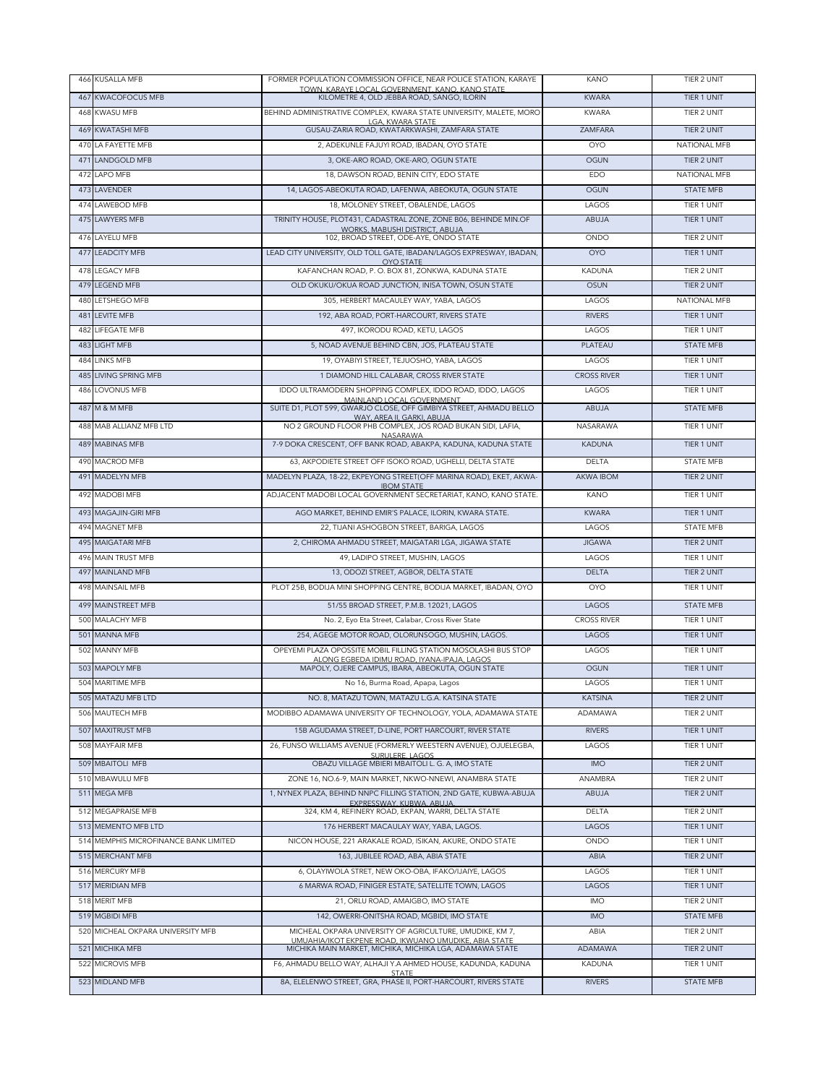|     | 466 KUSALLA MFB                       | FORMER POPULATION COMMISSION OFFICE, NEAR POLICE STATION, KARAYE                                                  | <b>KANO</b>                  | TIER 2 UNIT                |
|-----|---------------------------------------|-------------------------------------------------------------------------------------------------------------------|------------------------------|----------------------------|
|     | 467 KWACOFOCUS MFB                    | TOWN, KARAYE LOCAL GOVERNMENT, KANO, KANO STATE<br>KILOMETRE 4, OLD JEBBA ROAD, SANGO, ILORIN                     | <b>KWARA</b>                 | TIER 1 UNIT                |
|     | 468 KWASU MFB                         | BEHIND ADMINISTRATIVE COMPLEX, KWARA STATE UNIVERSITY, MALETE, MORO                                               | <b>KWARA</b>                 | TIER 2 UNIT                |
|     | 469 KWATASHI MFB                      | LGA, KWARA STATE<br>GUSAU-ZARIA ROAD, KWATARKWASHI, ZAMFARA STATE                                                 | ZAMFARA                      | TIER 2 UNIT                |
|     | 470 LA FAYFTTF MFB                    | 2, ADEKUNLE FAJUYI ROAD, IBADAN, OYO STATE                                                                        | <b>OYO</b>                   | <b>NATIONAL MFB</b>        |
|     | 471 LANDGOLD MFB                      | 3, OKE-ARO ROAD, OKE-ARO, OGUN STATE                                                                              | <b>OGUN</b>                  | TIER 2 UNIT                |
|     | 472 LAPO MFB                          | 18, DAWSON ROAD, BENIN CITY, EDO STATE                                                                            | EDO                          | NATIONAL MFB               |
|     | 473 LAVENDER                          | 14, LAGOS-ABEOKUTA ROAD, LAFENWA, ABEOKUTA, OGUN STATE                                                            | <b>OGUN</b>                  | <b>STATE MFB</b>           |
|     | 474 LAWEBOD MFB                       | 18, MOLONEY STREET, OBALENDE, LAGOS                                                                               | LAGOS                        | TIER 1 UNIT                |
|     | 475 LAWYERS MFB                       | TRINITY HOUSE, PLOT431, CADASTRAL ZONE, ZONE B06, BEHINDE MIN.OF                                                  | ABUJA                        | TIER 1 UNIT                |
|     | 476 LAYELU MFB                        | WORKS, MABUSHI DISTRICT, ABUJA<br>102, BROAD STREET, ODE-AYE, ONDO STATE                                          | ONDO                         | TIER 2 UNIT                |
|     | 477 LEADCITY MFB                      | LEAD CITY UNIVERSITY, OLD TOLL GATE, IBADAN/LAGOS EXPRESWAY, IBADAN,                                              | <b>OYO</b>                   | TIER 1 UNIT                |
|     |                                       | <b>OYO STATE</b>                                                                                                  |                              | TIER 2 UNIT                |
|     | 478 LEGACY MFB<br>479 LEGEND MFB      | KAFANCHAN ROAD, P. O. BOX 81, ZONKWA, KADUNA STATE                                                                | <b>KADUNA</b><br><b>OSUN</b> | TIER 2 UNIT                |
| 480 | LETSHEGO MFB                          | OLD OKUKU/OKUA ROAD JUNCTION, INISA TOWN, OSUN STATE<br>305, HERBERT MACAULEY WAY, YABA, LAGOS                    | LAGOS                        | NATIONAL MFB               |
| 481 | <b>LEVITE MFB</b>                     | 192, ABA ROAD, PORT-HARCOURT, RIVERS STATE                                                                        | <b>RIVERS</b>                | TIER 1 UNIT                |
| 482 | <b>LIFEGATE MFB</b>                   | 497, IKORODU ROAD, KETU, LAGOS                                                                                    | LAGOS                        | TIER 1 UNIT                |
|     | 483 LIGHT MFB                         | 5, NOAD AVENUE BEHIND CBN, JOS, PLATEAU STATE                                                                     | PLATEAU                      | <b>STATE MFB</b>           |
|     | 484 LINKS MFB                         | 19. OYABIYI STREET, TEJUOSHO, YABA, LAGOS                                                                         | LAGOS                        | TIER 1 UNIT                |
|     | <b>485 LIVING SPRING MFB</b>          | 1 DIAMOND HILL CALABAR, CROSS RIVER STATE                                                                         | <b>CROSS RIVER</b>           | TIER 1 UNIT                |
|     | 486 LOVONUS MFB                       | IDDO ULTRAMODERN SHOPPING COMPLEX, IDDO ROAD, IDDO, LAGOS                                                         | LAGOS                        | TIER 1 UNIT                |
|     | 487 M & M MFB                         | MAINLAND LOCAL GOVERNMENT<br>SUITE D1, PLOT 599, GWARJO CLOSE, OFF GIMBIYA STREET, AHMADU BELLO                   | <b>ABUJA</b>                 | <b>STATE MFB</b>           |
|     |                                       | WAY, AREA II, GARKI, ABUJA                                                                                        |                              | TIER 1 UNIT                |
|     | 488 MAB ALLIANZ MFB LTD               | NO 2 GROUND FLOOR PHB COMPLEX, JOS ROAD BUKAN SIDI, LAFIA,<br><b>NASARAWA</b>                                     | NASARAWA                     |                            |
|     | 489 MABINAS MFB                       | 7-9 DOKA CRESCENT, OFF BANK ROAD, ABAKPA, KADUNA, KADUNA STATE                                                    | <b>KADUNA</b>                | TIER 1 UNIT                |
|     | 490 MACROD MFB                        | 63, AKPODIETE STREET OFF ISOKO ROAD, UGHELLI, DELTA STATE                                                         | <b>DELTA</b>                 | <b>STATE MFB</b>           |
|     | 491 MADELYN MFB                       | MADELYN PLAZA, 18-22, EKPEYONG STREET(OFF MARINA ROAD), EKET, AKWA-<br><b>IBOM STATE</b>                          | AKWA IBOM                    | TIER 2 UNIT                |
|     | 492 MADOBI MFB                        | ADJACENT MADOBI LOCAL GOVERNMENT SECRETARIAT, KANO, KANO STATE.                                                   | <b>KANO</b>                  | TIER 1 UNIT                |
|     | 493 MAGAJIN-GIRI MFB                  | AGO MARKET, BEHIND EMIR'S PALACE, ILORIN, KWARA STATE.                                                            | <b>KWARA</b>                 | TIER 1 UNIT                |
|     | 494 MAGNET MFB                        | 22, TIJANI ASHOGBON STREET, BARIGA, LAGOS                                                                         | LAGOS                        | <b>STATE MFB</b>           |
|     | 495 MAIGATARI MFB                     | 2, CHIROMA AHMADU STREET, MAIGATARI LGA, JIGAWA STATE                                                             | <b>JIGAWA</b>                | TIER 2 UNIT                |
|     | 496 MAIN TRUST MFB                    | 49, LADIPO STREET, MUSHIN, LAGOS                                                                                  | LAGOS                        | TIER 1 UNIT                |
|     | 497 MAINLAND MFB                      | 13, ODOZI STREET, AGBOR, DELTA STATE                                                                              | <b>DELTA</b>                 | TIER 2 UNIT                |
|     | 498 MAINSAIL MFB                      | PLOT 25B, BODIJA MINI SHOPPING CENTRE, BODIJA MARKET, IBADAN, OYO                                                 | <b>OYO</b>                   | TIER 1 UNIT                |
|     | 499 MAINSTREET MFB                    | 51/55 BROAD STREET, P.M.B. 12021, LAGOS                                                                           | LAGOS                        | <b>STATE MFB</b>           |
|     |                                       | No. 2, Eyo Eta Street, Calabar, Cross River State                                                                 |                              |                            |
|     | 500 MALACHY MFB                       |                                                                                                                   | <b>CROSS RIVER</b>           | TIER 1 UNIT                |
|     | 501 MANNA MFB                         | 254. AGEGE MOTOR ROAD, OLORUNSOGO, MUSHIN, LAGOS,                                                                 | LAGOS                        | <b>TIER 1 UNIT</b>         |
|     | 502 MANNY MFB                         | OPEYEMI PLAZA OPOSSITE MOBIL FILLING STATION MOSOLASHI BUS STOP<br>ALONG EGBEDA IDIMU ROAD. IYANA-IPAJA. LAGOS    | LAGOS                        | TIER 1 UNIT                |
|     | 503 MAPOLY MFB                        | MAPOLY, OJERE CAMPUS, IBARA, ABEOKUTA, OGUN STATE                                                                 | <b>OGUN</b>                  | TIER 1 UNIT                |
|     | 504 MARITIME MFB                      | No 16, Burma Road, Apapa, Lagos                                                                                   | LAGOS                        | TIER 1 UNIT                |
|     | 505 MATAZU MFB LTD                    | NO. 8, MATAZU TOWN, MATAZU L.G.A. KATSINA STATE                                                                   | <b>KATSINA</b>               | TIER 2 UNIT                |
|     | 506 MAUTECH MFB                       | MODIBBO ADAMAWA UNIVERSITY OF TECHNOLOGY, YOLA, ADAMAWA STATE                                                     | <b>ADAMAWA</b>               | TIER 2 UNIT                |
|     | 507 MAXITRUST MFB                     | 15B AGUDAMA STREET, D-LINE, PORT HARCOURT, RIVER STATE                                                            | <b>RIVERS</b>                | TIER 1 UNIT                |
|     | 508 MAYFAIR MFB                       | 26, FUNSO WILLIAMS AVENUE (FORMERLY WEESTERN AVENUE), OJUELEGBA,<br>SURULERE, LAGOS                               | LAGOS                        | TIER 1 UNIT                |
|     | 509 MBAITOLI MFB                      | OBAZU VILLAGE MBIERI MBAITOLI L. G. A, IMO STATE                                                                  | <b>IMO</b>                   | TIER 2 UNIT                |
|     | 510 MBAWULU MFB                       | ZONE 16, NO.6-9, MAIN MARKET, NKWO-NNEWI, ANAMBRA STATE                                                           | ANAMBRA                      | TIER 2 UNIT                |
|     | 511 MEGA MFB                          | 1. NYNEX PLAZA, BEHIND NNPC FILLING STATION, 2ND GATE, KUBWA-ABUJA<br>EXPRESSWAY, KUBWA, ABUJA,                   | ABUJA                        | TIER 2 UNIT                |
|     | 512 MEGAPRAISE MFB                    | 324, KM 4, REFINERY ROAD, EKPAN, WARRI, DELTA STATE                                                               | DELTA                        | TIER 2 UNIT                |
|     | 513 MEMENTO MFB LTD                   | 176 HERBERT MACAULAY WAY, YABA, LAGOS.                                                                            | LAGOS                        | TIER 1 UNIT                |
|     | 514 MEMPHIS MICROFINANCE BANK LIMITED | NICON HOUSE, 221 ARAKALE ROAD, ISIKAN, AKURE, ONDO STATE                                                          | ONDO                         | TIER 1 UNIT                |
|     | 515 MERCHANT MFB                      | 163, JUBILEE ROAD, ABA, ABIA STATE                                                                                | ABIA                         | TIER 2 UNIT                |
|     | 516 MERCURY MFB                       | 6, OLAYIWOLA STRET, NEW OKO-OBA, IFAKO/IJAIYE, LAGOS                                                              | LAGOS                        | TIER 1 UNIT                |
|     | 517 MERIDIAN MFB<br>518 MERIT MFB     | 6 MARWA ROAD, FINIGER ESTATE, SATELLITE TOWN, LAGOS<br>21, ORLU ROAD, AMAIGBO, IMO STATE                          | LAGOS<br><b>IMO</b>          | TIER 1 UNIT<br>TIER 2 UNIT |
|     | 519 MGBIDI MFB                        | 142, OWERRI-ONITSHA ROAD, MGBIDI, IMO STATE                                                                       | <b>IMO</b>                   | <b>STATE MFB</b>           |
|     | 520 MICHEAL OKPARA UNIVERSITY MFB     | MICHEAL OKPARA UNIVERSITY OF AGRICULTURE, UMUDIKE, KM 7,                                                          | ABIA                         | TIER 2 UNIT                |
|     | 521 MICHIKA MFB                       | UMUAHIA/IKOT EKPENE ROAD, IKWUANO UMUDIKE, ABIA STATE<br>MICHIKA MAIN MARKET, MICHIKA, MICHIKA LGA, ADAMAWA STATE | ADAMAWA                      | TIER 2 UNIT                |
|     | 522 MICROVIS MFB                      | F6, AHMADU BELLO WAY, ALHAJI Y.A AHMED HOUSE, KADUNDA, KADUNA                                                     | <b>KADUNA</b>                | TIER 1 UNIT                |
|     | 523 MIDLAND MFB                       | <b>STATE</b><br>8A, ELELENWO STREET, GRA, PHASE II, PORT-HARCOURT, RIVERS STATE                                   | <b>RIVERS</b>                | <b>STATE MFB</b>           |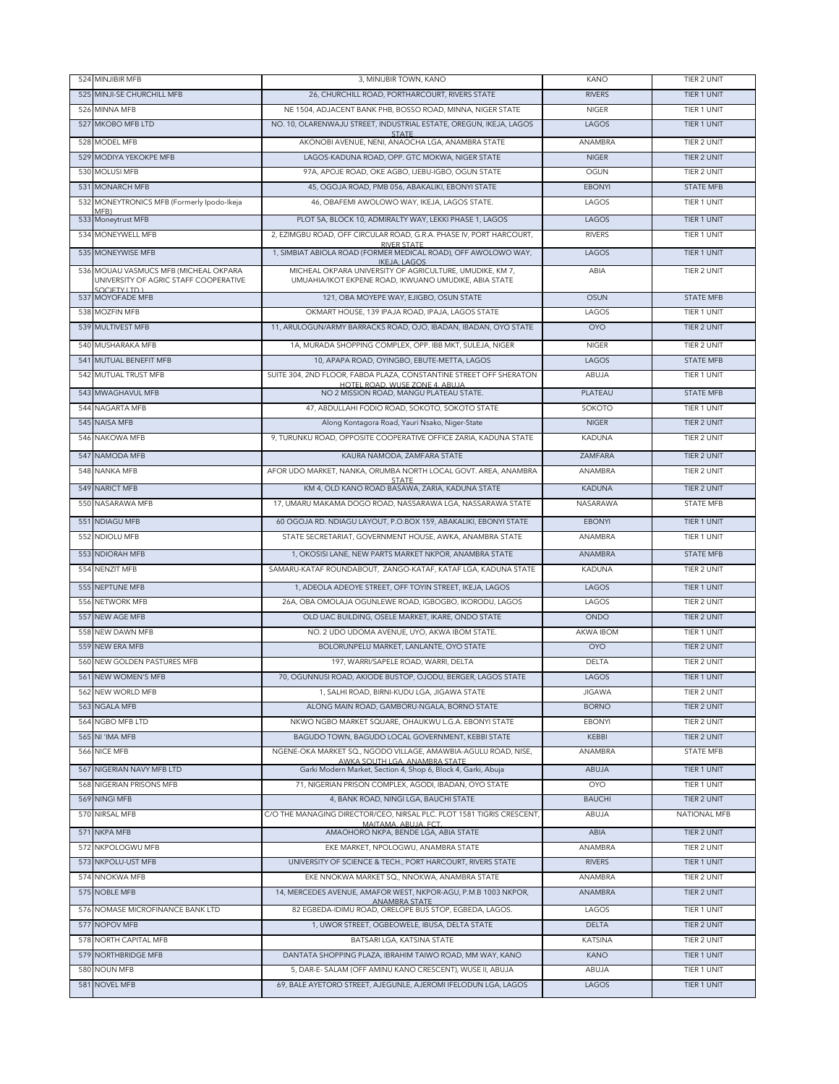|     | 524 MINJIBIR MFB                                                               | 3, MINIJBIR TOWN, KANO                                                                                            | KANO                     | TIER 2 UNIT                |
|-----|--------------------------------------------------------------------------------|-------------------------------------------------------------------------------------------------------------------|--------------------------|----------------------------|
|     | 525 MINJI-SE CHURCHILL MFB                                                     | 26, CHURCHILL ROAD, PORTHARCOURT, RIVERS STATE                                                                    | <b>RIVERS</b>            | TIER 1 UNIT                |
| 526 | MINNA MFB                                                                      | NE 1504, ADJACENT BANK PHB, BOSSO ROAD, MINNA, NIGER STATE                                                        | <b>NIGER</b>             | TIER 1 UNIT                |
|     | 527 MKOBO MFB LTD                                                              | NO. 10, OLARENWAJU STREET, INDUSTRIAL ESTATE, OREGUN, IKEJA, LAGOS                                                | LAGOS                    | TIER 1 UNIT                |
| 528 | MODEL MFB                                                                      | <b>STATE</b><br>AKONOBI AVENUE, NENI, ANAOCHA LGA, ANAMBRA STATE                                                  | ANAMBRA                  | <b>TIER 2 UNIT</b>         |
|     | 529 MODIYA YEKOKPE MFB                                                         | LAGOS-KADUNA ROAD, OPP, GTC MOKWA, NIGER STATE                                                                    | <b>NIGER</b>             | <b>TIER 2 UNIT</b>         |
|     | 530 MOLUSI MFB                                                                 | 97A, APOJE ROAD, OKE AGBO, IJEBU-IGBO, OGUN STATE                                                                 | OGUN                     | TIER 2 UNIT                |
|     | 531 MONARCH MFB                                                                | 45, OGOJA ROAD, PMB 056, ABAKALIKI, EBONYI STATE                                                                  | <b>EBONYI</b>            | <b>STATE MFB</b>           |
|     | 532 MONEYTRONICS MFB (Formerly Ipodo-Ikeja                                     | 46, OBAFEMI AWOLOWO WAY, IKEJA, LAGOS STATE.                                                                      | LAGOS                    | TIER 1 UNIT                |
|     | (MFB<br>533 Moneytrust MFB                                                     | PLOT 5A, BLOCK 10, ADMIRALTY WAY, LEKKI PHASE 1, LAGOS                                                            | LAGOS                    | TIER 1 UNIT                |
|     | 534 MONEYWELL MFB                                                              | 2, EZIMGBU ROAD, OFF CIRCULAR ROAD, G.R.A. PHASE IV, PORT HARCOURT,                                               | <b>RIVERS</b>            | TIER 1 UNIT                |
|     |                                                                                | <b>RIVER STATE</b>                                                                                                |                          |                            |
|     | 535 MONEYWISE MFB                                                              | 1, SIMBIAT ABIOLA ROAD (FORMER MEDICAL ROAD), OFF AWOLOWO WAY,<br><b>IKEJA, LAGOS</b>                             | LAGOS                    | TIER 1 UNIT                |
|     | 536 MOUAU VASMUCS MFB (MICHEAL OKPARA<br>UNIVERSITY OF AGRIC STAFF COOPERATIVE | MICHEAL OKPARA UNIVERSITY OF AGRICULTURE, UMUDIKE, KM 7,<br>UMUAHIA/IKOT EKPENE ROAD, IKWUANO UMUDIKE, ABIA STATE | ABIA                     | TIER 2 UNIT                |
|     | SOCIETY LTD.)                                                                  |                                                                                                                   |                          |                            |
|     | 537 MOYOFADE MFB                                                               | 121, OBA MOYEPE WAY, EJIGBO, OSUN STATE                                                                           | OSUN                     | <b>STATE MFB</b>           |
|     | 538 MOZFIN MFB                                                                 | OKMART HOUSE, 139 IPAJA ROAD, IPAJA, LAGOS STATE                                                                  | LAGOS                    | TIER 1 UNIT                |
|     | 539 MULTIVEST MFB                                                              | 11, ARULOGUN/ARMY BARRACKS ROAD, OJO, IBADAN, IBADAN, OYO STATE                                                   | <b>OYO</b>               | TIER 2 UNIT                |
|     | 540 MUSHARAKA MFB                                                              | 1A, MURADA SHOPPING COMPLEX, OPP. IBB MKT, SULEJA, NIGER                                                          | <b>NIGER</b>             | TIER 2 UNIT                |
|     | 541 MUTUAL BENEFIT MFB                                                         | 10, APAPA ROAD, OYINGBO, EBUTE-METTA, LAGOS                                                                       | LAGOS                    | <b>STATE MFB</b>           |
|     | 542 MUTUAL TRUST MFB                                                           | SUITE 304, 2ND FLOOR, FABDA PLAZA, CONSTANTINE STREET OFF SHERATON<br>HOTEL ROAD, WUSE ZONE 4, ABUJA              | ABUJA                    | TIER 1 UNIT                |
|     | 543 MWAGHAVUL MFB                                                              | NO 2 MISSION ROAD, MANGU PLATEAU STATE.                                                                           | PLATEAU                  | <b>STATE MFB</b>           |
|     | 544 NAGARTA MFB                                                                | 47, ABDULLAHI FODIO ROAD, SOKOTO, SOKOTO STATE                                                                    | SOKOTO                   | TIFR 1 UNIT                |
|     | 545 NAISA MFB                                                                  | Along Kontagora Road, Yauri Nsako, Niger-State                                                                    | <b>NIGER</b>             | TIER 2 UNIT                |
| 546 | <b>NAKOWA MFB</b>                                                              | 9, TURUNKU ROAD, OPPOSITE COOPERATIVE OFFICE ZARIA, KADUNA STATE                                                  | <b>KADUNA</b>            | <b>TIER 2 UNIT</b>         |
|     | 547 NAMODA MFB                                                                 | KAURA NAMODA, ZAMFARA STATE                                                                                       | ZAMFARA                  | TIER 2 UNIT                |
| 548 | <b>NANKA MFB</b>                                                               | AFOR UDO MARKET, NANKA, ORUMBA NORTH LOCAL GOVT. AREA, ANAMBRA                                                    | ANAMBRA                  | TIER 2 UNIT                |
|     | 549 NARICT MFB                                                                 | <b>STATF</b><br>KM 4, OLD KANO ROAD BASAWA, ZARIA, KADUNA STATE                                                   | <b>KADUNA</b>            | TIER 2 UNIT                |
| 550 | NASARAWA MFB                                                                   | 17, UMARU MAKAMA DOGO ROAD, NASSARAWA LGA, NASSARAWA STATE                                                        | NASARAWA                 | <b>STATE MFB</b>           |
|     |                                                                                |                                                                                                                   |                          |                            |
|     | 551 NDIAGU MFB<br>NDIOLU MFB                                                   | 60 OGOJA RD. NDIAGU LAYOUT, P.O.BOX 159, ABAKALIKI, EBONYI STATE                                                  | <b>EBONYI</b><br>ANAMBRA | TIER 1 UNIT<br>TIER 1 UNIT |
| 552 |                                                                                | STATE SECRETARIAT, GOVERNMENT HOUSE, AWKA, ANAMBRA STATE                                                          |                          |                            |
|     | 553 NDIORAH MFB                                                                | 1, OKOSISI LANE, NEW PARTS MARKET NKPOR, ANAMBRA STATE                                                            | ANAMBRA                  | <b>STATE MFB</b>           |
| 554 | NENZIT MFB                                                                     | SAMARU-KATAF ROUNDABOUT, ZANGO-KATAF, KATAF LGA, KADUNA STATE                                                     | <b>KADUNA</b>            | TIER 2 UNIT                |
|     | 555 NEPTUNE MFB                                                                | 1, ADEOLA ADEOYE STREET, OFF TOYIN STREET, IKEJA, LAGOS                                                           | LAGOS                    | TIER 1 UNIT                |
| 556 | NETWORK MFB                                                                    | 26A, OBA OMOLAJA OGUNLEWE ROAD, IGBOGBO, IKORODU, LAGOS                                                           | LAGOS                    | TIER 2 UNIT                |
|     | 557 NEW AGE MFB                                                                | OLD UAC BUILDING, OSELE MARKET, IKARE, ONDO STATE                                                                 | <b>ONDO</b>              | TIER 2 UNIT                |
| 558 | <b>NEW DAWN MFB</b>                                                            | NO. 2 UDO UDOMA AVENUE, UYO, AKWA IBOM STATE.                                                                     | AKWA IBOM                | TIER 1 UNIT                |
|     | 559 NEW ERA MFB                                                                | BOLORUNPELU MARKET, LANLANTE, OYO STATE                                                                           | <b>OYO</b>               | TIER 2 UNIT                |
| 560 | NEW GOLDEN PASTURES MFB                                                        | 197, WARRI/SAPELE ROAD, WARRI, DELTA                                                                              | <b>DELTA</b>             | TIER 2 UNIT                |
| 561 | <b>NEW WOMEN'S MFB</b>                                                         | 70, OGUNNUSI ROAD, AKIODE BUSTOP, OJODU, BERGER, LAGOS STATE                                                      | LAGOS                    | <b>TIFR 1 UNIT</b>         |
|     | 562 NEW WORLD MFB                                                              | 1, SALHI ROAD, BIRNI-KUDU LGA, JIGAWA STATE                                                                       | <b>JIGAWA</b>            | TIER 2 UNIT                |
|     | 563 NGALA MFB                                                                  | ALONG MAIN ROAD, GAMBORU-NGALA, BORNO STATE                                                                       | <b>BORNO</b>             | TIER 2 UNIT                |
|     | 564 NGBO MFB LTD                                                               | NKWO NGBO MARKET SQUARE, OHAUKWU L.G.A. EBONYI STATE                                                              | <b>EBONYI</b>            | TIER 2 UNIT                |
|     | 565 NI 'IMA MFB                                                                | BAGUDO TOWN, BAGUDO LOCAL GOVERNMENT, KEBBI STATE                                                                 | KEBBI                    | TIER 2 UNIT                |
|     | 566 NICE MFB                                                                   | NGENE-OKA MARKET SQ., NGODO VILLAGE, AMAWBIA-AGULU ROAD, NISE,<br>AWKA SOUTH LGA, ANAMBRA STATE                   | ANAMBRA                  | <b>STATE MFB</b>           |
|     | 567 NIGERIAN NAVY MFB LTD                                                      | Garki Modern Market, Section 4, Shop 6, Block 4, Garki, Abuja                                                     | ABUJA                    | TIER 1 UNIT                |
|     | 568 NIGERIAN PRISONS MFB                                                       | 71, NIGERIAN PRISON COMPLEX, AGODI, IBADAN, OYO STATE                                                             | <b>OYO</b>               | TIER 1 UNIT                |
|     | 569 NINGI MFB                                                                  | 4. BANK ROAD, NINGI LGA, BAUCHI STATE                                                                             | <b>BAUCHI</b>            | TIER 2 UNIT                |
|     | 570 NIRSAL MFB                                                                 | C/O THE MANAGING DIRECTOR/CEO, NIRSAL PLC. PLOT 1581 TIGRIS CRESCENT,<br>MAITAMA, ABUJA, FCT                      | ABUJA                    | NATIONAL MFB               |
|     | 571 NKPA MFB                                                                   | AMAOHORO NKPA, BENDE LGA, ABIA STATE                                                                              | ABIA                     | TIER 2 UNIT                |
|     | 572 NKPOLOGWU MFB                                                              | EKE MARKET, NPOLOGWU, ANAMBRA STATE                                                                               | ANAMBRA                  | TIER 2 UNIT                |
|     | 573 NKPOLU-UST MFB                                                             | UNIVERSITY OF SCIENCE & TECH., PORT HARCOURT, RIVERS STATE                                                        | <b>RIVERS</b>            | TIER 1 UNIT                |
|     | 574 NNOKWA MFB                                                                 | EKE NNOKWA MARKET SQ., NNOKWA, ANAMBRA STATE                                                                      | ANAMBRA                  | TIER 2 UNIT                |
|     | 575 NOBLE MFB                                                                  | 14, MERCEDES AVENUE, AMAFOR WEST, NKPOR-AGU, P.M.B 1003 NKPOR,                                                    | ANAMBRA                  | TIER 2 UNIT                |
|     | 576 NOMASE MICROFINANCE BANK LTD                                               | ANAMBRA STATE<br>82 EGBEDA-IDIMU ROAD, ORELOPE BUS STOP, EGBEDA, LAGOS.                                           | LAGOS                    | TIER 1 UNIT                |
|     | 577 NOPOV MFB                                                                  | 1, UWOR STREET, OGBEOWELE, IBUSA, DELTA STATE                                                                     | <b>DELTA</b>             | TIER 2 UNIT                |
|     | 578 NORTH CAPITAL MFB                                                          | BATSARI LGA, KATSINA STATE                                                                                        | <b>KATSINA</b>           | TIER 2 UNIT                |
|     | 579 NORTHBRIDGE MFB                                                            | DANTATA SHOPPING PLAZA, IBRAHIM TAIWO ROAD, MM WAY, KANO                                                          | <b>KANO</b>              | TIER 1 UNIT                |
|     | 580 NOUN MFB                                                                   | 5, DAR-E- SALAM (OFF AMINU KANO CRESCENT), WUSE II, ABUJA                                                         | ABUJA                    | TIER 1 UNIT                |
|     | 581 NOVEL MFB                                                                  | 69, BALE AYETORO STREET, AJEGUNLE, AJEROMI IFELODUN LGA, LAGOS                                                    | LAGOS                    | TIER 1 UNIT                |
|     |                                                                                |                                                                                                                   |                          |                            |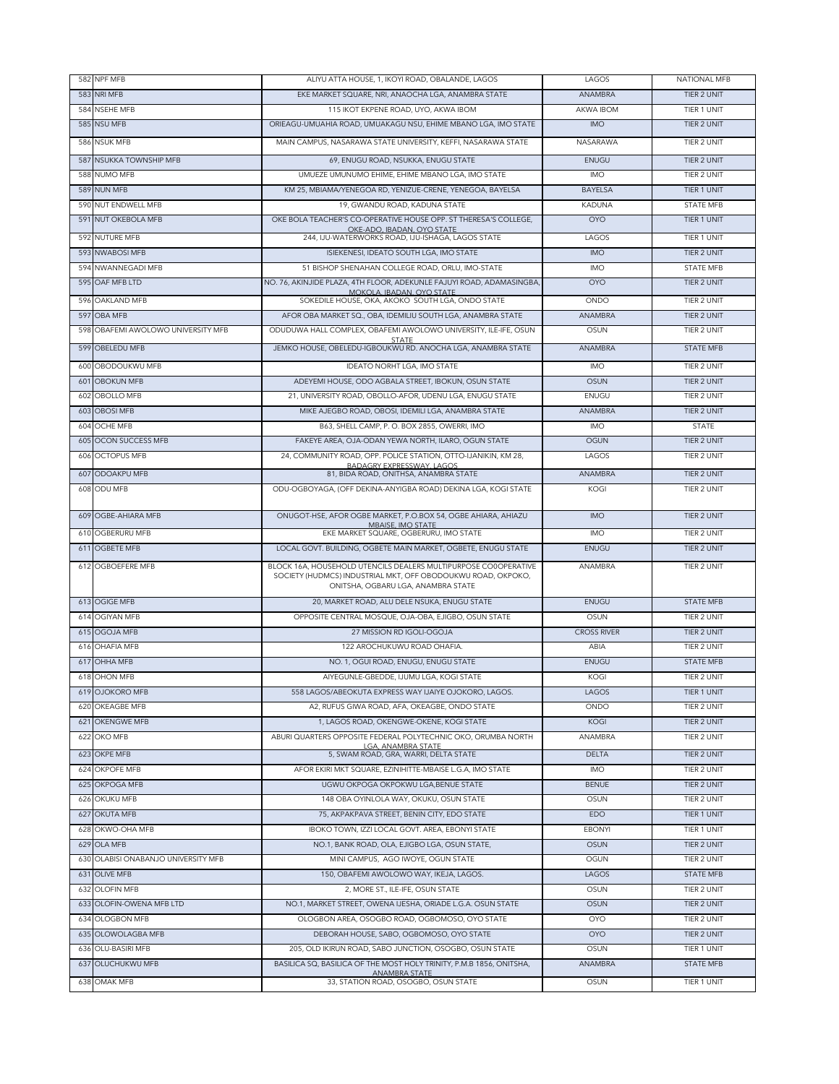|            | 582 NPF MFB                         | ALIYU ATTA HOUSE, 1, IKOYI ROAD, OBALANDE, LAGOS                                                                                                                      | LAGOS              | <b>NATIONAL MFB</b> |
|------------|-------------------------------------|-----------------------------------------------------------------------------------------------------------------------------------------------------------------------|--------------------|---------------------|
|            | 583 NRI MFB                         | EKE MARKET SQUARE, NRI, ANAOCHA LGA, ANAMBRA STATE                                                                                                                    | ANAMBRA            | TIER 2 UNIT         |
| 584        | <b>NSEHE MFB</b>                    | 115 IKOT EKPENE ROAD, UYO, AKWA IBOM                                                                                                                                  | AKWA IBOM          | TIER 1 UNIT         |
|            | 585 NSU MFB                         | ORIEAGU-UMUAHIA ROAD, UMUAKAGU NSU, EHIME MBANO LGA, IMO STATE                                                                                                        | <b>IMO</b>         | TIER 2 UNIT         |
|            | 586 NSUK MFB                        | MAIN CAMPUS, NASARAWA STATE UNIVERSITY, KEFFI, NASARAWA STATE                                                                                                         | <b>NASARAWA</b>    | TIER 2 UNIT         |
| 587        | <b>NSUKKA TOWNSHIP MFB</b>          | 69, ENUGU ROAD, NSUKKA, ENUGU STATE                                                                                                                                   | ENUGU              | TIER 2 UNIT         |
|            | 588 NUMO MFB                        | UMUEZE UMUNUMO EHIME, EHIME MBANO LGA, IMO STATE                                                                                                                      | <b>IMO</b>         | TIER 2 UNIT         |
|            | 589 NUN MFB                         | KM 25, MBIAMA/YENEGOA RD, YENIZUE-CRENE, YENEGOA, BAYELSA                                                                                                             | <b>BAYELSA</b>     | TIER 1 UNIT         |
|            | 590 NUT ENDWELL MFB                 | 19, GWANDU ROAD, KADUNA STATE                                                                                                                                         | <b>KADUNA</b>      | <b>STATE MFB</b>    |
|            | 591 NUT OKEBOLA MFB                 | OKE BOLA TEACHER'S CO-OPERATIVE HOUSE OPP. ST THERESA'S COLLEGE,                                                                                                      | <b>OYO</b>         | TIER 1 UNIT         |
|            | 592 NUTURE MFB                      | OKE-ADO, IBADAN, OYO STATE<br>244. IJU-WATERWORKS ROAD, IJU-ISHAGA, LAGOS STATE                                                                                       | LAGOS              | TIER 1 UNIT         |
|            | 593 NWABOSI MFB                     | ISIEKENESI, IDEATO SOUTH LGA, IMO STATE                                                                                                                               | <b>IMO</b>         | TIFR 2 UNIT         |
|            | 594 NWANNEGADI MFB                  | 51 BISHOP SHENAHAN COLLEGE ROAD, ORLU, IMO-STATE                                                                                                                      | <b>IMO</b>         | <b>STATE MFB</b>    |
|            | 595 OAF MFB LTD                     | NO. 76, AKINJIDE PLAZA, 4TH FLOOR, ADEKUNLE FAJUYI ROAD, ADAMASINGBA,                                                                                                 | <b>OYO</b>         | TIER 2 UNIT         |
|            |                                     | MOKOLA, IBADAN, OYO STATE                                                                                                                                             | ONDO               | TIER 2 UNIT         |
| 596<br>597 | OAKLAND MFB<br>OBA MFB              | SOKEDILE HOUSE, OKA, AKOKO SOUTH LGA, ONDO STATE<br>AFOR OBA MARKET SQ., OBA, IDEMILIU SOUTH LGA, ANAMBRA STATE                                                       | ANAMBRA            | TIER 2 UNIT         |
|            |                                     |                                                                                                                                                                       |                    |                     |
|            | 598 OBAFEMI AWOLOWO UNIVERSITY MFB  | ODUDUWA HALL COMPLEX, OBAFEMI AWOLOWO UNIVERSITY, ILE-IFE, OSUN<br>STATE                                                                                              | OSUN               | TIER 2 UNIT         |
|            | 599 OBELEDU MFB                     | JEMKO HOUSE, OBELEDU-IGBOUKWU RD. ANOCHA LGA, ANAMBRA STATE                                                                                                           | ANAMBRA            | <b>STATE MFB</b>    |
| 600        | <b>OBODOUKWU MFB</b>                | IDEATO NORHT LGA, IMO STATE                                                                                                                                           | <b>IMO</b>         | TIER 2 UNIT         |
| 601        | <b>OBOKUN MFB</b>                   | ADEYEMI HOUSE, ODO AGBALA STREET, IBOKUN, OSUN STATE                                                                                                                  | <b>OSUN</b>        | TIER 2 UNIT         |
| 602        | OBOLLO MFB                          | 21, UNIVERSITY ROAD, OBOLLO-AFOR, UDENU LGA, ENUGU STATE                                                                                                              | ENUGU              | TIER 2 UNIT         |
|            | 603 OBOSI MFB                       | MIKE AJEGBO ROAD, OBOSI, IDEMILI LGA, ANAMBRA STATE                                                                                                                   | ANAMBRA            | TIER 2 UNIT         |
|            | 604 OCHE MFB                        | B63, SHELL CAMP, P.O. BOX 2855, OWERRI, IMO                                                                                                                           | <b>IMO</b>         | <b>STATE</b>        |
|            | <b>605 OCON SUCCESS MFB</b>         | FAKEYE AREA, OJA-ODAN YEWA NORTH, ILARO, OGUN STATE                                                                                                                   | <b>OGUN</b>        | TIER 2 UNIT         |
|            | 606 OCTOPUS MFB                     | 24, COMMUNITY ROAD, OPP. POLICE STATION, OTTO-IJANIKIN, KM 28,<br>BADAGRY EXPRESSWAY, LAGOS                                                                           | LAGOS              | TIER 2 UNIT         |
|            | 607 ODOAKPU MFB                     | 81, BIDA ROAD, ONITHSA, ANAMBRA STATE                                                                                                                                 | ANAMBRA            | TIER 2 UNIT         |
|            | 608 ODU MFB                         | ODU-OGBOYAGA, (OFF DEKINA-ANYIGBA ROAD) DEKINA LGA, KOGI STATE                                                                                                        | KOGI               | TIER 2 UNIT         |
|            | 609 OGBE-AHIARA MFB                 | ONUGOT-HSE, AFOR OGBE MARKET, P.O.BOX 54, OGBE AHIARA, AHIAZU<br>MBAISE, IMO STATE                                                                                    | <b>IMO</b>         | TIER 2 UNIT         |
|            | 610 OGBERURU MFB                    | EKE MARKET SQUARE, OGBERURU, IMO STATE                                                                                                                                | <b>IMO</b>         | TIER 2 UNIT         |
|            | 611 OGBETE MFB                      | LOCAL GOVT. BUILDING, OGBETE MAIN MARKET, OGBETE, ENUGU STATE                                                                                                         | ENUGU              | TIER 2 UNIT         |
|            | 612 OGBOEFERE MFB                   | BLOCK 16A, HOUSEHOLD UTENCILS DEALERS MULTIPURPOSE CO0OPERATIVE<br>SOCIETY (HUDMCS) INDUSTRIAL MKT, OFF OBODOUKWU ROAD, OKPOKO,<br>ONITSHA, OGBARU LGA, ANAMBRA STATE | ANAMBRA            | TIER 2 UNIT         |
|            | 613 OGIGE MFB                       | 20, MARKET ROAD, ALU DELE NSUKA, ENUGU STATE                                                                                                                          | ENUGU              | <b>STATE MFB</b>    |
|            | 614 OGIYAN MFB                      | OPPOSITE CENTRAL MOSQUE, OJA-OBA, EJIGBO, OSUN STATE                                                                                                                  | OSUN               | TIER 2 UNIT         |
|            | 615 OGOJA MFB                       | 27 MISSION RD IGOLI-OGOJA                                                                                                                                             | <b>CROSS RIVER</b> | TIER 2 UNIT         |
| 616        | OHAFIA MFB                          | 122 AROCHUKUWU ROAD OHAFIA.                                                                                                                                           | ABIA               | TIER 2 UNIT         |
| 617        | OHHA MFB                            | NO. 1, OGUI ROAD, ENUGU, ENUGU STATE                                                                                                                                  | ENUGU              | <b>STATE MFB</b>    |
| 618        | OHON MFB                            | AIYEGUNLE-GBEDDE, IJUMU LGA, KOGI STATE                                                                                                                               | KOGI               | TIER 2 UNIT         |
|            | 619 OJOKORO MFB                     | 558 LAGOS/ABEOKUTA EXPRESS WAY IJAIYE OJOKORO, LAGOS.                                                                                                                 | LAGOS              | TIER 1 UNIT         |
|            | 620 OKEAGBE MFB                     | A2, RUFUS GIWA ROAD, AFA, OKEAGBE, ONDO STATE                                                                                                                         | ONDO               | TIER 2 UNIT         |
|            | 621 OKENGWE MFB                     | 1, LAGOS ROAD, OKENGWE-OKENE, KOGI STATE                                                                                                                              | KOGI               | TIER 2 UNIT         |
|            | 622 OKO MFB                         | ABURI QUARTERS OPPOSITE FEDERAL POLYTECHNIC OKO, ORUMBA NORTH                                                                                                         | ANAMBRA            | TIER 2 UNIT         |
|            | 623 OKPE MFB                        | LGA, ANAMBRA STATE<br>5, SWAM ROAD, GRA, WARRI, DELTA STATE                                                                                                           | <b>DELTA</b>       | <b>TIER 2 UNIT</b>  |
|            | 624 OKPOFE MFB                      | AFOR EKIRI MKT SQUARE, EZINIHITTE-MBAISE L.G.A. IMO STATE                                                                                                             | <b>IMO</b>         | TIER 2 UNIT         |
|            | 625 OKPOGA MFB                      | UGWU OKPOGA OKPOKWU LGA, BENUE STATE                                                                                                                                  | <b>BENUE</b>       | TIER 2 UNIT         |
| 626        | <b>OKUKU MFB</b>                    | 148 OBA OYINLOLA WAY, OKUKU, OSUN STATE                                                                                                                               | <b>OSUN</b>        | TIER 2 UNIT         |
|            | 627 OKUTA MFB                       | 75, AKPAKPAVA STREET, BENIN CITY, EDO STATE                                                                                                                           | <b>EDO</b>         | TIER 1 UNIT         |
|            | 628 OKWO-OHA MFB                    | IBOKO TOWN, IZZI LOCAL GOVT. AREA, EBONYI STATE                                                                                                                       | <b>EBONYI</b>      | TIER 1 UNIT         |
|            | 629 OLA MFB                         | NO.1, BANK ROAD, OLA, EJIGBO LGA, OSUN STATE,                                                                                                                         | <b>OSUN</b>        | TIER 2 UNIT         |
|            | 630 OLABISI ONABANJO UNIVERSITY MFB | MINI CAMPUS, AGO IWOYE, OGUN STATE                                                                                                                                    | OGUN               | <b>TIER 2 UNIT</b>  |
|            | 631 OLIVE MFB                       | 150, OBAFEMI AWOLOWO WAY, IKEJA, LAGOS.                                                                                                                               | LAGOS              | <b>STATE MFB</b>    |
|            | 632 OLOFIN MFB                      | 2, MORE ST., ILE-IFE, OSUN STATE                                                                                                                                      | OSUN               | TIER 2 UNIT         |
|            | 633 OLOFIN-OWENA MFB LTD            | NO.1, MARKET STREET, OWENA IJESHA, ORIADE L.G.A. OSUN STATE                                                                                                           | OSUN               | TIER 2 UNIT         |
|            | 634 OLOGBON MFB                     | OLOGBON AREA, OSOGBO ROAD, OGBOMOSO, OYO STATE                                                                                                                        | <b>OYO</b>         | TIER 2 UNIT         |
|            | 635 OLOWOLAGBA MFB                  | DEBORAH HOUSE, SABO, OGBOMOSO, OYO STATE                                                                                                                              | <b>OYO</b>         | TIER 2 UNIT         |
|            | 636 OLU-BASIRI MFB                  | 205, OLD IKIRUN ROAD, SABO JUNCTION, OSOGBO, OSUN STATE                                                                                                               | OSUN               | TIER 1 UNIT         |
|            | 637 OLUCHUKWU MFB                   | BASILICA SQ, BASILICA OF THE MOST HOLY TRINITY, P.M.B 1856, ONITSHA,                                                                                                  | ANAMBRA            | <b>STATE MFB</b>    |
|            | 638 OMAK MFB                        | <b>ANAMBRA STATE</b><br>33, STATION ROAD, OSOGBO, OSUN STATE                                                                                                          | OSUN               | TIER 1 UNIT         |
|            |                                     |                                                                                                                                                                       |                    |                     |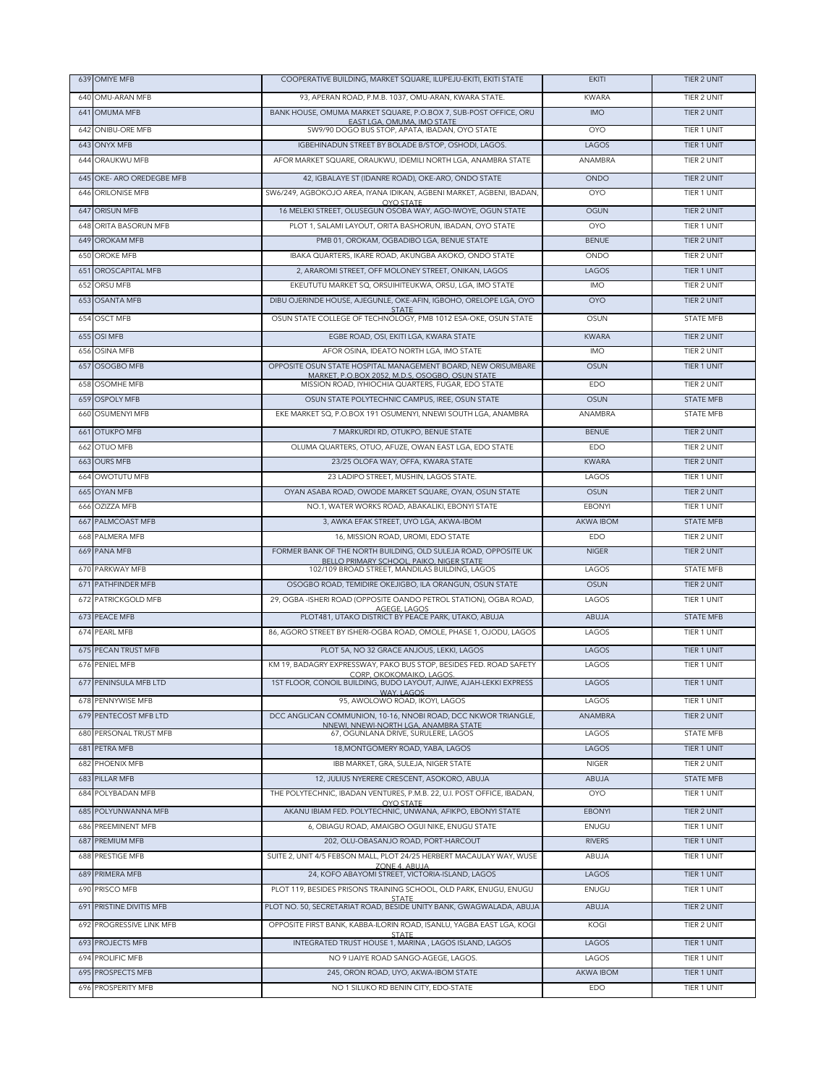|            | 639 OMIYE MFB                   | COOPERATIVE BUILDING, MARKET SQUARE, ILUPEJU-EKITI, EKITI STATE                                                           | <b>EKITI</b>     | TIER 2 UNIT                |
|------------|---------------------------------|---------------------------------------------------------------------------------------------------------------------------|------------------|----------------------------|
| 640        | OMU-ARAN MFB                    | 93, APERAN ROAD, P.M.B. 1037, OMU-ARAN, KWARA STATE.                                                                      | <b>KWARA</b>     | TIER 2 UNIT                |
|            | 641 OMUMA MFB                   | BANK HOUSE, OMUMA MARKET SQUARE, P.O.BOX 7, SUB-POST OFFICE, ORU                                                          | <b>IMO</b>       | TIER 2 UNIT                |
| 642        | ONIBU-ORE MFB                   | EAST LGA, OMUMA, IMO STATE<br>SW9/90 DOGO BUS STOP, APATA, IBADAN, OYO STATE                                              | <b>OYO</b>       | TIER 1 UNIT                |
| 643        | <b>ONYX MFB</b>                 | IGBEHINADUN STREET BY BOLADE B/STOP, OSHODI, LAGOS.                                                                       | LAGOS            | TIER 1 UNIT                |
|            | 644 ORAUKWU MFB                 | AFOR MARKET SQUARE, ORAUKWU, IDEMILI NORTH LGA, ANAMBRA STATE                                                             | ANAMBRA          | TIER 2 UNIT                |
| 645        | OKE- ARO OREDEGBE MFB           | 42, IGBALAYE ST (IDANRE ROAD), OKE-ARO, ONDO STATE                                                                        | <b>ONDO</b>      | TIER 2 UNIT                |
| 646        | ORILONISE MFB                   | SW6/249, AGBOKOJO AREA, IYANA IDIKAN, AGBENI MARKET, AGBENI, IBADAN,                                                      | <b>OYO</b>       | TIER 1 UNIT                |
|            |                                 | <b>OYO STATE</b>                                                                                                          |                  |                            |
| 647        | <b>ORISUN MFB</b>               | 16 MELEKI STREET, OLUSEGUN OSOBA WAY, AGO-IWOYE, OGUN STATE                                                               | <b>OGUN</b>      | TIER 2 UNIT                |
| 648        | ORITA BASORUN MFB               | PLOT 1, SALAMI LAYOUT, ORITA BASHORUN, IBADAN, OYO STATE                                                                  | <b>OYO</b>       | TIER 1 UNIT                |
| 649        | OROKAM MFB                      | PMB 01, OROKAM, OGBADIBO LGA, BENUE STATE                                                                                 | <b>BENUE</b>     | <b>TIER 2 UNIT</b>         |
| 650        | OROKE MFB                       | IBAKA QUARTERS, IKARE ROAD, AKUNGBA AKOKO, ONDO STATE                                                                     | ONDO             | TIER 2 UNIT                |
| 651        | OROSCAPITAL MFB                 | 2, ARAROMI STREET, OFF MOLONEY STREET, ONIKAN, LAGOS                                                                      | LAGOS            | TIER 1 UNIT                |
| 652        | ORSU MFB                        | EKEUTUTU MARKET SQ, ORSUIHITEUKWA, ORSU, LGA, IMO STATE                                                                   | <b>IMO</b>       | TIER 2 UNIT                |
|            | 653 OSANTA MFB                  | DIBU OJERINDE HOUSE, AJEGUNLE, OKE-AFIN, IGBOHO, ORELOPE LGA, OYO<br><b>STATE</b>                                         | <b>OYO</b>       | TIER 2 UNIT                |
|            | 654 OSCT MFB                    | OSUN STATE COLLEGE OF TECHNOLOGY, PMB 1012 ESA-OKE, OSUN STATE                                                            | OSUN             | <b>STATE MFB</b>           |
| 655        | OSI MFB                         | EGBE ROAD, OSI, EKITI LGA, KWARA STATE                                                                                    | <b>KWARA</b>     | TIER 2 UNIT                |
| 656        | OSINA MFB                       | AFOR OSINA, IDEATO NORTH LGA, IMO STATE                                                                                   | <b>IMO</b>       | TIER 2 UNIT                |
| 657        | OSOGBO MFB                      | OPPOSITE OSUN STATE HOSPITAL MANAGEMENT BOARD. NEW ORISUMBARE                                                             | <b>OSUN</b>      | <b>TIER 1 UNIT</b>         |
| 658        | OSOMHE MFB                      | MARKET, P.O.BOX 2052, M.D.S. OSOGBO, OSUN STATE<br>MISSION ROAD, IYHIOCHIA QUARTERS, FUGAR, EDO STATE                     | EDO              | TIER 2 UNIT                |
| 659        | <b>OSPOLY MFB</b>               | OSUN STATE POLYTECHNIC CAMPUS, IREE, OSUN STATE                                                                           | <b>OSUN</b>      | <b>STATE MFB</b>           |
| 660        | OSUMENYI MFB                    | EKE MARKET SQ, P.O.BOX 191 OSUMENYI, NNEWI SOUTH LGA, ANAMBRA                                                             | ANAMBRA          | <b>STATE MFB</b>           |
| 661        | OTUKPO MFB                      | 7 MARKURDI RD, OTUKPO, BENUE STATE                                                                                        | <b>BFNUF</b>     | TIER 2 UNIT                |
| 662        | OTUO MFB                        | OLUMA QUARTERS, OTUO, AFUZE, OWAN EAST LGA, EDO STATE                                                                     | EDO              | TIER 2 UNIT                |
| 663        | <b>OURS MFB</b>                 | 23/25 OLOFA WAY, OFFA, KWARA STATE                                                                                        | <b>KWARA</b>     | TIER 2 UNIT                |
| 664        | OWOTUTU MFB                     | 23 LADIPO STREET, MUSHIN, LAGOS STATE.                                                                                    | LAGOS            | TIER 1 UNIT                |
| 665        | <b>OYAN MFB</b>                 | OYAN ASABA ROAD, OWODE MARKET SQUARE, OYAN, OSUN STATE                                                                    | <b>OSUN</b>      | TIER 2 UNIT                |
| 666        | OZIZZA MFB                      | NO.1, WATER WORKS ROAD, ABAKALIKI, EBONYI STATE                                                                           | <b>EBONYI</b>    | TIER 1 UNIT                |
| 667        | PALMCOAST MFB                   | 3, AWKA EFAK STREET, UYO LGA, AKWA-IBOM                                                                                   | AKWA IBOM        | <b>STATE MFB</b>           |
| 668        | PALMERA MFB                     | 16, MISSION ROAD, UROMI, EDO STATE                                                                                        | EDO              | TIER 2 UNIT                |
|            | 669 PANA MFB                    | FORMER BANK OF THE NORTH BUILDING, OLD SULEJA ROAD, OPPOSITE UK                                                           | <b>NIGER</b>     | TIER 2 UNIT                |
|            |                                 |                                                                                                                           |                  |                            |
|            | 670 PARKWAY MFB                 | BELLO PRIMARY SCHOOL, PAIKO, NIGER STATE<br>102/109 BROAD STREET, MANDILAS BUILDING, LAGOS                                | LAGOS            | <b>STATE MFB</b>           |
|            | 671 PATHFINDER MFB              | OSOGBO ROAD, TEMIDIRE OKEJIGBO, ILA ORANGUN, OSUN STATE                                                                   | <b>OSUN</b>      | TIER 2 UNIT                |
|            | 672 PATRICKGOLD MFB             | 29, OGBA - ISHERI ROAD (OPPOSITE OANDO PETROL STATION), OGBA ROAD,                                                        | LAGOS            | TIER 1 UNIT                |
|            |                                 | AGEGE, LAGOS                                                                                                              |                  | <b>STATE MFB</b>           |
|            | 673 PEACE MFB<br>674 PEARL MFB  | PLOT481, UTAKO DISTRICT BY PEACE PARK, UTAKO, ABUJA<br>86, AGORO STREET BY ISHERI-OGBA ROAD, OMOLE, PHASE 1, OJODU, LAGOS | ABUJA<br>LAGOS   | TIER 1 UNIT                |
|            |                                 |                                                                                                                           |                  |                            |
|            | <b>675 PECAN TRUST MFB</b>      | PLOT 5A, NO 32 GRACE ANJOUS, LEKKI, LAGOS                                                                                 | LAGOS            | TIER 1 UNIT                |
|            | 676 PENIEL MFB                  | KM 19, BADAGRY EXPRESSWAY, PAKO BUS STOP, BESIDES FED. ROAD SAFETY<br>CORP. OKOKOMAIKO, LAGOS.                            | LAGOS            | TIER 1 UNIT                |
|            | 677 PENINSULA MFB LTD           | 1ST FLOOR, CONOIL BUILDING, BUDO LAYOUT, AJIWE, AJAH-LEKKI EXPRESS<br>WAY, LAGOS                                          | LAGOS            | TIFR 1 UNIT                |
|            | 678 PENNYWISE MFB               | 95, AWOLOWO ROAD, IKOYI, LAGOS                                                                                            | LAGOS            | TIER 1 UNIT                |
|            | 679 PENTECOST MFB LTD           | DCC ANGLICAN COMMUNION, 10-16, NNOBI ROAD, DCC NKWOR TRIANGLE,<br>NNEWI, NNEWI-NORTH LGA, ANAMBRA STATE                   | <b>ANAMBRA</b>   | TIER 2 UNIT                |
| 680        | PERSONAL TRUST MFB              | 67. OGUNLANA DRIVE, SURULERE, LAGOS                                                                                       | LAGOS            | <b>STATE MFB</b>           |
| 681        | PETRA MFB                       | 18, MONTGOMERY ROAD, YABA, LAGOS                                                                                          | LAGOS            | TIER 1 UNIT                |
| 682        | PHOENIX MFB                     | IBB MARKET, GRA, SULEJA, NIGER STATE                                                                                      | <b>NIGER</b>     | TIER 2 UNIT                |
| 683        | PILLAR MFB                      | 12, JULIUS NYERERE CRESCENT, ASOKORO, ABUJA                                                                               | ABUJA            | <b>STATE MFB</b>           |
|            | 684 POLYBADAN MFB               | THE POLYTECHNIC, IBADAN VENTURES, P.M.B. 22, U.I. POST OFFICE, IBADAN,<br>OYO STATE                                       | <b>OYO</b>       | TIER 1 UNIT                |
| 685        | POLYUNWANNA MFB                 | AKANU IBIAM FED. POLYTECHNIC, UNWANA, AFIKPO, EBONYI STATE                                                                | <b>EBONYI</b>    | TIER 2 UNIT                |
| 686        | PREEMINENT MFB                  | 6, OBIAGU ROAD, AMAIGBO OGUI NIKE, ENUGU STATE                                                                            | ENUGU            | TIER 1 UNIT                |
| 687        | PREMIUM MFB                     | 202, OLU-OBASANJO ROAD, PORT-HARCOUT                                                                                      | <b>RIVERS</b>    | TIER 1 UNIT                |
| 688        | PRESTIGE MFB                    | SUITE 2, UNIT 4/5 FEBSON MALL, PLOT 24/25 HERBERT MACAULAY WAY, WUSE                                                      | ABUJA            | TIER 1 UNIT                |
| 689        | PRIMERA MFB                     | ZONE 4, ABUJA<br>24, KOFO ABAYOMI STREET, VICTORIA-ISLAND, LAGOS                                                          | LAGOS            | TIER 1 UNIT                |
| 690        | PRISCO MFB                      | PLOT 119, BESIDES PRISONS TRAINING SCHOOL, OLD PARK, ENUGU, ENUGU                                                         | ENUGU            | TIER 1 UNIT                |
| 691        | PRISTINE DIVITIS MFB            | <b>STATE</b><br>PLOT NO. 50, SECRETARIAT ROAD, BESIDE UNITY BANK, GWAGWALADA, ABUJA                                       | <b>ABUJA</b>     | TIER 2 UNIT                |
| 692        | PROGRESSIVE LINK MFB            |                                                                                                                           | KOGI             | TIER 2 UNIT                |
|            |                                 | OPPOSITE FIRST BANK, KABBA-ILORIN ROAD, ISANLU, YAGBA EAST LGA, KOGI<br><b>STATE</b>                                      |                  |                            |
| 693        | PROJECTS MFB                    | INTEGRATED TRUST HOUSE 1, MARINA, LAGOS ISLAND, LAGOS                                                                     | LAGOS            | TIER 1 UNIT                |
| 694        | PROLIFIC MFB                    | NO 9 IJAIYE ROAD SANGO-AGEGE, LAGOS.                                                                                      | LAGOS            | TIER 1 UNIT                |
| 695<br>696 | PROSPECTS MFB<br>PROSPERITY MFB | 245, ORON ROAD, UYO, AKWA-IBOM STATE<br>NO 1 SILUKO RD BENIN CITY, EDO-STATE                                              | AKWA IBOM<br>EDO | TIER 1 UNIT<br>TIER 1 UNIT |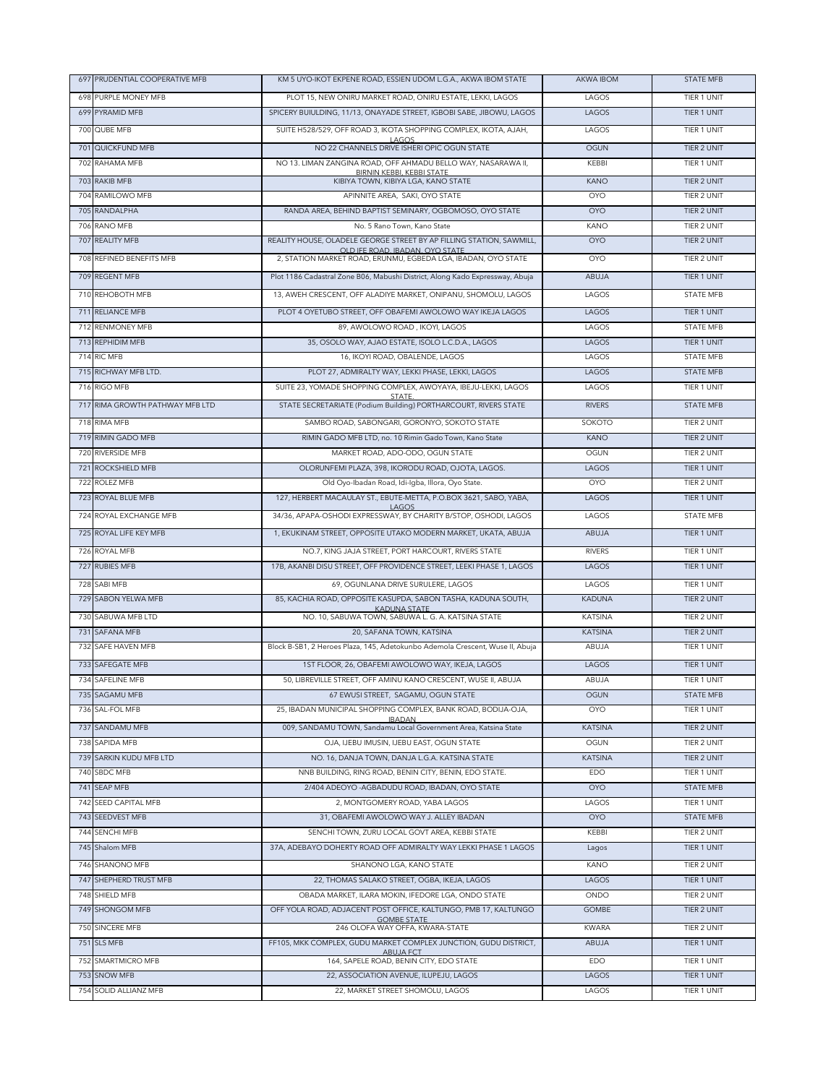| 697 PRUDENTIAL COOPERATIVE MFB    | KM 5 UYO-IKOT EKPENE ROAD, ESSIEN UDOM L.G.A., AKWA IBOM STATE                        | AKWA IBOM                 | <b>STATE MFB</b>           |
|-----------------------------------|---------------------------------------------------------------------------------------|---------------------------|----------------------------|
| 698 PURPLE MONEY MEB              | PLOT 15, NEW ONIRU MARKET ROAD, ONIRU ESTATE, LEKKI, LAGOS                            | LAGOS                     | TIER 1 UNIT                |
| 699 PYRAMID MFB                   | SPICERY BUIULDING, 11/13, ONAYADE STREET, IGBOBI SABE, JIBOWU, LAGOS                  | LAGOS                     | TIER 1 UNIT                |
| 700 QUBE MFB                      | SUITE H528/529, OFF ROAD 3, IKOTA SHOPPING COMPLEX, IKOTA, AJAH,                      | LAGOS                     | TIER 1 UNIT                |
| 701 QUICKFUND MFB                 | LAGOS<br>NO 22 CHANNELS DRIVE ISHERI OPIC OGUN STATE                                  | <b>OGUN</b>               | TIER 2 UNIT                |
| 702 RAHAMA MFB                    | NO 13. LIMAN ZANGINA ROAD, OFF AHMADU BELLO WAY, NASARAWA II,                         | KEBBI                     | TIER 1 UNIT                |
|                                   | BIRNIN KEBBI, KEBBI STATE                                                             |                           |                            |
| 703 RAKIB MFB<br>704 RAMILOWO MFB | KIBIYA TOWN, KIBIYA LGA, KANO STATE<br>APINNITE AREA, SAKI, OYO STATE                 | <b>KANO</b><br><b>OYO</b> | TIER 2 UNIT<br>TIER 2 UNIT |
| 705 RANDALPHA                     | RANDA AREA, BEHIND BAPTIST SEMINARY, OGBOMOSO, OYO STATE                              | <b>OYO</b>                | TIER 2 UNIT                |
| 706 RANO MFB                      | No. 5 Rano Town, Kano State                                                           | <b>KANO</b>               | TIER 2 UNIT                |
| 707 REALITY MFB                   | REALITY HOUSE, OLADELE GEORGE STREET BY AP FILLING STATION, SAWMILL,                  | OYO                       | TIER 2 UNIT                |
|                                   | OLD IFE ROAD. IBADAN, OYO STATE                                                       |                           |                            |
| 708 REFINED BENEFITS MFB          | 2, STATION MARKET ROAD, ERUNMU, EGBEDA LGA, IBADAN, OYO STATE                         | <b>OYO</b>                | TIER 2 UNIT                |
| 709 REGENT MFB                    | Plot 1186 Cadastral Zone B06, Mabushi District, Along Kado Expressway, Abuja          | ABUJA                     | TIER 1 UNIT                |
| 710 REHOBOTH MFB                  | 13, AWEH CRESCENT, OFF ALADIYE MARKET, ONIPANU, SHOMOLU, LAGOS                        | LAGOS                     | <b>STATE MFB</b>           |
| 711 RELIANCE MFB                  | PLOT 4 OYETUBO STREET, OFF OBAFEMI AWOLOWO WAY IKEJA LAGOS                            | LAGOS                     | TIER 1 UNIT                |
| 712 RENMONEY MFB                  | 89, AWOLOWO ROAD, IKOYI, LAGOS                                                        | LAGOS                     | <b>STATE MFB</b>           |
| 713 REPHIDIM MFB                  | 35, OSOLO WAY, AJAO ESTATE, ISOLO L.C.D.A., LAGOS                                     | LAGOS                     | TIER 1 UNIT                |
| 714 RIC MFB                       | 16, IKOYI ROAD, OBALENDE, LAGOS                                                       | LAGOS                     | <b>STATE MFB</b>           |
| 715 RICHWAY MFB LTD.              | PLOT 27, ADMIRALTY WAY, LEKKI PHASE, LEKKI, LAGOS                                     | LAGOS                     | <b>STATE MFB</b>           |
| 716 RIGO MFB                      | SUITE 23. YOMADE SHOPPING COMPLEX, AWOYAYA, IBEJU-LEKKI, LAGOS<br>STATE.              | LAGOS                     | TIER 1 UNIT                |
| 717 RIMA GROWTH PATHWAY MFB LTD   | STATE SECRETARIATE (Podium Building) PORTHARCOURT, RIVERS STATE                       | <b>RIVERS</b>             | <b>STATE MFB</b>           |
| 718 RIMA MFB                      | SAMBO ROAD, SABONGARI, GORONYO, SOKOTO STATE                                          | SOKOTO                    | <b>TIER 2 UNIT</b>         |
| 719 RIMIN GADO MFB                | RIMIN GADO MFB LTD, no, 10 Rimin Gado Town, Kano State                                | <b>KANO</b>               | <b>TIER 2 UNIT</b>         |
| 720 RIVERSIDE MEB                 | MARKET ROAD, ADO-ODO, OGUN STATE                                                      | OGUN                      | TIER 2 UNIT                |
| 721 ROCKSHIELD MFB                | OLORUNFEMI PLAZA, 398, IKORODU ROAD, OJOTA, LAGOS.                                    | LAGOS                     | TIER 1 UNIT                |
| 722 ROLEZ MFB                     | Old Oyo-Ibadan Road, Idi-Igba, Illora, Oyo State.                                     | <b>OYO</b>                | TIER 2 UNIT                |
| 723 ROYAL BLUE MFB                | 127, HERBERT MACAULAY ST., EBUTE-METTA, P.O.BOX 3621, SABO, YABA,<br>LAGOS            | LAGOS                     | TIER 1 UNIT                |
| 724 ROYAL EXCHANGE MFB            | 34/36, APAPA-OSHODI EXPRESSWAY, BY CHARITY B/STOP, OSHODI, LAGOS                      | LAGOS                     | <b>STATE MFB</b>           |
| 725 ROYAL LIFE KEY MFB            | 1, EKUKINAM STREET, OPPOSITE UTAKO MODERN MARKET, UKATA, ABUJA                        | ABUJA                     | TIER 1 UNIT                |
| 726 ROYAL MFB                     | NO.7, KING JAJA STREET, PORT HARCOURT, RIVERS STATE                                   | <b>RIVERS</b>             | TIER 1 UNIT                |
| 727 RUBIES MFB                    | 17B, AKANBI DISU STREET, OFF PROVIDENCE STREET, LEEKI PHASE 1, LAGOS                  | LAGOS                     | TIER 1 UNIT                |
| 728 SABI MFB                      | 69, OGUNLANA DRIVE SURULERE, LAGOS                                                    | LAGOS                     | TIER 1 UNIT                |
| 729 SABON YELWA MFB               | 85, KACHIA ROAD, OPPOSITE KASUPDA, SABON TASHA, KADUNA SOUTH,                         | <b>KADUNA</b>             | TIER 2 UNIT                |
| 730 SABUWA MFB LTD                | KADUNA STATE<br>NO. 10, SABUWA TOWN, SABUWA L. G. A. KATSINA STATE                    | KATSINA                   | TIER 2 UNIT                |
| 731 SAFANA MFB                    | 20, SAFANA TOWN, KATSINA                                                              | <b>KATSINA</b>            | TIER 2 UNIT                |
| 732 SAFE HAVEN MFB                | Block B-SB1, 2 Heroes Plaza, 145, Adetokunbo Ademola Crescent, Wuse II, Abuja         | ABUJA                     | TIER 1 UNIT                |
| 733 SAFEGATE MFB                  | 1ST FLOOR, 26, OBAFEMI AWOLOWO WAY, IKEJA, LAGOS                                      | LAGOS                     | TIER 1 UNIT                |
| 734 SAFELINE MFB                  | 50, LIBREVILLE STREET, OFF AMINU KANO CRESCENT, WUSE II, ABUJA                        | ABUJA                     | TIER 1 UNIT                |
| 735 SAGAMU MFB                    | 67 EWUSI STREET, SAGAMU, OGUN STATE                                                   | <b>OGUN</b>               | <b>STATE MFB</b>           |
| 736 SAL-FOL MFB                   | 25, IBADAN MUNICIPAL SHOPPING COMPLEX, BANK ROAD, BODIJA-OJA,                         | <b>OYO</b>                | TIER 1 UNIT                |
| 737 SANDAMU MFB                   | <b>IBADAN</b><br>009, SANDAMU TOWN, Sandamu Local Government Area, Katsina State      | <b>KATSINA</b>            | TIER 2 UNIT                |
| 738 SAPIDA MFB                    | OJA, IJEBU IMUSIN, IJEBU EAST, OGUN STATE                                             | OGUN                      | TIER 2 UNIT                |
| 739 SARKIN KUDU MFB LTD           | NO. 16, DANJA TOWN, DANJA L.G.A. KATSINA STATE                                        | <b>KATSINA</b>            | TIER 2 UNIT                |
| 740 SBDC MFB                      | NNB BUILDING, RING ROAD, BENIN CITY, BENIN, EDO STATE.                                | EDO                       | TIER 1 UNIT                |
| 741 SEAP MFB                      | 2/404 ADEOYO - AGBADUDU ROAD, IBADAN, OYO STATE                                       | <b>OYO</b>                | <b>STATE MFB</b>           |
| 742 SEED CAPITAL MFB              | 2, MONTGOMERY ROAD, YABA LAGOS                                                        | LAGOS                     | TIER 1 UNIT                |
| 743 SEEDVEST MFB                  | 31. OBAFEMI AWOLOWO WAY J. ALLEY IBADAN                                               | <b>OYO</b>                | <b>STATE MFB</b>           |
| 744 SENCHI MFB                    | SENCHI TOWN, ZURU LOCAL GOVT AREA, KEBBI STATE                                        | KEBBI                     | TIER 2 UNIT                |
| 745 Shalom MFB                    | 37A, ADEBAYO DOHERTY ROAD OFF ADMIRALTY WAY LEKKI PHASE 1 LAGOS                       | Lagos                     | TIER 1 UNIT                |
| 746 SHANONO MFB                   | SHANONO LGA, KANO STATE                                                               | KANO                      | TIER 2 UNIT                |
| 747 SHEPHERD TRUST MFB            | 22, THOMAS SALAKO STREET, OGBA, IKEJA, LAGOS                                          | LAGOS                     | TIER 1 UNIT                |
| 748 SHIELD MFB                    | OBADA MARKET, ILARA MOKIN, IFEDORE LGA, ONDO STATE                                    | ONDO                      | TIER 2 UNIT                |
| 749 SHONGOM MFB                   | OFF YOLA ROAD, ADJACENT POST OFFICE, KALTUNGO, PMB 17, KALTUNGO<br><b>GOMBE STATE</b> | <b>GOMBE</b>              | TIER 2 UNIT                |
| 750 SINCERE MFB                   | 246 OLOFA WAY OFFA, KWARA-STATE                                                       | <b>KWARA</b>              | TIER 2 UNIT                |
| 751 SLS MFB                       | FF105, MKK COMPLEX, GUDU MARKET COMPLEX JUNCTION, GUDU DISTRICT,<br><b>ABUJA FCT</b>  | ABUJA                     | TIER 1 UNIT                |
| 752 SMARTMICRO MFB                | 164, SAPELE ROAD, BENIN CITY, EDO STATE                                               | EDO                       | TIER 1 UNIT                |
| 753 SNOW MFB                      | 22, ASSOCIATION AVENUE, ILUPEJU, LAGOS                                                | LAGOS                     | TIER 1 UNIT                |
| 754 SOLID ALLIANZ MFB             | 22, MARKET STREET SHOMOLU, LAGOS                                                      | LAGOS                     | TIER 1 UNIT                |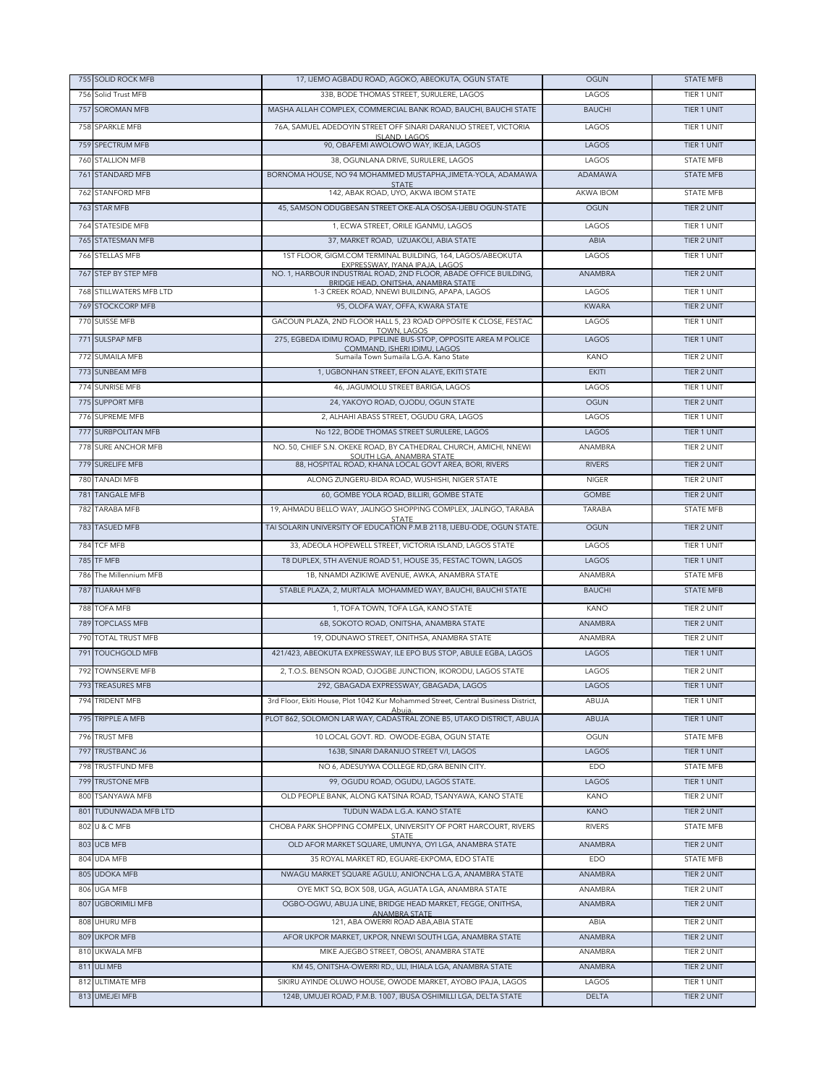|            | 755 SOLID ROCK MFB                      | 17, IJEMO AGBADU ROAD, AGOKO, ABEOKUTA, OGUN STATE                                                           | <b>OGUN</b>                  | <b>STATE MFB</b>           |
|------------|-----------------------------------------|--------------------------------------------------------------------------------------------------------------|------------------------------|----------------------------|
| 756        | Solid Trust MFB                         | 33B, BODE THOMAS STREET, SURULERE, LAGOS                                                                     | LAGOS                        | TIER 1 UNIT                |
|            | 757 SOROMAN MFB                         | MASHA ALLAH COMPLEX, COMMERCIAL BANK ROAD, BAUCHI, BAUCHI STATE                                              | <b>BAUCHI</b>                | TIER 1 UNIT                |
|            | 758 SPARKLE MFB                         | 76A, SAMUEL ADEDOYIN STREET OFF SINARI DARANIJO STREET, VICTORIA                                             | LAGOS                        | TIER 1 UNIT                |
|            | 759 SPECTRUM MFB                        | ISLAND. LAGOS<br>90, OBAFEMI AWOLOWO WAY, IKEJA, LAGOS                                                       | LAGOS                        | TIER 1 UNIT                |
| 760        | <b>STALLION MFB</b>                     | 38. OGUNLANA DRIVE, SURULERE, LAGOS                                                                          | LAGOS                        | <b>STATE MFB</b>           |
|            | 761 STANDARD MFB                        | BORNOMA HOUSE, NO 94 MOHAMMED MUSTAPHA, JIMETA-YOLA, ADAMAWA                                                 | <b>ADAMAWA</b>               | <b>STATE MFB</b>           |
| 762        | <b>STANFORD MFB</b>                     | <b>STATE</b><br>142, ABAK ROAD, UYO, AKWA IBOM STATE                                                         | AKWA IBOM                    | <b>STATE MFB</b>           |
|            | 763 STAR MFB                            | 45, SAMSON ODUGBESAN STREET OKE-ALA OSOSA-IJEBU OGUN-STATE                                                   | <b>OGUN</b>                  | <b>TIER 2 UNIT</b>         |
|            |                                         |                                                                                                              |                              |                            |
| 764        | <b>STATESIDE MFB</b>                    | 1, ECWA STREET, ORILE IGANMU, LAGOS                                                                          | LAGOS                        | TIER 1 UNIT                |
|            | 765 STATESMAN MFB                       | 37, MARKET ROAD, UZUAKOLI, ABIA STATE                                                                        | ABIA                         | TIER 2 UNIT                |
|            | 766 STELLAS MFB                         | 1ST FLOOR, GIGM.COM TERMINAL BUILDING, 164, LAGOS/ABEOKUTA<br>EXPRESSWAY, IYANA IPAJA, LAGOS                 | LAGOS                        | TIER 1 UNIT                |
|            | 767 STEP BY STEP MFB                    | NO. 1, HARBOUR INDUSTRIAL ROAD, 2ND FLOOR, ABADE OFFICE BUILDING,<br>BRIDGE HEAD, ONITSHA, ANAMBRA STATE     | <b>ANAMBRA</b>               | TIER 2 UNIT                |
|            | 768 STILLWATERS MFB LTD                 | 1-3 CREEK ROAD, NNEWI BUILDING, APAPA, LAGOS                                                                 | LAGOS                        | TIER 1 UNIT                |
|            | <b>769 STOCKCORP MFB</b>                | 95, OLOFA WAY, OFFA, KWARA STATE                                                                             | <b>KWARA</b>                 | TIER 2 UNIT                |
|            | 770 SUISSE MFB                          | GACOUN PLAZA, 2ND FLOOR HALL 5, 23 ROAD OPPOSITE K CLOSE, FESTAC                                             | LAGOS                        | TIER 1 UNIT                |
|            | 771 SULSPAP MFB                         | <b>TOWN, LAGOS</b><br>275, EGBEDA IDIMU ROAD, PIPELINE BUS-STOP, OPPOSITE AREA M POLICE                      | LAGOS                        | TIER 1 UNIT                |
| 772        | <b>SUMAILA MFB</b>                      | COMMAND. ISHERI IDIMU. LAGOS<br>Sumaila Town Sumaila L.G.A. Kano State                                       | <b>KANO</b>                  | TIER 2 UNIT                |
|            | 773 SUNBEAM MFB                         | 1, UGBONHAN STREET, EFON ALAYE, EKITI STATE                                                                  | <b>EKITI</b>                 | TIER 2 UNIT                |
|            | 774 SUNRISE MFB                         | 46, JAGUMOLU STREET BARIGA, LAGOS                                                                            | LAGOS                        | TIER 1 UNIT                |
|            | 775 SUPPORT MFB                         | 24, YAKOYO ROAD, OJODU, OGUN STATE                                                                           | <b>OGUN</b>                  | TIER 2 UNIT                |
| 776        | <b>SUPREME MFB</b>                      | 2, ALHAHI ABASS STREET, OGUDU GRA, LAGOS                                                                     | LAGOS                        | TIER 1 UNIT                |
| 777        | <b>SURBPOLITAN MFB</b>                  | No 122, BODE THOMAS STREET SURULERE, LAGOS                                                                   | LAGOS                        | TIER 1 UNIT                |
| 778        | <b>SURE ANCHOR MFB</b>                  | NO. 50, CHIEF S.N. OKEKE ROAD, BY CATHEDRAL CHURCH, AMICHI, NNEWI                                            | ANAMBRA                      | TIER 2 UNIT                |
|            | 779 SURELIFE MFB                        | SOUTH LGA, ANAMBRA STATE<br>88, HOSPITAL ROAD, KHANA LOCAL GOVT AREA, BORI, RIVERS                           | <b>RIVERS</b>                | TIER 2 UNIT                |
|            |                                         |                                                                                                              |                              |                            |
| 780<br>781 | <b>TANADI MFB</b>                       | ALONG ZUNGERU-BIDA ROAD, WUSHISHI, NIGER STATE                                                               | <b>NIGER</b><br><b>GOMBE</b> | TIER 2 UNIT<br>TIER 2 UNIT |
| 782        | <b>TANGALE MFB</b><br><b>TARABA MFB</b> | 60, GOMBE YOLA ROAD, BILLIRI, GOMBE STATE<br>19, AHMADU BELLO WAY, JALINGO SHOPPING COMPLEX, JALINGO, TARABA | <b>TARABA</b>                | <b>STATE MFB</b>           |
|            |                                         | <b>STATE</b>                                                                                                 |                              |                            |
|            | 783 TASUED MFB                          | TAI SOLARIN UNIVERSITY OF EDUCATION P.M.B 2118, IJEBU-ODE, OGUN STATE.                                       | <b>OGUN</b>                  | TIER 2 UNIT                |
| 784        | <b>TCF MFB</b>                          | 33, ADEOLA HOPEWELL STREET, VICTORIA ISLAND, LAGOS STATE                                                     | LAGOS                        | TIER 1 UNIT                |
|            | 785 TF MFB                              | T8 DUPLEX, 5TH AVENUE ROAD 51, HOUSE 35, FESTAC TOWN, LAGOS                                                  | LAGOS                        | TIER 1 UNIT                |
| 786        | The Millennium MFB                      | 1B, NNAMDI AZIKIWE AVENUE, AWKA, ANAMBRA STATE                                                               | ANAMBRA                      | <b>STATE MFB</b>           |
| 787        | <b>TIJARAH MFB</b>                      | STABLE PLAZA, 2, MURTALA MOHAMMED WAY, BAUCHI, BAUCHI STATE                                                  | <b>BAUCHI</b>                | <b>STATE MFB</b>           |
| 788        | <b>TOFA MFB</b>                         | 1, TOFA TOWN, TOFA LGA, KANO STATE                                                                           | KANO                         | TIER 2 UNIT                |
| 789        | <b>TOPCLASS MFB</b>                     | 6B, SOKOTO ROAD, ONITSHA, ANAMBRA STATE                                                                      | ANAMBRA                      | <b>TIER 2 UNIT</b>         |
| 790        | <b>TOTAL TRUST MFB</b>                  | 19, ODUNAWO STREET, ONITHSA, ANAMBRA STATE                                                                   | ANAMBRA                      | TIER 2 UNIT                |
| 791        | <b>TOUCHGOLD MFB</b>                    | 421/423, ABEOKUTA EXPRESSWAY, ILE EPO BUS STOP, ABULE EGBA, LAGOS                                            | LAGOS                        | TIER 1 UNIT                |
| 792        | <b>TOWNSERVE MFB</b>                    | 2, T.O.S. BENSON ROAD, OJOGBE JUNCTION, IKORODU, LAGOS STATE                                                 | LAGOS                        | TIER 2 UNIT                |
|            | 793 TREASURES MFB                       | 292, GBAGADA EXPRESSWAY, GBAGADA, LAGOS                                                                      | LAGOS                        | TIER 1 UNIT                |
|            | 794 TRIDENT MFB                         | 3rd Floor, Ekiti House, Plot 1042 Kur Mohammed Street, Central Business District,                            | ABUJA                        | TIER 1 UNIT                |
|            | 795 TRIPPLE A MFB                       | PLOT 862, SOLOMON LAR WAY, CADASTRAL ZONE B5, UTAKO DISTRICT, ABUJA                                          | ABUJA                        | TIER 1 UNIT                |
|            | 796 TRUST MFB                           | 10 LOCAL GOVT. RD. OWODE-EGBA, OGUN STATE                                                                    | OGUN                         | <b>STATE MFB</b>           |
| 797        | <b>TRUSTBANC J6</b>                     | 163B, SINARI DARANIJO STREET V/I, LAGOS                                                                      | LAGOS                        | TIER 1 UNIT                |
| 798        | TRUSTFUND MFB                           | NO 6, ADESUYWA COLLEGE RD, GRA BENIN CITY.                                                                   | EDO                          | STATE MFB                  |
|            | 799 TRUSTONE MFB                        | 99, OGUDU ROAD, OGUDU, LAGOS STATE.                                                                          | LAGOS                        | TIER 1 UNIT                |
|            | 800 TSANYAWA MFB                        | OLD PEOPLE BANK, ALONG KATSINA ROAD, TSANYAWA, KANO STATE                                                    | <b>KANO</b>                  | TIER 2 UNIT                |
| 801        | TUDUNWADA MFB LTD                       | TUDUN WADA L.G.A. KANO STATE                                                                                 | <b>KANO</b>                  | TIER 2 UNIT                |
|            | 802 U & C MFB                           | CHOBA PARK SHOPPING COMPELX, UNIVERSITY OF PORT HARCOURT, RIVERS                                             | <b>RIVERS</b>                | STATE MFB                  |
|            | 803 UCB MFB                             | STATF<br>OLD AFOR MARKET SQUARE, UMUNYA, OYI LGA, ANAMBRA STATE                                              | ANAMBRA                      | TIER 2 UNIT                |
|            | 804 UDA MFB                             | 35 ROYAL MARKET RD, EGUARE-EKPOMA, EDO STATE                                                                 | EDO                          | STATE MFB                  |
|            | 805 UDOKA MFB                           | NWAGU MARKET SQUARE AGULU, ANIONCHA L.G.A, ANAMBRA STATE                                                     | ANAMBRA                      | TIER 2 UNIT                |
|            | 806 UGA MFB                             | OYE MKT SQ, BOX 508, UGA, AGUATA LGA, ANAMBRA STATE                                                          | ANAMBRA                      | TIER 2 UNIT                |
|            | 807 UGBORIMILI MFB                      | OGBO-OGWU, ABUJA LINE, BRIDGE HEAD MARKET, FEGGE, ONITHSA,                                                   | ANAMBRA                      | TIER 2 UNIT                |
|            |                                         | ANAMBRA STATE                                                                                                |                              |                            |
|            | 808 UHURU MFB                           | 121, ABA OWERRI ROAD ABA, ABIA STATE                                                                         | ABIA                         | TIER 2 UNIT                |
|            | 809 UKPOR MFB                           | AFOR UKPOR MARKET, UKPOR, NNEWI SOUTH LGA, ANAMBRA STATE                                                     | ANAMBRA                      | TIER 2 UNIT                |
|            | 810 UKWALA MFB                          | MIKE AJEGBO STREET, OBOSI, ANAMBRA STATE                                                                     | ANAMBRA                      | TIER 2 UNIT                |
|            | 811 ULI MFB                             | KM 45, ONITSHA-OWERRI RD., ULI, IHIALA LGA, ANAMBRA STATE                                                    | ANAMBRA                      | TIER 2 UNIT                |
|            | 812 ULTIMATE MFB                        | SIKIRU AYINDE OLUWO HOUSE, OWODE MARKET, AYOBO IPAJA, LAGOS                                                  | LAGOS                        | TIER 1 UNIT                |
|            | 813 UMEJEI MFB                          | 124B, UMUJEI ROAD, P.M.B. 1007, IBUSA OSHIMILLI LGA, DELTA STATE                                             | DELTA                        | TIER 2 UNIT                |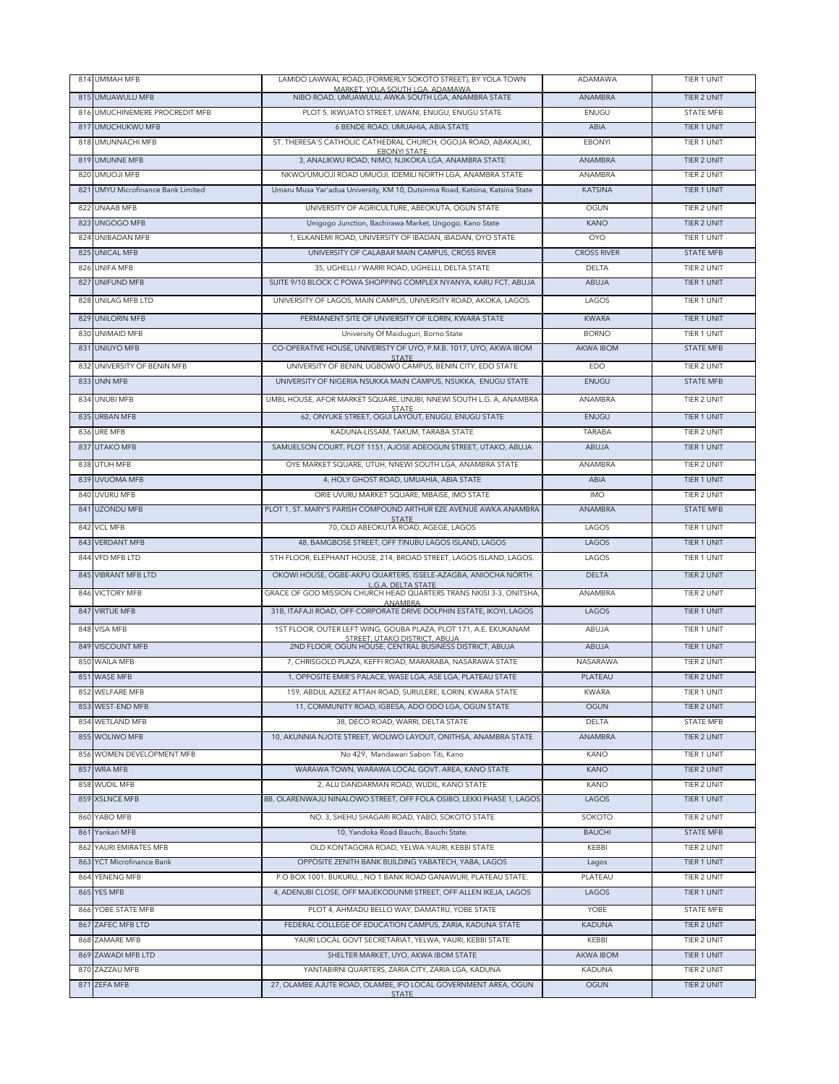|     | 814 UMMAH MFB                      | LAMIDO LAWWAL ROAD, (FORMERLY SOKOTO STREET), BY YOLA TOWN                               | ADAMAWA            | TIER 1 UNIT        |
|-----|------------------------------------|------------------------------------------------------------------------------------------|--------------------|--------------------|
|     | 815 UMUAWULU MFB                   | MARKET, YOLA SOUTH LGA, ADAMAWA<br>NIBO ROAD, UMUAWULU, AWKA SOUTH LGA, ANAMBRA STATE    | <b>ANAMBRA</b>     | TIER 2 UNIT        |
|     | 816 UMUCHINEMERE PROCREDIT MFB     | PLOT 5, IKWUATO STREET, UWANI, ENUGU, ENUGU STATE                                        | ENUGU              | <b>STATE MFB</b>   |
|     | 817 UMUCHUKWU MFB                  | 6 BENDE ROAD, UMUAHIA, ABIA STATE                                                        | ABIA               | TIER 1 UNIT        |
|     | 818 UMUNNACHI MFB                  | ST. THERESA'S CATHOLIC CATHEDRAL CHURCH, OGOJA ROAD, ABAKALIKI,                          | <b>EBONYI</b>      | TIER 1 UNIT        |
|     | 819 UMUNNE MFB                     | <b>EBONYI STATE</b><br>3, ANALIKWU ROAD, NIMO, NJIKOKA LGA, ANAMBRA STATE                | ANAMBRA            | TIER 2 UNIT        |
|     | 820 UMUOJI MFB                     | NKWO/UMUOJI ROAD UMUOJI, IDEMILI NORTH LGA, ANAMBRA STATE                                | ANAMBRA            | TIER 2 UNIT        |
|     | 821 UMYU Microfinance Bank Limited | Umaru Musa Yar'adua University, KM 10, Dutsinma Road, Katsina, Katsina State             | <b>KATSINA</b>     | TIER 1 UNIT        |
|     |                                    |                                                                                          |                    |                    |
|     | 822 UNAAB MFB                      | UNIVERSITY OF AGRICULTURE, ABEOKUTA, OGUN STATE                                          | OGUN               | TIER 2 UNIT        |
| 823 | UNGOGO MFB                         | Unigogo Junction, Bachirawa Market, Ungogo, Kano State                                   | <b>KANO</b>        | TIER 2 UNIT        |
|     | 824 UNIBADAN MFB                   | 1, ELKANEMI ROAD, UNIVERSITY OF IBADAN, IBADAN, OYO STATE                                | <b>OYO</b>         | TIER 1 UNIT        |
|     | 825 UNICAL MFB                     | UNIVERSITY OF CALABAR MAIN CAMPUS, CROSS RIVER                                           | <b>CROSS RIVER</b> | <b>STATE MFB</b>   |
|     | 826 UNIFA MFB                      | 35, UGHELLI / WARRI ROAD, UGHELLI, DELTA STATE                                           | <b>DELTA</b>       | TIER 2 UNIT        |
|     | 827 UNIFUND MFB                    | SUITE 9/10 BLOCK C POWA SHOPPING COMPLEX NYANYA, KARU FCT, ABUJA                         | ABUJA              | TIER 1 UNIT        |
|     | 828 UNILAG MFB LTD                 | UNIVERSITY OF LAGOS, MAIN CAMPUS, UNIVERSITY ROAD, AKOKA, LAGOS.                         | LAGOS              | TIER 1 UNIT        |
|     | 829 UNILORIN MFB                   | PERMANENT SITE OF UNVIERSITY OF ILORIN, KWARA STATE                                      | <b>KWARA</b>       | TIER 1 UNIT        |
|     | 830 UNIMAID MFB                    | University Of Maiduguri, Borno State                                                     | <b>BORNO</b>       | TIER 1 UNIT        |
|     | 831 UNIUYO MFB                     | CO-OPERATIVE HOUSE, UNIVERISTY OF UYO, P.M.B. 1017, UYO, AKWA IBOM                       | <b>AKWA IBOM</b>   | <b>STATE MFB</b>   |
|     | 832 UNIVERSITY OF BENIN MFB        | <b>STATE</b><br>UNIVERSITY OF BENIN, UGBOWO CAMPUS, BENIN CITY, EDO STATE                | EDO                | TIER 2 UNIT        |
|     | 833 UNN MFB                        | UNIVERSITY OF NIGERIA NSUKKA MAIN CAMPUS, NSUKKA, ENUGU STATE                            | ENUGU              | <b>STATE MFB</b>   |
|     |                                    |                                                                                          |                    |                    |
|     | 834 UNUBI MFB                      | UMBL HOUSE, AFOR MARKET SQUARE, UNUBI, NNEWI SOUTH L.G. A, ANAMBRA<br><b>STATE</b>       | ANAMBRA            | TIER 2 UNIT        |
|     | 835 URBAN MFB                      | 62, ONYUKE STREET, OGUI LAYOUT, ENUGU, ENUGU STATE                                       | ENUGU              | TIER 1 UNIT        |
|     | 836 URE MFB                        | KADUNA-LISSAM, TAKUM, TARABA STATE                                                       | <b>TARABA</b>      | TIER 2 UNIT        |
|     | 837 UTAKO MFB                      | SAMUELSON COURT, PLOT 1151, AJOSE ADEOGUN STREET, UTAKO, ABUJA                           | ABUJA              | TIER 1 UNIT        |
|     | 838 UTUH MFB                       | OYE MARKET SQUARE, UTUH, NNEWI SOUTH LGA, ANAMBRA STATE                                  | ANAMBRA            | TIER 2 UNIT        |
|     | 839 UVUOMA MFB                     | 4, HOLY GHOST ROAD, UMUAHIA, ABIA STATE                                                  | ABIA               | TIER 1 UNIT        |
| 840 | UVURU MFB                          | ORIE UVURU MARKET SQUARE, MBAISE, IMO STATE                                              | <b>IMO</b>         | TIER 2 UNIT        |
|     | 841 UZONDU MFB                     | PLOT 1, ST. MARY'S PARISH COMPOUND ARTHUR EZE AVENUE AWKA ANAMBRA                        | ANAMBRA            | <b>STATE MFB</b>   |
|     | 842 VCL MFB                        | <b>STATE</b><br>70, OLD ABEOKUTA ROAD, AGEGE, LAGOS                                      | LAGOS              | TIER 1 UNIT        |
|     | 843 VERDANT MFB                    | 48, BAMGBOSE STREET, OFF TINUBU LAGOS ISLAND, LAGOS                                      | LAGOS              | TIER 1 UNIT        |
|     | 844 VFD MFB LTD                    | 5TH FLOOR, ELEPHANT HOUSE, 214, BROAD STREET, LAGOS ISLAND, LAGOS.                       | LAGOS              | TIER 1 UNIT        |
|     | 845 VIBRANT MFB LTD                | OKOWI HOUSE, OGBE-AKPU QUARTERS, ISSELE-AZAGBA, ANIOCHA NORTH                            | <b>DELTA</b>       | TIER 2 UNIT        |
|     |                                    | L.G.A. DELTA STATE                                                                       |                    |                    |
|     | 846 VICTORY MFB                    | GRACE OF GOD MISSION CHURCH HEAD QUARTERS TRANS NKISI 3-3, ONITSHA,<br>ANAMBRA           | ANAMBRA            | TIER 2 UNIT        |
|     | 847 VIRTUE MFB                     | 31B, ITAFAJI ROAD, OFF CORPORATE DRIVE DOLPHIN ESTATE, IKOYI, LAGOS                      | LAGOS              | TIER 1 UNIT        |
|     | 848 VISA MFB                       | 1ST FLOOR, OUTER LEFT WING, GOUBA PLAZA, PLOT 171, A.E. EKUKANAM                         | ABUJA              | TIER 1 UNIT        |
|     | 849 VISCOUNT MFB                   | STREET, UTAKO DISTRICT, ABUJA<br>2ND FLOOR, OGUN HOUSE, CENTRAL BUSINESS DISTRICT, ABUJA | ABUJA              | TIER 1 UNIT        |
|     | 850 WAILA MFB                      | 7. CHRISGOLD PLAZA, KEFFI ROAD, MARARABA, NASARAWA STATE                                 | NASARAWA           | TIFR 2 UNIT        |
|     | 851 WASE MFB                       | 1, OPPOSITE EMIR'S PALACE, WASE LGA, ASE LGA, PLATEAU STATE                              | PLATEAU            | TIER 2 UNIT        |
|     | 852 WELFARE MFB                    | 159, ABDUL AZEEZ ATTAH ROAD, SURULERE, ILORIN, KWARA STATE                               | <b>KWARA</b>       | TIER 1 UNIT        |
|     | 853 WEST-END MFB                   | 11, COMMUNITY ROAD, IGBESA, ADO ODO LGA, OGUN STATE                                      | <b>OGUN</b>        | <b>TIER 2 UNIT</b> |
|     | 854 WETLAND MFB                    | 38, DECO ROAD, WARRI, DELTA STATE                                                        | DELTA              | STATE MFB          |
|     | 855 WOLIWO MFB                     | 10, AKUNNIA NJOTE STREET, WOLIWO LAYOUT, ONITHSA, ANAMBRA STATE                          | ANAMBRA            | TIER 2 UNIT        |
|     | 856 WOMEN DEVELOPMENT MFB          | No 429, Mandawari Sabon Titi, Kano                                                       | <b>KANO</b>        | <b>TIER 1 UNIT</b> |
|     | 857 WRA MFB                        | WARAWA TOWN, WARAWA LOCAL GOVT. AREA, KANO STATE                                         | <b>KANO</b>        |                    |
|     |                                    |                                                                                          |                    | TIER 2 UNIT        |
|     | 858 WUDIL MFB                      | 2, ALU DANDARMAN ROAD, WUDIL, KANO STATE                                                 | KANO               | TIER 2 UNIT        |
|     | 859 XSLNCE MFB                     | 8B, OLARENWAJU NINALOWO STREET, OFF FOLA OSIBO, LEKKI PHASE 1, LAGOS                     | LAGOS              | TIER 1 UNIT        |
|     | 860 YABO MFB                       | NO. 3, SHEHU SHAGARI ROAD, YABO, SOKOTO STATE                                            | SOKOTO             | TIER 2 UNIT        |
|     | 861 Yankari MFB                    | 10. Yandoka Road Bauchi, Bauchi State,                                                   | <b>BAUCHI</b>      | <b>STATE MFB</b>   |
| 862 | YAURI EMIRATES MFB                 | OLD KONTAGORA ROAD, YELWA-YAURI, KEBBI STATE                                             | KEBBI              | TIER 2 UNIT        |
|     | 863 YCT Microfinance Bank          | OPPOSITE ZENITH BANK BUILDING YABATECH, YABA, LAGOS                                      | Lagos              | TIER 1 UNIT        |
|     | 864 YENENG MFB                     | P.O BOX 1001, BUKURU, , NO 1 BANK ROAD GANAWURI, PLATEAU STATE.                          | PLATEAU            | TIER 2 UNIT        |
|     | 865 YES MFB                        | 4, ADENUBI CLOSE, OFF MAJEKODUNMI STREET, OFF ALLEN IKEJA, LAGOS                         | LAGOS              | TIER 1 UNIT        |
|     | 866 YOBE STATE MFB                 | PLOT 4, AHMADU BELLO WAY, DAMATRU, YOBE STATE                                            | YOBE               | STATE MFB          |
|     | 867 ZAFEC MFB LTD                  | FEDERAL COLLEGE OF EDUCATION CAMPUS, ZARIA, KADUNA STATE                                 | <b>KADUNA</b>      | TIER 2 UNIT        |
|     | 868 ZAMARE MFB                     | YAURI LOCAL GOVT SECRETARIAT, YELWA, YAURI, KEBBI STATE                                  | KEBBI              | TIER 2 UNIT        |
|     | 869 ZAWADI MFB LTD                 | SHELTER MARKET, UYO, AKWA IBOM STATE                                                     | <b>AKWA IBOM</b>   | TIER 1 UNIT        |
|     |                                    |                                                                                          | KADUNA             | TIER 2 UNIT        |
|     | 870 ZAZZAU MFB                     | YANTABIRNI QUARTERS, ZARIA CITY, ZARIA LGA, KADUNA                                       |                    |                    |